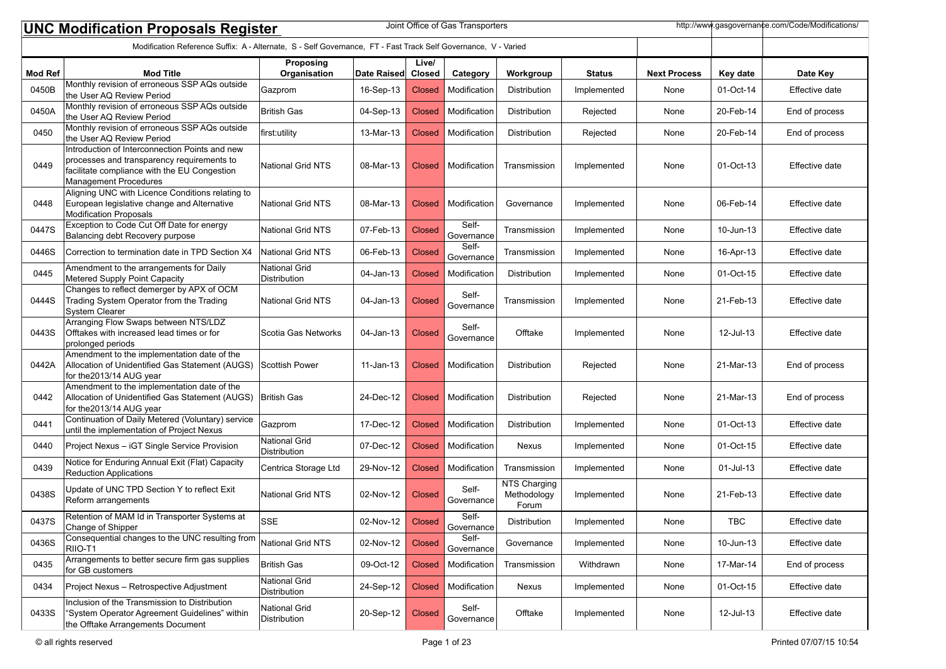| http://www.gasgovernance.com/Code/Modifications/<br>Joint Office of Gas Transporters<br><b>UNC Modification Proposals Register</b> |                                                                                                                                                                              |                                             |             |                        |                     |                                      |               |                     |           |                |  |
|------------------------------------------------------------------------------------------------------------------------------------|------------------------------------------------------------------------------------------------------------------------------------------------------------------------------|---------------------------------------------|-------------|------------------------|---------------------|--------------------------------------|---------------|---------------------|-----------|----------------|--|
| Modification Reference Suffix: A - Alternate, S - Self Governance, FT - Fast Track Self Governance, V - Varied                     |                                                                                                                                                                              |                                             |             |                        |                     |                                      |               |                     |           |                |  |
| <b>Mod Ref</b>                                                                                                                     | <b>Mod Title</b>                                                                                                                                                             | Proposing<br>Organisation                   | Date Raised | Live/<br><b>Closed</b> | Category            | Workgroup                            | <b>Status</b> | <b>Next Process</b> | Key date  | Date Key       |  |
| 0450B                                                                                                                              | Monthly revision of erroneous SSP AQs outside<br>the User AQ Review Period                                                                                                   | Gazprom                                     | 16-Sep-13   | <b>Closed</b>          | Modification        | Distribution                         | Implemented   | None                | 01-Oct-14 | Effective date |  |
| 0450A                                                                                                                              | Monthly revision of erroneous SSP AQs outside<br>the User AQ Review Period                                                                                                   | British Gas                                 | 04-Sep-13   | <b>Closed</b>          | Modification        | Distribution                         | Rejected      | None                | 20-Feb-14 | End of process |  |
| 0450                                                                                                                               | Monthly revision of erroneous SSP AQs outside<br>the User AQ Review Period                                                                                                   | first:utility                               | 13-Mar-13   | <b>Closed</b>          | Modification        | Distribution                         | Rejected      | None                | 20-Feb-14 | End of process |  |
| 0449                                                                                                                               | Introduction of Interconnection Points and new<br>processes and transparency requirements to<br>facilitate compliance with the EU Congestion<br><b>Management Procedures</b> | <b>National Grid NTS</b>                    | 08-Mar-13   | <b>Closed</b>          | Modification        | Transmission                         | Implemented   | None                | 01-Oct-13 | Effective date |  |
| 0448                                                                                                                               | Aligning UNC with Licence Conditions relating to<br>European legislative change and Alternative<br>Modification Proposals                                                    | National Grid NTS                           | 08-Mar-13   | <b>Closed</b>          | Modification        | Governance                           | Implemented   | None                | 06-Feb-14 | Effective date |  |
| 0447S                                                                                                                              | Exception to Code Cut Off Date for energy<br>Balancing debt Recovery purpose                                                                                                 | <b>National Grid NTS</b>                    | 07-Feb-13   | <b>Closed</b>          | Self-<br>Governance | Transmission                         | Implemented   | None                | 10-Jun-13 | Effective date |  |
| 0446S                                                                                                                              | Correction to termination date in TPD Section X4                                                                                                                             | National Grid NTS                           | 06-Feb-13   | <b>Closed</b>          | Self-<br>Governance | Transmission                         | Implemented   | None                | 16-Apr-13 | Effective date |  |
| 0445                                                                                                                               | Amendment to the arrangements for Daily<br>Metered Supply Point Capacity                                                                                                     | <b>National Grid</b><br><b>Distribution</b> | 04-Jan-13   | <b>Closed</b>          | Modification        | Distribution                         | Implemented   | None                | 01-Oct-15 | Effective date |  |
| 0444S                                                                                                                              | Changes to reflect demerger by APX of OCM<br>Trading System Operator from the Trading<br><b>System Clearer</b>                                                               | National Grid NTS                           | 04-Jan-13   | <b>Closed</b>          | Self-<br>Governance | Transmission                         | Implemented   | None                | 21-Feb-13 | Effective date |  |
| 0443S                                                                                                                              | Arranging Flow Swaps between NTS/LDZ<br>Offtakes with increased lead times or for<br>prolonged periods                                                                       | Scotia Gas Networks                         | 04-Jan-13   | <b>Closed</b>          | Self-<br>Governance | Offtake                              | Implemented   | None                | 12-Jul-13 | Effective date |  |
| 0442A                                                                                                                              | Amendment to the implementation date of the<br>Allocation of Unidentified Gas Statement (AUGS)<br>for the 2013/14 AUG year                                                   | Scottish Power                              | $11-Jan-13$ | <b>Closed</b>          | Modification        | Distribution                         | Rejected      | None                | 21-Mar-13 | End of process |  |
| 0442                                                                                                                               | Amendment to the implementation date of the<br>Allocation of Unidentified Gas Statement (AUGS)<br>for the 2013/14 AUG year                                                   | British Gas                                 | 24-Dec-12   | <b>Closed</b>          | Modification        | Distribution                         | Rejected      | None                | 21-Mar-13 | End of process |  |
| 0441                                                                                                                               | Continuation of Daily Metered (Voluntary) service<br>until the implementation of Project Nexus                                                                               | Gazprom                                     | 17-Dec-12   | <b>Closed</b>          | Modification        | Distribution                         | Implemented   | None                | 01-Oct-13 | Effective date |  |
| 0440                                                                                                                               | Project Nexus - iGT Single Service Provision                                                                                                                                 | <b>National Grid</b><br>Distribution        | 07-Dec-12   | <b>Closed</b>          | Modification        | Nexus                                | Implemented   | None                | 01-Oct-15 | Effective date |  |
| 0439                                                                                                                               | Notice for Enduring Annual Exit (Flat) Capacity<br><b>Reduction Applications</b>                                                                                             | Centrica Storage Ltd                        | 29-Nov-12   | <b>Closed</b>          | Modification        | Transmission                         | Implemented   | None                | 01-Jul-13 | Effective date |  |
| 0438S                                                                                                                              | Update of UNC TPD Section Y to reflect Exit<br>Reform arrangements                                                                                                           | <b>National Grid NTS</b>                    | 02-Nov-12   | <b>Closed</b>          | Self-<br>Governance | NTS Charging<br>Methodology<br>Forum | Implemented   | None                | 21-Feb-13 | Effective date |  |
| 0437S                                                                                                                              | Retention of MAM Id in Transporter Systems at<br>Change of Shipper                                                                                                           | SSE                                         | 02-Nov-12   | Closed                 | Self-<br>Governance | Distribution                         | Implemented   | None                | TBC       | Effective date |  |
| 0436S                                                                                                                              | Consequential changes to the UNC resulting from<br>RIIO-T1                                                                                                                   | National Grid NTS                           | 02-Nov-12   | <b>Closed</b>          | Self-<br>Governance | Governance                           | Implemented   | None                | 10-Jun-13 | Effective date |  |
| 0435                                                                                                                               | Arrangements to better secure firm gas supplies<br>for GB customers                                                                                                          | British Gas                                 | 09-Oct-12   | <b>Closed</b>          | Modification        | Transmission                         | Withdrawn     | None                | 17-Mar-14 | End of process |  |
| 0434                                                                                                                               | Project Nexus - Retrospective Adjustment                                                                                                                                     | <b>National Grid</b><br>Distribution        | 24-Sep-12   | <b>Closed</b>          | Modification        | Nexus                                | Implemented   | None                | 01-Oct-15 | Effective date |  |
| 0433S                                                                                                                              | Inclusion of the Transmission to Distribution<br>"System Operator Agreement Guidelines" within<br>the Offtake Arrangements Document                                          | <b>National Grid</b><br>Distribution        | 20-Sep-12   | <b>Closed</b>          | Self-<br>Governance | Offtake                              | Implemented   | None                | 12-Jul-13 | Effective date |  |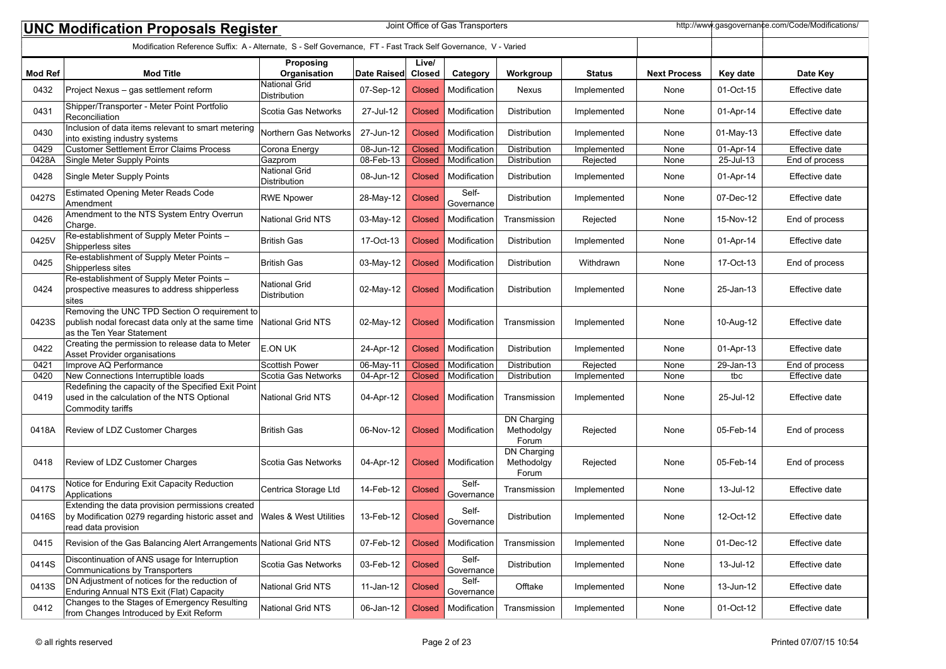|                                                                                                                                      | Joint Office of Gas Transporters<br>http://www.gasgovernance.com/Code/Modifications/<br><b>UNC Modification Proposals Register</b> |                                             |             |               |                     |                                           |               |                     |             |                |  |
|--------------------------------------------------------------------------------------------------------------------------------------|------------------------------------------------------------------------------------------------------------------------------------|---------------------------------------------|-------------|---------------|---------------------|-------------------------------------------|---------------|---------------------|-------------|----------------|--|
| Modification Reference Suffix: A - Alternate, S - Self Governance, FT - Fast Track Self Governance, V - Varied<br>Live/<br>Proposing |                                                                                                                                    |                                             |             |               |                     |                                           |               |                     |             |                |  |
| <b>Mod Ref</b>                                                                                                                       | <b>Mod Title</b>                                                                                                                   | Organisation                                | Date Raised | Closed        | Category            | Workgroup                                 | <b>Status</b> | <b>Next Process</b> | Key date    | Date Key       |  |
| 0432                                                                                                                                 | Project Nexus - gas settlement reform                                                                                              | <b>National Grid</b><br><b>Distribution</b> | 07-Sep-12   | <b>Closed</b> | Modification        | Nexus                                     | Implemented   | None                | 01-Oct-15   | Effective date |  |
| 0431                                                                                                                                 | Shipper/Transporter - Meter Point Portfolio<br>Reconciliation                                                                      | Scotia Gas Networks                         | 27-Jul-12   | <b>Closed</b> | Modification        | Distribution                              | Implemented   | None                | 01-Apr-14   | Effective date |  |
| 0430                                                                                                                                 | Inclusion of data items relevant to smart metering<br>into existing industry systems                                               | Northern Gas Networks                       | 27-Jun-12   | <b>Closed</b> | Modification        | Distribution                              | Implemented   | None                | $01-May-13$ | Effective date |  |
| 0429                                                                                                                                 | <b>Customer Settlement Error Claims Process</b>                                                                                    | Corona Energy                               | 08-Jun-12   | <b>Closed</b> | Modification        | Distribution                              | Implemented   | None                | 01-Apr-14   | Effective date |  |
| 0428A                                                                                                                                | Single Meter Supply Points                                                                                                         | Gazprom                                     | 08-Feb-13   | <b>Closed</b> | Modification        | Distribution                              | Rejected      | None                | 25-Jul-13   | End of process |  |
| 0428                                                                                                                                 | Single Meter Supply Points                                                                                                         | <b>National Grid</b><br>Distribution        | 08-Jun-12   | <b>Closed</b> | Modification        | Distribution                              | Implemented   | None                | 01-Apr-14   | Effective date |  |
| 0427S                                                                                                                                | <b>Estimated Opening Meter Reads Code</b><br>Amendment                                                                             | <b>RWE Npower</b>                           | 28-May-12   | <b>Closed</b> | Self-<br>Governance | Distribution                              | Implemented   | None                | 07-Dec-12   | Effective date |  |
| 0426                                                                                                                                 | Amendment to the NTS System Entry Overrun<br>Charge.                                                                               | <b>National Grid NTS</b>                    | 03-May-12   | <b>Closed</b> | Modification        | Transmission                              | Rejected      | None                | 15-Nov-12   | End of process |  |
| 0425V                                                                                                                                | Re-establishment of Supply Meter Points -<br>Shipperless sites                                                                     | <b>British Gas</b>                          | 17-Oct-13   | <b>Closed</b> | Modification        | Distribution                              | Implemented   | None                | 01-Apr-14   | Effective date |  |
| 0425                                                                                                                                 | Re-establishment of Supply Meter Points -<br>Shipperless sites                                                                     | <b>British Gas</b>                          | 03-May-12   | Closed        | Modification        | <b>Distribution</b>                       | Withdrawn     | None                | 17-Oct-13   | End of process |  |
| 0424                                                                                                                                 | Re-establishment of Supply Meter Points -<br>prospective measures to address shipperless<br>Isites                                 | <b>National Grid</b><br>Distribution        | 02-May-12   | <b>Closed</b> | Modification        | Distribution                              | Implemented   | None                | 25-Jan-13   | Effective date |  |
| 0423S                                                                                                                                | Removing the UNC TPD Section O requirement to<br>publish nodal forecast data only at the same time<br>as the Ten Year Statement    | <b>National Grid NTS</b>                    | 02-May-12   | <b>Closed</b> | Modification        | Transmission                              | Implemented   | None                | 10-Aug-12   | Effective date |  |
| 0422                                                                                                                                 | Creating the permission to release data to Meter<br>Asset Provider organisations                                                   | E.ON UK                                     | 24-Apr-12   | <b>Closed</b> | Modification        | Distribution                              | Implemented   | None                | 01-Apr-13   | Effective date |  |
| 0421                                                                                                                                 | Improve AQ Performance                                                                                                             | <b>Scottish Power</b>                       | 06-May-11   | <b>Closed</b> | Modification        | Distribution                              | Rejected      | None                | 29-Jan-13   | End of process |  |
| 0420                                                                                                                                 | New Connections Interruptible loads                                                                                                | Scotia Gas Networks                         | 04-Apr-12   | <b>Closed</b> | Modification        | Distribution                              | Implemented   | None                | tbc         | Effective date |  |
| 0419                                                                                                                                 | Redefining the capacity of the Specified Exit Point<br>used in the calculation of the NTS Optional<br>Commodity tariffs            | <b>National Grid NTS</b>                    | 04-Apr-12   | Closed        | Modification        | Transmission                              | Implemented   | None                | 25-Jul-12   | Effective date |  |
| 0418A                                                                                                                                | Review of LDZ Customer Charges                                                                                                     | <b>British Gas</b>                          | 06-Nov-12   | Closed        | Modification        | <b>DN Charging</b><br>Methodolgy<br>Forum | Rejected      | None                | 05-Feb-14   | End of process |  |
| 0418                                                                                                                                 | Review of LDZ Customer Charges                                                                                                     | Scotia Gas Networks                         | 04-Apr-12   | Closed        | Modification        | <b>DN</b> Charging<br>Methodolgy<br>Forum | Rejected      | None                | 05-Feb-14   | End of process |  |
| 0417S                                                                                                                                | Notice for Enduring Exit Capacity Reduction<br>Applications                                                                        | Centrica Storage Ltd                        | 14-Feb-12   | <b>Closed</b> | Self-<br>Governance | Transmission                              | Implemented   | None                | 13-Jul-12   | Effective date |  |
| 0416S                                                                                                                                | Extending the data provision permissions created<br>by Modification 0279 regarding historic asset and<br>read data provision       | Wales & West Utilities                      | 13-Feb-12   | <b>Closed</b> | Self-<br>Governance | Distribution                              | Implemented   | None                | 12-Oct-12   | Effective date |  |
| 0415                                                                                                                                 | Revision of the Gas Balancing Alert Arrangements National Grid NTS                                                                 |                                             | 07-Feb-12   | <b>Closed</b> | Modification        | Transmission                              | Implemented   | None                | 01-Dec-12   | Effective date |  |
| 0414S                                                                                                                                | Discontinuation of ANS usage for Interruption<br>Communications by Transporters                                                    | Scotia Gas Networks                         | 03-Feb-12   | <b>Closed</b> | Self-<br>Governance | Distribution                              | Implemented   | None                | 13-Jul-12   | Effective date |  |
| 0413S                                                                                                                                | DN Adjustment of notices for the reduction of<br>Enduring Annual NTS Exit (Flat) Capacity                                          | National Grid NTS                           | 11-Jan-12   | <b>Closed</b> | Self-<br>Governance | Offtake                                   | Implemented   | None                | 13-Jun-12   | Effective date |  |
| 0412                                                                                                                                 | Changes to the Stages of Emergency Resulting<br>from Changes Introduced by Exit Reform                                             | National Grid NTS                           | 06-Jan-12   | <b>Closed</b> | Modification        | Transmission                              | Implemented   | None                | 01-Oct-12   | Effective date |  |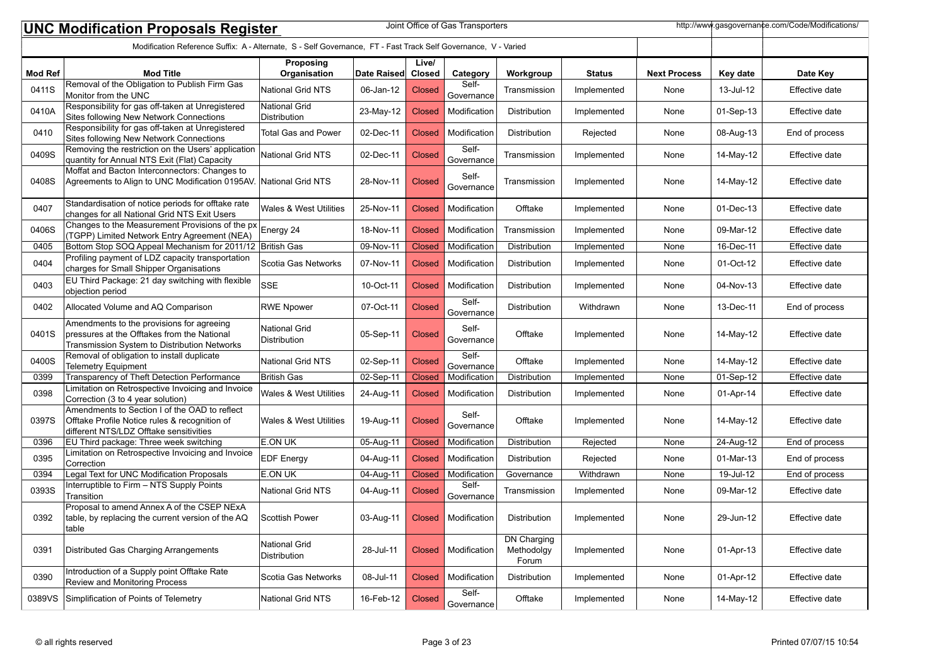|                | http://www.gasgovernance.com/Code/Modifications/<br>Joint Office of Gas Transporters<br><b>UNC Modification Proposals Register</b><br>Modification Reference Suffix: A - Alternate, S - Self Governance, FT - Fast Track Self Governance, V - Varied |                                      |             |               |                       |                                           |               |                     |                         |                |
|----------------|------------------------------------------------------------------------------------------------------------------------------------------------------------------------------------------------------------------------------------------------------|--------------------------------------|-------------|---------------|-----------------------|-------------------------------------------|---------------|---------------------|-------------------------|----------------|
|                |                                                                                                                                                                                                                                                      |                                      |             |               |                       |                                           |               |                     |                         |                |
|                |                                                                                                                                                                                                                                                      | Proposing                            |             | Live/         |                       |                                           |               |                     |                         |                |
| <b>Mod Ref</b> | <b>Mod Title</b>                                                                                                                                                                                                                                     | Organisation                         | Date Raised | Closed        | Category              | Workgroup                                 | <b>Status</b> | <b>Next Process</b> | Key date                | Date Key       |
| 0411S          | Removal of the Obligation to Publish Firm Gas<br>Monitor from the UNC                                                                                                                                                                                | <b>National Grid NTS</b>             | 06-Jan-12   | <b>Closed</b> | Self-<br>Governance   | Transmission                              | Implemented   | None                | 13-Jul-12               | Effective date |
| 0410A          | Responsibility for gas off-taken at Unregistered<br>Sites following New Network Connections                                                                                                                                                          | National Grid<br>Distribution        | 23-May-12   | <b>Closed</b> | Modification          | Distribution                              | Implemented   | None                | 01-Sep-13               | Effective date |
| 0410           | Responsibility for gas off-taken at Unregistered<br>Sites following New Network Connections                                                                                                                                                          | <b>Total Gas and Power</b>           | 02-Dec-11   | <b>Closed</b> | Modification          | Distribution                              | Rejected      | None                | 08-Aug-13               | End of process |
| 0409S          | Removing the restriction on the Users' application<br>quantity for Annual NTS Exit (Flat) Capacity                                                                                                                                                   | <b>National Grid NTS</b>             | 02-Dec-11   | <b>Closed</b> | Self-<br>Governance   | Transmission                              | Implemented   | None                | 14-May-12               | Effective date |
| 0408S          | Moffat and Bacton Interconnectors: Changes to<br>Agreements to Align to UNC Modification 0195AV. National Grid NTS                                                                                                                                   |                                      | 28-Nov-11   | <b>Closed</b> | Self-<br>Governance   | Transmission                              | Implemented   | None                | 14-May-12               | Effective date |
| 0407           | Standardisation of notice periods for offtake rate<br>changes for all National Grid NTS Exit Users                                                                                                                                                   | Wales & West Utilities               | 25-Nov-11   | <b>Closed</b> | Modification          | Offtake                                   | Implemented   | None                | 01-Dec-13               | Effective date |
| 0406S          | Changes to the Measurement Provisions of the px<br>(TGPP) Limited Network Entry Agreement (NEA)                                                                                                                                                      | Energy 24                            | 18-Nov-11   | <b>Closed</b> | Modification          | Transmission                              | Implemented   | None                | 09-Mar-12               | Effective date |
| 0405           | Bottom Stop SOQ Appeal Mechanism for 2011/12 British Gas                                                                                                                                                                                             |                                      | 09-Nov-11   | <b>Closed</b> | Modification          | Distribution                              | Implemented   | None                | 16-Dec-11               | Effective date |
| 0404           | Profiling payment of LDZ capacity transportation<br>charges for Small Shipper Organisations                                                                                                                                                          | Scotia Gas Networks                  | 07-Nov-11   | <b>Closed</b> | Modification          | <b>Distribution</b>                       | Implemented   | None                | 01-Oct-12               | Effective date |
| 0403           | EU Third Package: 21 day switching with flexible<br>objection period                                                                                                                                                                                 | <b>SSE</b>                           | 10-Oct-11   | <b>Closed</b> | Modification          | Distribution                              | Implemented   | None                | 04-Nov-13               | Effective date |
| 0402           | Allocated Volume and AQ Comparison                                                                                                                                                                                                                   | <b>RWE Npower</b>                    | 07-Oct-11   | <b>Closed</b> | Self-<br>Governance   | Distribution                              | Withdrawn     | None                | 13-Dec-11               | End of process |
| 0401S          | Amendments to the provisions for agreeing<br>pressures at the Offtakes from the National<br>Transmission System to Distribution Networks                                                                                                             | <b>National Grid</b><br>Distribution | 05-Sep-11   | <b>Closed</b> | Self-<br>Governance   | Offtake                                   | Implemented   | None                | 14-May-12               | Effective date |
| 0400S          | Removal of obligation to install duplicate<br><b>Telemetry Equipment</b>                                                                                                                                                                             | <b>National Grid NTS</b>             | 02-Sep-11   | <b>Closed</b> | Self-<br>Governance   | Offtake                                   | Implemented   | None                | 14-May-12               | Effective date |
| 0399           | Transparency of Theft Detection Performance                                                                                                                                                                                                          | <b>British Gas</b>                   | 02-Sep-11   | <b>Closed</b> | Modification          | Distribution                              | Implemented   | None                | $\overline{01}$ -Sep-12 | Effective date |
| 0398           | Limitation on Retrospective Invoicing and Invoice<br>Correction (3 to 4 year solution)                                                                                                                                                               | <b>Wales &amp; West Utilities</b>    | 24-Aug-11   | <b>Closed</b> | Modification          | Distribution                              | Implemented   | None                | 01-Apr-14               | Effective date |
| 0397S          | Amendments to Section I of the OAD to reflect<br>Offtake Profile Notice rules & recognition of<br>different NTS/LDZ Offtake sensitivities                                                                                                            | <b>Wales &amp; West Utilities</b>    | 19-Aug-11   | <b>Closed</b> | Self-<br>Governance   | Offtake                                   | Implemented   | None                | 14-May-12               | Effective date |
| 0396           | EU Third package: Three week switching                                                                                                                                                                                                               | <b>E.ON UK</b>                       | 05-Aug-11   | Closed        | Modification          | <b>Distribution</b>                       | Rejected      | None                | 24-Aug-12               | End of process |
| 0395           | Limitation on Retrospective Invoicing and Invoice<br>Correction                                                                                                                                                                                      | <b>EDF</b> Energy                    | 04-Aug-11   | <b>Closed</b> | Modification          | Distribution                              | Rejected      | None                | 01-Mar-13               | End of process |
| 0394           | Legal Text for UNC Modification Proposals                                                                                                                                                                                                            | E.ON UK                              | 04-Aug-11   | Closed        | Modification          | Governance                                | Withdrawn     | None                | 19-Jul-12               | End of process |
| 0393S          | Interruptible to Firm - NTS Supply Points<br>Transition                                                                                                                                                                                              | <b>National Grid NTS</b>             | 04-Aug-11   | <b>Closed</b> | Self-<br>Governance   | Transmission                              | Implemented   | None                | 09-Mar-12               | Effective date |
| 0392           | Proposal to amend Annex A of the CSEP NExA<br>table, by replacing the current version of the AQ<br>table                                                                                                                                             | <b>Scottish Power</b>                | 03-Aug-11   |               | Closed   Modification | <b>Distribution</b>                       | Implemented   | None                | 29-Jun-12               | Effective date |
| 0391           | Distributed Gas Charging Arrangements                                                                                                                                                                                                                | <b>National Grid</b><br>Distribution | 28-Jul-11   | <b>Closed</b> | Modification          | <b>DN Charging</b><br>Methodolgy<br>Forum | Implemented   | None                | 01-Apr-13               | Effective date |
| 0390           | Introduction of a Supply point Offtake Rate<br><b>Review and Monitoring Process</b>                                                                                                                                                                  | Scotia Gas Networks                  | 08-Jul-11   | Closed        | Modification          | Distribution                              | Implemented   | None                | 01-Apr-12               | Effective date |
| 0389VS         | Simplification of Points of Telemetry                                                                                                                                                                                                                | National Grid NTS                    | 16-Feb-12   | <b>Closed</b> | Self-<br>Governance   | Offtake                                   | Implemented   | None                | 14-May-12               | Effective date |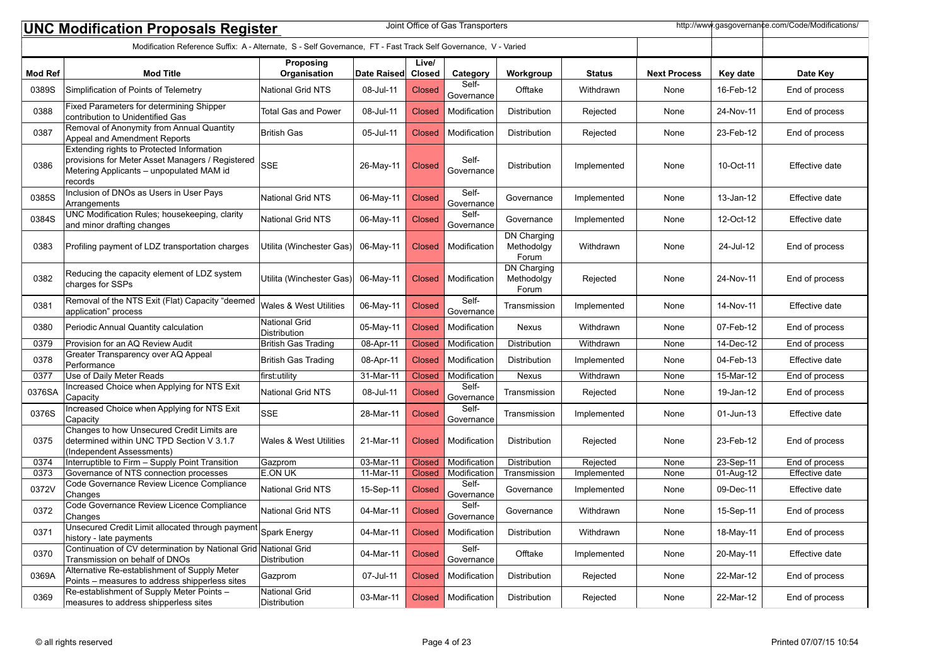|                                                                                                                | Joint Office of Gas Transporters<br>http://www.gasgovernance.com/Code/Modifications/<br><b>UNC Modification Proposals Register</b>                   |                                   |             |               |                     |                                           |               |                     |           |                |
|----------------------------------------------------------------------------------------------------------------|------------------------------------------------------------------------------------------------------------------------------------------------------|-----------------------------------|-------------|---------------|---------------------|-------------------------------------------|---------------|---------------------|-----------|----------------|
| Modification Reference Suffix: A - Alternate, S - Self Governance, FT - Fast Track Self Governance, V - Varied |                                                                                                                                                      |                                   |             |               |                     |                                           |               |                     |           |                |
|                                                                                                                |                                                                                                                                                      | Proposing                         |             | Live/         |                     |                                           |               |                     |           |                |
| <b>Mod Ref</b>                                                                                                 | <b>Mod Title</b>                                                                                                                                     | Organisation                      | Date Raised | Closed        | Category            | Workgroup                                 | <b>Status</b> | <b>Next Process</b> | Key date  | Date Key       |
| 0389S                                                                                                          | Simplification of Points of Telemetry                                                                                                                | <b>National Grid NTS</b>          | 08-Jul-11   | <b>Closed</b> | Self-<br>Governance | Offtake                                   | Withdrawn     | None                | 16-Feb-12 | End of process |
| 0388                                                                                                           | Fixed Parameters for determining Shipper<br>contribution to Unidentified Gas                                                                         | <b>Total Gas and Power</b>        | 08-Jul-11   | <b>Closed</b> | Modification        | Distribution                              | Rejected      | None                | 24-Nov-11 | End of process |
| 0387                                                                                                           | Removal of Anonymity from Annual Quantity<br>Appeal and Amendment Reports                                                                            | <b>British Gas</b>                | 05-Jul-11   | <b>Closed</b> | Modification        | Distribution                              | Rejected      | None                | 23-Feb-12 | End of process |
| 0386                                                                                                           | Extending rights to Protected Information<br>provisions for Meter Asset Managers / Registered<br>Metering Applicants - unpopulated MAM id<br>records | <b>SSE</b>                        | 26-May-11   | <b>Closed</b> | Self-<br>Governance | Distribution                              | Implemented   | None                | 10-Oct-11 | Effective date |
| 0385S                                                                                                          | Inclusion of DNOs as Users in User Pays<br>Arrangements                                                                                              | <b>National Grid NTS</b>          | 06-May-11   | <b>Closed</b> | Self-<br>Governance | Governance                                | Implemented   | None                | 13-Jan-12 | Effective date |
| 0384S                                                                                                          | UNC Modification Rules; housekeeping, clarity<br>and minor drafting changes                                                                          | <b>National Grid NTS</b>          | 06-May-11   | <b>Closed</b> | Self-<br>Governance | Governance                                | Implemented   | None                | 12-Oct-12 | Effective date |
| 0383                                                                                                           | Profiling payment of LDZ transportation charges                                                                                                      | Utilita (Winchester Gas)          | 06-May-11   | <b>Closed</b> | Modification        | DN Charging<br>Methodolgy<br>Forum        | Withdrawn     | None                | 24-Jul-12 | End of process |
| 0382                                                                                                           | Reducing the capacity element of LDZ system<br>charges for SSPs                                                                                      | Utilita (Winchester Gas)          | 06-May-11   | <b>Closed</b> | Modification        | <b>DN Charging</b><br>Methodolgy<br>Forum | Rejected      | None                | 24-Nov-11 | End of process |
| 0381                                                                                                           | Removal of the NTS Exit (Flat) Capacity "deemed<br>application" process                                                                              | <b>Wales &amp; West Utilities</b> | 06-May-11   | <b>Closed</b> | Self-<br>Governance | Transmission                              | Implemented   | None                | 14-Nov-11 | Effective date |
| 0380                                                                                                           | Periodic Annual Quantity calculation                                                                                                                 | National Grid<br>Distribution     | 05-May-11   | <b>Closed</b> | Modification        | Nexus                                     | Withdrawn     | None                | 07-Feb-12 | End of process |
| 0379                                                                                                           | Provision for an AQ Review Audit                                                                                                                     | <b>British Gas Trading</b>        | 08-Apr-11   | <b>Closed</b> | Modification        | Distribution                              | Withdrawn     | None                | 14-Dec-12 | End of process |
| 0378                                                                                                           | Greater Transparency over AQ Appeal<br>Performance                                                                                                   | <b>British Gas Trading</b>        | 08-Apr-11   | <b>Closed</b> | Modification        | Distribution                              | Implemented   | None                | 04-Feb-13 | Effective date |
| 0377                                                                                                           | Use of Daily Meter Reads                                                                                                                             | first:utility                     | 31-Mar-11   | <b>Closed</b> | Modification        | Nexus                                     | Withdrawn     | None                | 15-Mar-12 | End of process |
| 0376SA                                                                                                         | Increased Choice when Applying for NTS Exit<br>Capacity                                                                                              | National Grid NTS                 | 08-Jul-11   | <b>Closed</b> | Self-<br>Governance | Transmission                              | Rejected      | None                | 19-Jan-12 | End of process |
| 0376S                                                                                                          | Increased Choice when Applying for NTS Exit<br>Capacity                                                                                              | <b>SSE</b>                        | 28-Mar-11   | <b>Closed</b> | Self-<br>Governance | Transmission                              | Implemented   | None                | 01-Jun-13 | Effective date |
| 0375                                                                                                           | Changes to how Unsecured Credit Limits are<br>determined within UNC TPD Section V 3.1.7<br>(Independent Assessments)                                 | <b>Wales &amp; West Utilities</b> | 21-Mar-11   | <b>Closed</b> | Modification        | Distribution                              | Rejected      | None                | 23-Feb-12 | End of process |
| 0374                                                                                                           | Interruptible to Firm - Supply Point Transition                                                                                                      | Gazprom                           | 03-Mar-11   | <b>Closed</b> | Modification        | Distribution                              | Rejected      | None                | 23-Sep-11 | End of process |
| 0373                                                                                                           | Governance of NTS connection processes                                                                                                               | E.ON UK                           | 11-Mar-11   | <b>Closed</b> | Modification        | Transmission                              | Implemented   | None                | 01-Aug-12 | Effective date |
| 0372V                                                                                                          | Code Governance Review Licence Compliance<br>Changes                                                                                                 | <b>National Grid NTS</b>          | 15-Sep-11   | <b>Closed</b> | Self-<br>Governance | Governance                                | Implemented   | None                | 09-Dec-11 | Effective date |
| 0372                                                                                                           | Code Governance Review Licence Compliance<br>Changes                                                                                                 | <b>National Grid NTS</b>          | 04-Mar-11   | <b>Closed</b> | Self-<br>Governance | Governance                                | Withdrawn     | None                | 15-Sep-11 | End of process |
| 0371                                                                                                           | Unarigus<br>Unsecured Credit Limit allocated through payment Spark Energy<br>history - late payments                                                 |                                   | 04-Mar-11   | <b>Closed</b> | Modification        | Distribution                              | Withdrawn     | None                | 18-May-11 | End of process |
| 0370                                                                                                           | Continuation of CV determination by National Grid National Grid<br>Transmission on behalf of DNOs                                                    | Distribution                      | 04-Mar-11   | <b>Closed</b> | Self-<br>Governance | Offtake                                   | Implemented   | None                | 20-May-11 | Effective date |
| 0369A                                                                                                          | Alternative Re-establishment of Supply Meter<br>Points - measures to address shipperless sites                                                       | Gazprom                           | 07-Jul-11   | <b>Closed</b> | Modification        | Distribution                              | Rejected      | None                | 22-Mar-12 | End of process |
| 0369                                                                                                           | Re-establishment of Supply Meter Points -<br>measures to address shipperless sites                                                                   | National Grid<br>Distribution     | 03-Mar-11   | <b>Closed</b> | Modification        | Distribution                              | Rejected      | None                | 22-Mar-12 | End of process |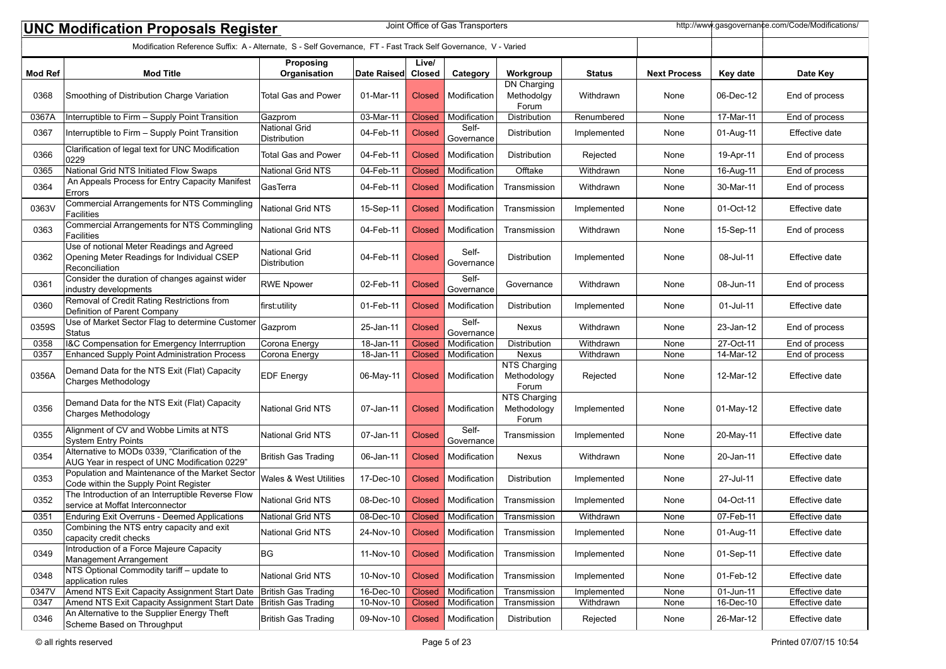| Joint Office of Gas Transporters<br>http://www.qasqovernance.com/Code/Modifications/<br><b>UNC Modification Proposals Register</b> |                                                                                                           |                               |             |               |                     |                                      |               |                     |           |                |
|------------------------------------------------------------------------------------------------------------------------------------|-----------------------------------------------------------------------------------------------------------|-------------------------------|-------------|---------------|---------------------|--------------------------------------|---------------|---------------------|-----------|----------------|
| Modification Reference Suffix: A - Alternate, S - Self Governance, FT - Fast Track Self Governance, V - Varied                     |                                                                                                           |                               |             |               |                     |                                      |               |                     |           |                |
|                                                                                                                                    |                                                                                                           | Proposing                     |             | Live/         |                     |                                      |               |                     |           |                |
| <b>Mod Ref</b>                                                                                                                     | <b>Mod Title</b>                                                                                          | Organisation                  | Date Raised | Closed        | Category            | Workgroup<br>DN Charging             | <b>Status</b> | <b>Next Process</b> | Key date  | Date Key       |
| 0368                                                                                                                               | Smoothing of Distribution Charge Variation                                                                | <b>Total Gas and Power</b>    | 01-Mar-11   | <b>Closed</b> | Modification        | Methodolgy<br>Forum                  | Withdrawn     | None                | 06-Dec-12 | End of process |
| 0367A                                                                                                                              | Interruptible to Firm - Supply Point Transition                                                           | Gazprom                       | 03-Mar-11   | <b>Closed</b> | Modification        | Distribution                         | Renumbered    | None                | 17-Mar-11 | End of process |
| 0367                                                                                                                               | Interruptible to Firm - Supply Point Transition                                                           | National Grid<br>Distribution | 04-Feb-11   | <b>Closed</b> | Self-<br>Governance | Distribution                         | Implemented   | None                | 01-Aug-11 | Effective date |
| 0366                                                                                                                               | Clarification of legal text for UNC Modification<br>0229                                                  | <b>Total Gas and Power</b>    | 04-Feb-11   | <b>Closed</b> | Modification        | Distribution                         | Rejected      | None                | 19-Apr-11 | End of process |
| 0365                                                                                                                               | National Grid NTS Initiated Flow Swaps                                                                    | <b>National Grid NTS</b>      | 04-Feb-11   | <b>Closed</b> | Modification        | Offtake                              | Withdrawn     | None                | 16-Aug-11 | End of process |
| 0364                                                                                                                               | An Appeals Process for Entry Capacity Manifest<br>Errors                                                  | GasTerra                      | 04-Feb-11   | <b>Closed</b> | Modification        | Transmission                         | Withdrawn     | None                | 30-Mar-11 | End of process |
| 0363V                                                                                                                              | Commercial Arrangements for NTS Commingling<br><b>Facilities</b>                                          | <b>National Grid NTS</b>      | 15-Sep-11   | <b>Closed</b> | Modification        | Transmission                         | Implemented   | None                | 01-Oct-12 | Effective date |
| 0363                                                                                                                               | <b>Commercial Arrangements for NTS Commingling</b><br>Facilities                                          | National Grid NTS             | 04-Feb-11   | <b>Closed</b> | Modification        | Transmission                         | Withdrawn     | None                | 15-Sep-11 | End of process |
| 0362                                                                                                                               | Use of notional Meter Readings and Agreed<br>Opening Meter Readings for Individual CSEP<br>Reconciliation | National Grid<br>Distribution | 04-Feb-11   | <b>Closed</b> | Self-<br>Governance | Distribution                         | Implemented   | None                | 08-Jul-11 | Effective date |
| 0361                                                                                                                               | Consider the duration of changes against wider<br>industry developments                                   | <b>RWE Npower</b>             | 02-Feb-11   | <b>Closed</b> | Self-<br>Governance | Governance                           | Withdrawn     | None                | 08-Jun-11 | End of process |
| 0360                                                                                                                               | Removal of Credit Rating Restrictions from<br>Definition of Parent Company                                | first:utility                 | 01-Feb-11   | <b>Closed</b> | Modification        | Distribution                         | Implemented   | None                | 01-Jul-11 | Effective date |
| 0359S                                                                                                                              | Use of Market Sector Flag to determine Customer<br><b>Status</b>                                          | Gazprom                       | 25-Jan-11   | Closed        | Self-<br>Governance | Nexus                                | Withdrawn     | None                | 23-Jan-12 | End of process |
| 0358                                                                                                                               | 1&C Compensation for Emergency Interrruption                                                              | Corona Energy                 | 18-Jan-11   | <b>Closed</b> | Modification        | Distribution                         | Withdrawn     | None                | 27-Oct-11 | End of process |
| 0357                                                                                                                               | Enhanced Supply Point Administration Process                                                              | Corona Energy                 | 18-Jan-11   | Closed        | Modification        | Nexus                                | Withdrawn     | None                | 14-Mar-12 | End of process |
| 0356A                                                                                                                              | Demand Data for the NTS Exit (Flat) Capacity<br>Charges Methodology                                       | <b>EDF</b> Energy             | 06-May-11   | <b>Closed</b> | Modification        | NTS Charging<br>Methodology<br>Forum | Rejected      | None                | 12-Mar-12 | Effective date |
| 0356                                                                                                                               | Demand Data for the NTS Exit (Flat) Capacity<br>Charges Methodology                                       | National Grid NTS             | 07-Jan-11   | <b>Closed</b> | Modification        | NTS Charging<br>Methodology<br>Forum | Implemented   | None                | 01-May-12 | Effective date |
| 0355                                                                                                                               | Alignment of CV and Wobbe Limits at NTS<br><b>System Entry Points</b>                                     | National Grid NTS             | 07-Jan-11   | <b>Closed</b> | Self-<br>Governance | Transmission                         | Implemented   | None                | 20-May-11 | Effective date |
| 0354                                                                                                                               | Alternative to MODs 0339, "Clarification of the<br>AUG Year in respect of UNC Modification 0229"          | British Gas Trading           | 06-Jan-11   | <b>Closed</b> | Modification        | Nexus                                | Withdrawn     | None                | 20-Jan-11 | Effective date |
| 0353                                                                                                                               | Population and Maintenance of the Market Sector<br>Code within the Supply Point Register                  | Wales & West Utilities        | 17-Dec-10   | <b>Closed</b> | Modification        | Distribution                         | Implemented   | None                | 27-Jul-11 | Effective date |
| 0352                                                                                                                               | The Introduction of an Interruptible Reverse Flow<br>service at Moffat Interconnector                     | National Grid NTS             | 08-Dec-10   | <b>Closed</b> | Modification        | Transmission                         | Implemented   | None                | 04-Oct-11 | Effective date |
| 0351                                                                                                                               | <b>Enduring Exit Overruns - Deemed Applications</b>                                                       | National Grid NTS             | 08-Dec-10   | <b>Closed</b> | Modification        | Transmission                         | Withdrawn     | None                | 07-Feb-11 | Effective date |
| 0350                                                                                                                               | Combining the NTS entry capacity and exit<br>capacity credit checks                                       | National Grid NTS             | 24-Nov-10   | <b>Closed</b> | Modification        | Transmission                         | Implemented   | None                | 01-Aug-11 | Effective date |
| 0349                                                                                                                               | Introduction of a Force Majeure Capacity<br>Management Arrangement                                        | BG                            | 11-Nov-10   | <b>Closed</b> | Modification        | Transmission                         | Implemented   | None                | 01-Sep-11 | Effective date |
| 0348                                                                                                                               | NTS Optional Commodity tariff - update to<br>application rules                                            | National Grid NTS             | 10-Nov-10   | Closed        | Modification        | Transmission                         | Implemented   | None                | 01-Feb-12 | Effective date |
| 0347V                                                                                                                              | Amend NTS Exit Capacity Assignment Start Date                                                             | <b>British Gas Trading</b>    | 16-Dec-10   | <b>Closed</b> | Modification        | Transmission                         | Implemented   | None                | 01-Jun-11 | Effective date |
| 0347                                                                                                                               | Amend NTS Exit Capacity Assignment Start Date                                                             | British Gas Trading           | 10-Nov-10   | <b>Closed</b> | Modification        | Transmission                         | Withdrawn     | None                | 16-Dec-10 | Effective date |
| 0346                                                                                                                               | An Alternative to the Supplier Energy Theft<br>Scheme Based on Throughput                                 | British Gas Trading           | 09-Nov-10   | Closed        | Modification        | Distribution                         | Rejected      | None                | 26-Mar-12 | Effective date |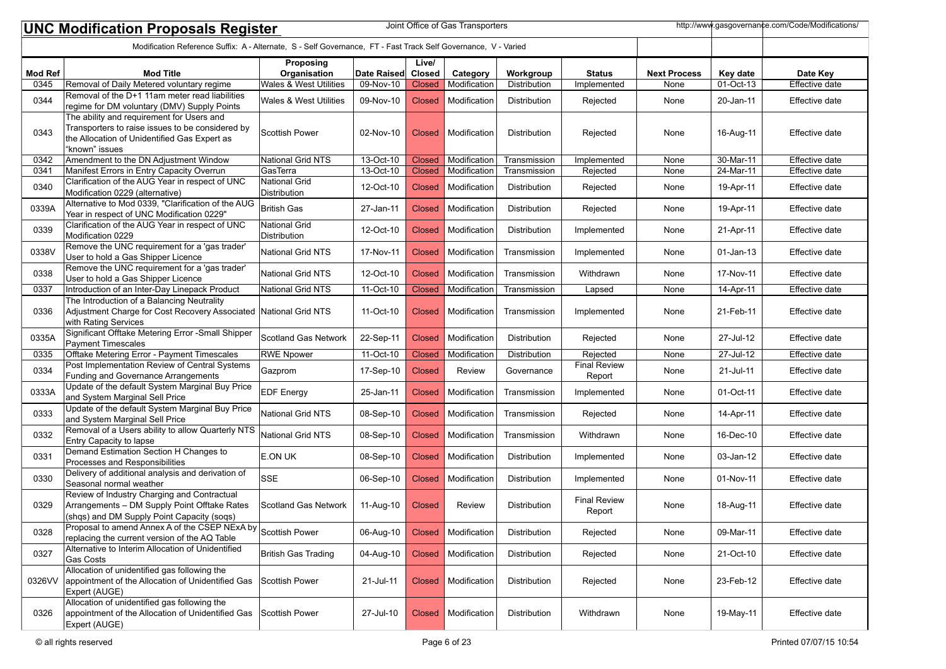|                | Joint Office of Gas Transporters<br>http://www.gasgovernance.com/Code/Modifications/<br><b>UNC Modification Proposals Register</b>                              |                               |             |                 |               |              |                               |                     |              |                |  |
|----------------|-----------------------------------------------------------------------------------------------------------------------------------------------------------------|-------------------------------|-------------|-----------------|---------------|--------------|-------------------------------|---------------------|--------------|----------------|--|
|                | Modification Reference Suffix: A - Alternate, S - Self Governance, FT - Fast Track Self Governance, V - Varied                                                  |                               |             |                 |               |              |                               |                     |              |                |  |
| <b>Mod Ref</b> | <b>Mod Title</b>                                                                                                                                                | Proposing<br>Organisation     | Date Raised | Live/<br>Closed | Category      | Workgroup    | <b>Status</b>                 | <b>Next Process</b> | Key date     | Date Key       |  |
| 0345           | Removal of Daily Metered voluntary regime                                                                                                                       | Wales & West Utilities        | 09-Nov-10   | <b>Closed</b>   | Modification  | Distribution | Implemented                   | None                | 01-Oct-13    | Effective date |  |
| 0344           | Removal of the D+1 11am meter read liabilities<br>regime for DM voluntary (DMV) Supply Points                                                                   | Wales & West Utilities        | 09-Nov-10   | <b>Closed</b>   | Modification  | Distribution | Rejected                      | None                | 20-Jan-11    | Effective date |  |
| 0343           | The ability and requirement for Users and<br>Transporters to raise issues to be considered by<br>the Allocation of Unidentified Gas Expert as<br>"known" issues | <b>Scottish Power</b>         | 02-Nov-10   | <b>Closed</b>   | Modification  | Distribution | Rejected                      | None                | 16-Aug-11    | Effective date |  |
| 0342           | Amendment to the DN Adjustment Window                                                                                                                           | National Grid NTS             | 13-Oct-10   | <b>Closed</b>   | Modification  | Transmission | Implemented                   | None                | 30-Mar-11    | Effective date |  |
| 0341           | Manifest Errors in Entry Capacity Overrun                                                                                                                       | GasTerra                      | 13-Oct-10   | <b>Closed</b>   | Modification  | Transmission | Rejected                      | None                | 24-Mar-11    | Effective date |  |
| 0340           | Clarification of the AUG Year in respect of UNC<br>Modification 0229 (alternative)                                                                              | National Grid<br>Distribution | 12-Oct-10   | <b>Closed</b>   | Modification  | Distribution | Rejected                      | None                | 19-Apr-11    | Effective date |  |
| 0339A          | Alternative to Mod 0339, "Clarification of the AUG<br>Year in respect of UNC Modification 0229"                                                                 | <b>British Gas</b>            | 27-Jan-11   | <b>Closed</b>   | Modification  | Distribution | Rejected                      | None                | 19-Apr-11    | Effective date |  |
| 0339           | Clarification of the AUG Year in respect of UNC<br>Modification 0229                                                                                            | National Grid<br>Distribution | 12-Oct-10   | <b>Closed</b>   | Modification  | Distribution | Implemented                   | None                | 21-Apr-11    | Effective date |  |
| 0338V          | Remove the UNC requirement for a 'gas trader'<br>User to hold a Gas Shipper Licence                                                                             | <b>National Grid NTS</b>      | 17-Nov-11   | <b>Closed</b>   | Modification  | Transmission | Implemented                   | None                | $01$ -Jan-13 | Effective date |  |
| 0338           | Remove the UNC requirement for a 'gas trader'<br>User to hold a Gas Shipper Licence                                                                             | National Grid NTS             | 12-Oct-10   | <b>Closed</b>   | Modification  | Transmission | Withdrawn                     | None                | 17-Nov-11    | Effective date |  |
| 0337           | Introduction of an Inter-Day Linepack Product                                                                                                                   | National Grid NTS             | 11-Oct-10   | <b>Closed</b>   | Modification  | Transmission | Lapsed                        | None                | 14-Apr-11    | Effective date |  |
| 0336           | The Introduction of a Balancing Neutrality<br>Adjustment Charge for Cost Recovery Associated National Grid NTS<br>with Rating Services                          |                               | 11-Oct-10   | <b>Closed</b>   | Modification  | Transmission | Implemented                   | None                | 21-Feb-11    | Effective date |  |
| 0335A          | Significant Offtake Metering Error -Small Shipper<br>Payment Timescales                                                                                         | <b>Scotland Gas Network</b>   | 22-Sep-11   | <b>Closed</b>   | Modification  | Distribution | Rejected                      | None                | 27-Jul-12    | Effective date |  |
| 0335           | Offtake Metering Error - Payment Timescales                                                                                                                     | <b>RWE Npower</b>             | 11-Oct-10   | <b>Closed</b>   | Modification  | Distribution | Rejected                      | None                | 27-Jul-12    | Effective date |  |
| 0334           | Post Implementation Review of Central Systems<br>Funding and Governance Arrangements                                                                            | Gazprom                       | 17-Sep-10   | <b>Closed</b>   | Review        | Governance   | <b>Final Review</b><br>Report | None                | 21-Jul-11    | Effective date |  |
| 0333A          | Update of the default System Marginal Buy Price<br>and System Marginal Sell Price                                                                               | <b>EDF Energy</b>             | 25-Jan-11   | <b>Closed</b>   | Modification  | Transmission | Implemented                   | None                | 01-Oct-11    | Effective date |  |
| 0333           | Update of the default System Marginal Buy Price<br>and System Marginal Sell Price                                                                               | <b>National Grid NTS</b>      | 08-Sep-10   | <b>Closed</b>   | Modification  | Transmission | Rejected                      | None                | 14-Apr-11    | Effective date |  |
| 0332           | Removal of a Users ability to allow Quarterly NTS<br>Entry Capacity to lapse                                                                                    | National Grid NTS             | 08-Sep-10   | <b>Closed</b>   | Modification  | Transmission | Withdrawn                     | None                | 16-Dec-10    | Effective date |  |
| 0331           | Demand Estimation Section H Changes to<br>Processes and Responsibilities                                                                                        | E.ON UK                       | 08-Sep-10   | <b>Closed</b>   | Modification  | Distribution | Implemented                   | None                | 03-Jan-12    | Effective date |  |
| 0330           | Delivery of additional analysis and derivation of<br>Seasonal normal weather                                                                                    | <b>SSE</b>                    | 06-Sep-10   | <b>Closed</b>   | Modification  | Distribution | Implemented                   | None                | 01-Nov-11    | Effective date |  |
| 0329           | Review of Industry Charging and Contractual<br>Arrangements - DM Supply Point Offtake Rates<br>(shqs) and DM Supply Point Capacity (soqs)                       | <b>Scotland Gas Network</b>   | 11-Aug-10   | <b>Closed</b>   | <b>Review</b> | Distribution | <b>Final Review</b><br>Report | None                | 18-Aug-11    | Effective date |  |
| 0328           | Proposal to amend Annex A of the CSEP NExA by Scottish Power<br>replacing the current version of the AQ Table                                                   |                               | 06-Aug-10   | <b>Closed</b>   | Modification  | Distribution | Rejected                      | None                | 09-Mar-11    | Effective date |  |
| 0327           | Alternative to Interim Allocation of Unidentified<br>Gas Costs                                                                                                  | <b>British Gas Trading</b>    | 04-Aug-10   | <b>Closed</b>   | Modification  | Distribution | Rejected                      | None                | 21-Oct-10    | Effective date |  |
| 0326VV         | Allocation of unidentified gas following the<br>appointment of the Allocation of Unidentified Gas<br>Expert (AUGE)                                              | Scottish Power                | 21-Jul-11   | <b>Closed</b>   | Modification  | Distribution | Rejected                      | None                | 23-Feb-12    | Effective date |  |
| 0326           | Allocation of unidentified gas following the<br>appointment of the Allocation of Unidentified Gas<br>Expert (AUGE)                                              | Scottish Power                | 27-Jul-10   | <b>Closed</b>   | Modification  | Distribution | Withdrawn                     | None                | 19-May-11    | Effective date |  |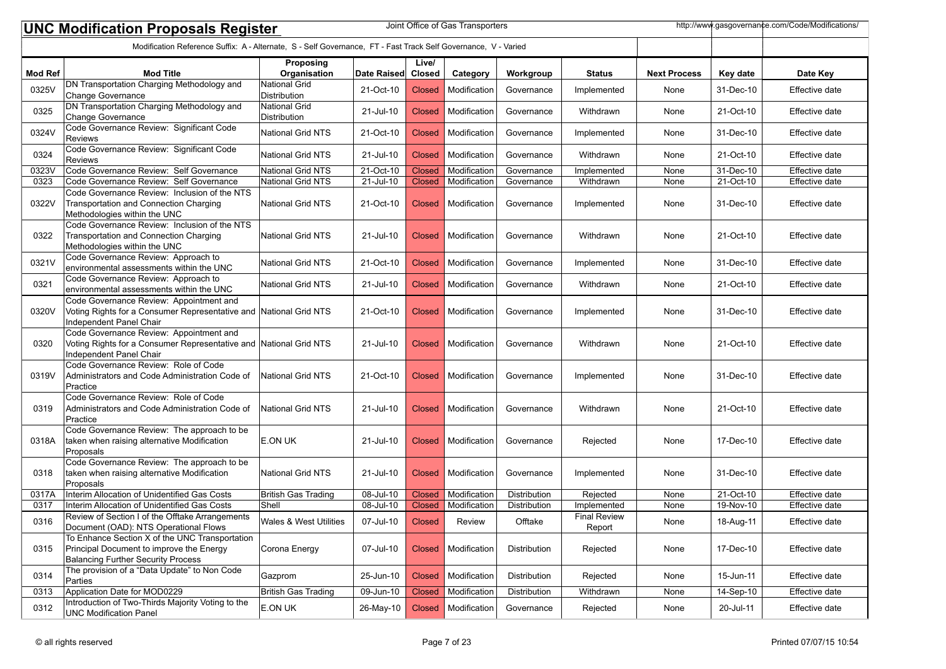|                                                                                                                                      | Joint Office of Gas Transporters<br>http://www.gasgovernance.com/Code/Modifications/<br><b>UNC Modification Proposals Register</b>      |                                             |             |               |              |              |                               |                     |             |                       |  |  |
|--------------------------------------------------------------------------------------------------------------------------------------|-----------------------------------------------------------------------------------------------------------------------------------------|---------------------------------------------|-------------|---------------|--------------|--------------|-------------------------------|---------------------|-------------|-----------------------|--|--|
| Modification Reference Suffix: A - Alternate, S - Self Governance, FT - Fast Track Self Governance, V - Varied<br>Live/<br>Proposing |                                                                                                                                         |                                             |             |               |              |              |                               |                     |             |                       |  |  |
| <b>Mod Ref</b>                                                                                                                       | <b>Mod Title</b>                                                                                                                        | Organisation                                | Date Raised | Closed        | Category     | Workgroup    | <b>Status</b>                 | <b>Next Process</b> | Key date    | Date Key              |  |  |
| 0325V                                                                                                                                | DN Transportation Charging Methodology and<br>Change Governance                                                                         | <b>National Grid</b><br>Distribution        | 21-Oct-10   | <b>Closed</b> | Modification | Governance   | Implemented                   | None                | 31-Dec-10   | Effective date        |  |  |
| 0325                                                                                                                                 | DN Transportation Charging Methodology and<br>Change Governance                                                                         | <b>National Grid</b><br><b>Distribution</b> | 21-Jul-10   | <b>Closed</b> | Modification | Governance   | Withdrawn                     | None                | 21-Oct-10   | Effective date        |  |  |
| 0324V                                                                                                                                | Code Governance Review: Significant Code<br>Reviews                                                                                     | <b>National Grid NTS</b>                    | 21-Oct-10   | <b>Closed</b> | Modification | Governance   | Implemented                   | None                | 31-Dec-10   | Effective date        |  |  |
| 0324                                                                                                                                 | Code Governance Review: Significant Code<br><b>Reviews</b>                                                                              | <b>National Grid NTS</b>                    | 21-Jul-10   | <b>Closed</b> | Modification | Governance   | Withdrawn                     | None                | 21-Oct-10   | Effective date        |  |  |
| 0323V                                                                                                                                | Code Governance Review: Self Governance                                                                                                 | <b>National Grid NTS</b>                    | 21-Oct-10   | <b>Closed</b> | Modification | Governance   | Implemented                   | None                | 31-Dec-10   | Effective date        |  |  |
| 0323                                                                                                                                 | Code Governance Review: Self Governance                                                                                                 | National Grid NTS                           | 21-Jul-10   | <b>Closed</b> | Modification | Governance   | Withdrawn                     | None                | 21-Oct-10   | Effective date        |  |  |
| 0322V                                                                                                                                | Code Governance Review: Inclusion of the NTS<br>Transportation and Connection Charging<br>Methodologies within the UNC                  | National Grid NTS                           | 21-Oct-10   | <b>Closed</b> | Modification | Governance   | Implemented                   | None                | 31-Dec-10   | Effective date        |  |  |
| 0322                                                                                                                                 | Code Governance Review: Inclusion of the NTS<br>Transportation and Connection Charging<br>Methodologies within the UNC                  | <b>National Grid NTS</b>                    | 21-Jul-10   | <b>Closed</b> | Modification | Governance   | Withdrawn                     | None                | 21-Oct-10   | Effective date        |  |  |
| 0321V                                                                                                                                | Code Governance Review: Approach to<br>environmental assessments within the UNC                                                         | <b>National Grid NTS</b>                    | 21-Oct-10   | <b>Closed</b> | Modification | Governance   | Implemented                   | None                | 31-Dec-10   | Effective date        |  |  |
| 0321                                                                                                                                 | Code Governance Review: Approach to<br>environmental assessments within the UNC                                                         | <b>National Grid NTS</b>                    | 21-Jul-10   | <b>Closed</b> | Modification | Governance   | Withdrawn                     | None                | 21-Oct-10   | Effective date        |  |  |
| 0320V                                                                                                                                | Code Governance Review: Appointment and<br>Voting Rights for a Consumer Representative and National Grid NTS<br>Independent Panel Chair |                                             | 21-Oct-10   | <b>Closed</b> | Modification | Governance   | Implemented                   | None                | 31-Dec-10   | Effective date        |  |  |
| 0320                                                                                                                                 | Code Governance Review: Appointment and<br>Voting Rights for a Consumer Representative and National Grid NTS<br>Independent Panel Chair |                                             | 21-Jul-10   | <b>Closed</b> | Modification | Governance   | Withdrawn                     | None                | 21-Oct-10   | Effective date        |  |  |
| 0319V                                                                                                                                | Code Governance Review: Role of Code<br>Administrators and Code Administration Code of<br>Practice                                      | National Grid NTS                           | 21-Oct-10   | <b>Closed</b> | Modification | Governance   | Implemented                   | None                | 31-Dec-10   | Effective date        |  |  |
| 0319                                                                                                                                 | Code Governance Review: Role of Code<br>Administrators and Code Administration Code of<br>Practice                                      | National Grid NTS                           | 21-Jul-10   | <b>Closed</b> | Modification | Governance   | Withdrawn                     | None                | 21-Oct-10   | Effective date        |  |  |
| 0318A                                                                                                                                | Code Governance Review: The approach to be<br>taken when raising alternative Modification<br>Proposals                                  | E.ON UK                                     | 21-Jul-10   | <b>Closed</b> | Modification | Governance   | Rejected                      | None                | 17-Dec-10   | Effective date        |  |  |
| 0318                                                                                                                                 | Code Governance Review: The approach to be<br>taken when raising alternative Modification<br>Proposals                                  | National Grid NTS                           | 21-Jul-10   | <b>Closed</b> | Modification | Governance   | Implemented                   | None                | 31-Dec-10   | Effective date        |  |  |
| 0317A                                                                                                                                | Interim Allocation of Unidentified Gas Costs                                                                                            | British Gas Trading                         | 08-Jul-10   | <b>Closed</b> | Modification | Distribution | Rejected                      | None                | $21-Oct-10$ | <b>Effective date</b> |  |  |
| 0317                                                                                                                                 | Interim Allocation of Unidentified Gas Costs                                                                                            | Shell                                       | 08-Jul-10   | <b>Closed</b> | Modification | Distribution | Implemented                   | None                | 19-Nov-10   | Effective date        |  |  |
| 0316                                                                                                                                 | Review of Section I of the Offtake Arrangements<br>Document (OAD): NTS Operational Flows                                                | Wales & West Utilities                      | 07-Jul-10   | Closed        | Review       | Offtake      | <b>Final Review</b><br>Report | None                | 18-Aug-11   | Effective date        |  |  |
| 0315                                                                                                                                 | To Enhance Section X of the UNC Transportation<br>Principal Document to improve the Energy<br><b>Balancing Further Security Process</b> | Corona Energy                               | 07-Jul-10   | <b>Closed</b> | Modification | Distribution | Rejected                      | None                | 17-Dec-10   | Effective date        |  |  |
| 0314                                                                                                                                 | The provision of a "Data Update" to Non Code<br>Parties                                                                                 | Gazprom                                     | 25-Jun-10   | <b>Closed</b> | Modification | Distribution | Rejected                      | None                | 15-Jun-11   | Effective date        |  |  |
| 0313                                                                                                                                 | Application Date for MOD0229                                                                                                            | British Gas Trading                         | 09-Jun-10   | <b>Closed</b> | Modification | Distribution | Withdrawn                     | None                | 14-Sep-10   | Effective date        |  |  |
| 0312                                                                                                                                 | Introduction of Two-Thirds Majority Voting to the<br><b>UNC Modification Panel</b>                                                      | E.ON UK                                     | 26-May-10   | <b>Closed</b> | Modification | Governance   | Rejected                      | None                | 20-Jul-11   | Effective date        |  |  |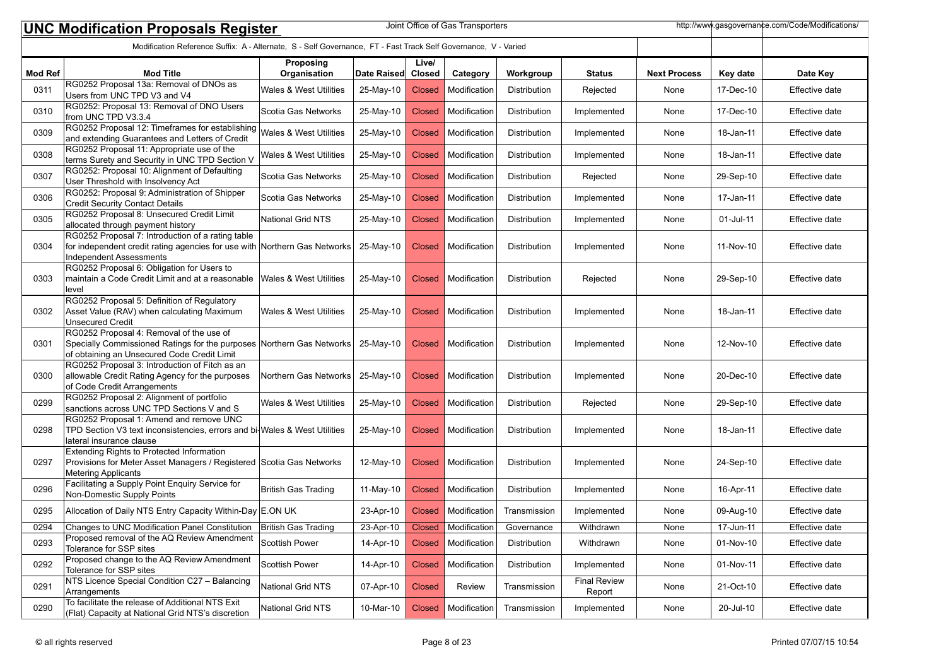|                | Joint Office of Gas Transporters<br>http://www.gasgovernance.com/Code/Modifications/<br><b>UNC Modification Proposals Register</b><br>Modification Reference Suffix: A - Alternate, S - Self Governance, FT - Fast Track Self Governance, V - Varied |                                   |             |                 |              |                     |                               |                     |               |                |  |
|----------------|------------------------------------------------------------------------------------------------------------------------------------------------------------------------------------------------------------------------------------------------------|-----------------------------------|-------------|-----------------|--------------|---------------------|-------------------------------|---------------------|---------------|----------------|--|
|                |                                                                                                                                                                                                                                                      |                                   |             |                 |              |                     |                               |                     |               |                |  |
| <b>Mod Ref</b> | <b>Mod Title</b>                                                                                                                                                                                                                                     | Proposing<br>Organisation         | Date Raised | Live/<br>Closed | Category     | Workgroup           | <b>Status</b>                 | <b>Next Process</b> | Key date      | Date Key       |  |
| 0311           | RG0252 Proposal 13a: Removal of DNOs as<br>Users from UNC TPD V3 and V4                                                                                                                                                                              | <b>Wales &amp; West Utilities</b> | 25-May-10   | <b>Closed</b>   | Modification | Distribution        | Rejected                      | None                | 17-Dec-10     | Effective date |  |
| 0310           | RG0252: Proposal 13: Removal of DNO Users<br>from UNC TPD V3.3.4                                                                                                                                                                                     | Scotia Gas Networks               | 25-May-10   | <b>Closed</b>   | Modification | Distribution        | Implemented                   | None                | 17-Dec-10     | Effective date |  |
| 0309           | RG0252 Proposal 12: Timeframes for establishing<br>and extending Guarantees and Letters of Credit                                                                                                                                                    | Wales & West Utilities            | 25-May-10   | <b>Closed</b>   | Modification | Distribution        | Implemented                   | None                | 18-Jan-11     | Effective date |  |
| 0308           | RG0252 Proposal 11: Appropriate use of the<br>terms Surety and Security in UNC TPD Section V                                                                                                                                                         | Wales & West Utilities            | 25-May-10   | <b>Closed</b>   | Modification | Distribution        | Implemented                   | None                | 18-Jan-11     | Effective date |  |
| 0307           | RG0252: Proposal 10: Alignment of Defaulting<br>User Threshold with Insolvency Act                                                                                                                                                                   | Scotia Gas Networks               | 25-May-10   | <b>Closed</b>   | Modification | Distribution        | Rejected                      | None                | 29-Sep-10     | Effective date |  |
| 0306           | RG0252: Proposal 9: Administration of Shipper<br><b>Credit Security Contact Details</b>                                                                                                                                                              | Scotia Gas Networks               | 25-May-10   | <b>Closed</b>   | Modification | Distribution        | Implemented                   | None                | 17-Jan-11     | Effective date |  |
| 0305           | RG0252 Proposal 8: Unsecured Credit Limit<br>allocated through payment history                                                                                                                                                                       | National Grid NTS                 | 25-May-10   | <b>Closed</b>   | Modification | Distribution        | Implemented                   | None                | 01-Jul-11     | Effective date |  |
| 0304           | RG0252 Proposal 7: Introduction of a rating table<br>for independent credit rating agencies for use with Northern Gas Networks<br>Independent Assessments                                                                                            |                                   | 25-May-10   | <b>Closed</b>   | Modification | Distribution        | Implemented                   | None                | 11-Nov-10     | Effective date |  |
| 0303           | RG0252 Proposal 6: Obligation for Users to<br>maintain a Code Credit Limit and at a reasonable<br>level                                                                                                                                              | Wales & West Utilities            | 25-May-10   | <b>Closed</b>   | Modification | Distribution        | Rejected                      | None                | 29-Sep-10     | Effective date |  |
| 0302           | RG0252 Proposal 5: Definition of Regulatory<br>Asset Value (RAV) when calculating Maximum<br><b>Unsecured Credit</b>                                                                                                                                 | Wales & West Utilities            | 25-May-10   | <b>Closed</b>   | Modification | Distribution        | Implemented                   | None                | 18-Jan-11     | Effective date |  |
| 0301           | RG0252 Proposal 4: Removal of the use of<br>Specially Commissioned Ratings for the purposes Northern Gas Networks<br>of obtaining an Unsecured Code Credit Limit                                                                                     |                                   | 25-May-10   | <b>Closed</b>   | Modification | Distribution        | Implemented                   | None                | 12-Nov-10     | Effective date |  |
| 0300           | RG0252 Proposal 3: Introduction of Fitch as an<br>allowable Credit Rating Agency for the purposes<br>of Code Credit Arrangements                                                                                                                     | Northern Gas Networks             | 25-May-10   | <b>Closed</b>   | Modification | Distribution        | Implemented                   | None                | 20-Dec-10     | Effective date |  |
| 0299           | RG0252 Proposal 2: Alignment of portfolio<br>sanctions across UNC TPD Sections V and S                                                                                                                                                               | Wales & West Utilities            | 25-May-10   | <b>Closed</b>   | Modification | Distribution        | Rejected                      | None                | 29-Sep-10     | Effective date |  |
| 0298           | RG0252 Proposal 1: Amend and remove UNC<br>TPD Section V3 text inconsistencies, errors and bi-Wales & West Utilities<br>lateral insurance clause                                                                                                     |                                   | 25-May-10   | <b>Closed</b>   | Modification | Distribution        | Implemented                   | None                | 18-Jan-11     | Effective date |  |
| 0297           | Extending Rights to Protected Information<br>Provisions for Meter Asset Managers / Registered Scotia Gas Networks<br><b>Metering Applicants</b>                                                                                                      |                                   | 12-May-10   | <b>Closed</b>   | Modification | <b>Distribution</b> | Implemented                   | None                | 24-Sep-10     | Effective date |  |
| 0296           | Facilitating a Supply Point Enquiry Service for<br>Non-Domestic Supply Points                                                                                                                                                                        | British Gas Trading               | 11-May-10   | <b>Closed</b>   | Modification | Distribution        | Implemented                   | None                | 16-Apr-11     | Effective date |  |
| 0295           | Allocation of Daily NTS Entry Capacity Within-Day E.ON UK                                                                                                                                                                                            |                                   | 23-Apr-10   | <b>Closed</b>   | Modification | Transmission        | Implemented                   | None                | 09-Aug-10     | Effective date |  |
| 0294           | Changes to UNC Modification Panel Constitution                                                                                                                                                                                                       | <b>British Gas Trading</b>        | 23-Apr-10   | Closed          | Modification | Governance          | Withdrawn                     | None                | $17 - Jun-11$ | Effective date |  |
| 0293           | Proposed removal of the AQ Review Amendment<br>Tolerance for SSP sites                                                                                                                                                                               | Scottish Power                    | 14-Apr-10   | <b>Closed</b>   | Modification | Distribution        | Withdrawn                     | None                | 01-Nov-10     | Effective date |  |
| 0292           | Proposed change to the AQ Review Amendment<br>Tolerance for SSP sites                                                                                                                                                                                | Scottish Power                    | 14-Apr-10   | <b>Closed</b>   | Modification | Distribution        | Implemented                   | None                | 01-Nov-11     | Effective date |  |
| 0291           | NTS Licence Special Condition C27 - Balancing<br>Arrangements                                                                                                                                                                                        | National Grid NTS                 | 07-Apr-10   | <b>Closed</b>   | Review       | Transmission        | <b>Final Review</b><br>Report | None                | 21-Oct-10     | Effective date |  |
| 0290           | To facilitate the release of Additional NTS Exit<br>(Flat) Capacity at National Grid NTS's discretion                                                                                                                                                | National Grid NTS                 | 10-Mar-10   | <b>Closed</b>   | Modification | Transmission        | Implemented                   | None                | 20-Jul-10     | Effective date |  |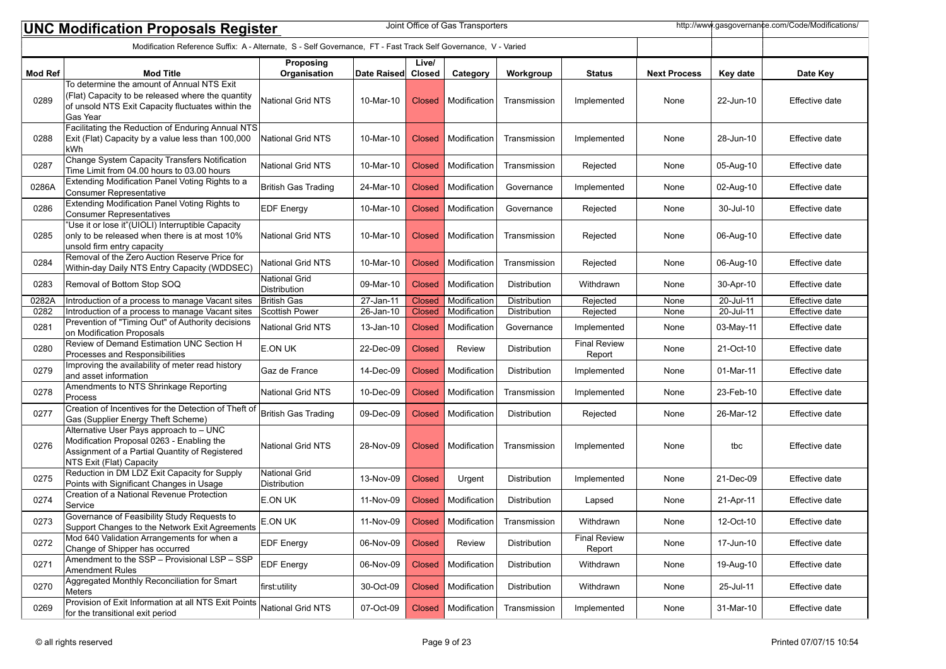| Joint Office of Gas Transporters<br>http://www.gasgovernance.com/Code/Modifications/<br><b>UNC Modification Proposals Register</b> |                                                                                                                                                                    |                                             |             |               |                       |                     |                               |                     |           |                       |
|------------------------------------------------------------------------------------------------------------------------------------|--------------------------------------------------------------------------------------------------------------------------------------------------------------------|---------------------------------------------|-------------|---------------|-----------------------|---------------------|-------------------------------|---------------------|-----------|-----------------------|
| Modification Reference Suffix: A - Alternate, S - Self Governance, FT - Fast Track Self Governance, V - Varied                     |                                                                                                                                                                    |                                             |             |               |                       |                     |                               |                     |           |                       |
|                                                                                                                                    |                                                                                                                                                                    | Proposing                                   |             | Live/         |                       |                     |                               |                     |           |                       |
| <b>Mod Ref</b>                                                                                                                     | <b>Mod Title</b><br>To determine the amount of Annual NTS Exit                                                                                                     | Organisation                                | Date Raised | <b>Closed</b> | Category              | Workgroup           | <b>Status</b>                 | <b>Next Process</b> | Key date  | Date Key              |
| 0289                                                                                                                               | (Flat) Capacity to be released where the quantity<br>of unsold NTS Exit Capacity fluctuates within the<br>Gas Year                                                 | National Grid NTS                           | 10-Mar-10   | Closed        | Modification          | Transmission        | Implemented                   | None                | 22-Jun-10 | Effective date        |
| 0288                                                                                                                               | Facilitating the Reduction of Enduring Annual NTS<br>Exit (Flat) Capacity by a value less than 100,000<br> kWh                                                     | <b>National Grid NTS</b>                    | 10-Mar-10   | Closed        | Modification          | Transmission        | Implemented                   | None                | 28-Jun-10 | Effective date        |
| 0287                                                                                                                               | Change System Capacity Transfers Notification<br>Time Limit from 04.00 hours to 03.00 hours                                                                        | <b>National Grid NTS</b>                    | 10-Mar-10   | <b>Closed</b> | Modification          | Transmission        | Rejected                      | None                | 05-Aug-10 | Effective date        |
| 0286A                                                                                                                              | Extending Modification Panel Voting Rights to a<br>Consumer Representative                                                                                         | <b>British Gas Trading</b>                  | 24-Mar-10   | Closed        | Modification          | Governance          | Implemented                   | None                | 02-Aug-10 | Effective date        |
| 0286                                                                                                                               | Extending Modification Panel Voting Rights to<br><b>Consumer Representatives</b>                                                                                   | <b>EDF Energy</b>                           | 10-Mar-10   | Closed        | Modification          | Governance          | Rejected                      | None                | 30-Jul-10 | Effective date        |
| 0285                                                                                                                               | "Use it or lose it"(UIOLI) Interruptible Capacity<br>only to be released when there is at most 10%<br>unsold firm entry capacity                                   | <b>National Grid NTS</b>                    | 10-Mar-10   | Closed        | Modification          | Transmission        | Rejected                      | None                | 06-Aug-10 | Effective date        |
| 0284                                                                                                                               | Removal of the Zero Auction Reserve Price for<br>Within-day Daily NTS Entry Capacity (WDDSEC)                                                                      | National Grid NTS                           | 10-Mar-10   | Closed        | Modification          | Transmission        | Rejected                      | None                | 06-Aug-10 | Effective date        |
| 0283                                                                                                                               | Removal of Bottom Stop SOQ                                                                                                                                         | <b>National Grid</b><br><b>Distribution</b> | 09-Mar-10   | <b>Closed</b> | Modification          | Distribution        | Withdrawn                     | None                | 30-Apr-10 | Effective date        |
| 0282A                                                                                                                              | Introduction of a process to manage Vacant sites                                                                                                                   | British Gas                                 | 27-Jan-11   | <b>Closed</b> | Modification          | Distribution        | Rejected                      | None                | 20-Jul-11 | <b>Effective date</b> |
| 0282                                                                                                                               | Introduction of a process to manage Vacant sites                                                                                                                   | Scottish Power                              | 26-Jan-10   | <b>Closed</b> | Modification          | Distribution        | Rejected                      | None                | 20-Jul-11 | Effective date        |
| 0281                                                                                                                               | Prevention of "Timing Out" of Authority decisions<br>on Modification Proposals                                                                                     | <b>National Grid NTS</b>                    | 13-Jan-10   | <b>Closed</b> | Modification          | Governance          | Implemented                   | None                | 03-May-11 | Effective date        |
| 0280                                                                                                                               | Review of Demand Estimation UNC Section H<br>Processes and Responsibilities                                                                                        | E.ON UK                                     | 22-Dec-09   | <b>Closed</b> | <b>Review</b>         | Distribution        | <b>Final Review</b><br>Report | None                | 21-Oct-10 | Effective date        |
| 0279                                                                                                                               | Improving the availability of meter read history<br>and asset information                                                                                          | Gaz de France                               | 14-Dec-09   | Closed        | Modification          | Distribution        | Implemented                   | None                | 01-Mar-11 | Effective date        |
| 0278                                                                                                                               | Amendments to NTS Shrinkage Reporting<br>Process                                                                                                                   | <b>National Grid NTS</b>                    | 10-Dec-09   | <b>Closed</b> | Modification          | Transmission        | Implemented                   | None                | 23-Feb-10 | Effective date        |
| 0277                                                                                                                               | Creation of Incentives for the Detection of Theft of<br>Gas (Supplier Energy Theft Scheme)                                                                         | <b>British Gas Trading</b>                  | 09-Dec-09   | Closed        | Modification          | Distribution        | Rejected                      | None                | 26-Mar-12 | Effective date        |
| 0276                                                                                                                               | Alternative User Pays approach to - UNC<br>Modification Proposal 0263 - Enabling the<br>Assignment of a Partial Quantity of Registered<br>NTS Exit (Flat) Capacity | <b>National Grid NTS</b>                    | 28-Nov-09   | Closed        | Modification          | Transmission        | Implemented                   | None                | tbc       | Effective date        |
| 0275                                                                                                                               | Reduction in DM LDZ Exit Capacity for Supply<br>Points with Significant Changes in Usage                                                                           | <b>National Grid</b><br>Distribution        | 13-Nov-09   | Closed        | Urgent                | Distribution        | Implemented                   | None                | 21-Dec-09 | Effective date        |
| 0274                                                                                                                               | Creation of a National Revenue Protection<br> Service                                                                                                              | E.ON UK                                     | 11-Nov-09   | Closed        | Modification          | <b>Distribution</b> | Lapsed                        | None                | 21-Apr-11 | Effective date        |
| 0273                                                                                                                               | Governance of Feasibility Study Requests to<br>Support Changes to the Network Exit Agreements                                                                      | E.ON UK                                     | 11-Nov-09   |               | Closed   Modification | Transmission        | Withdrawn                     | None                | 12-Oct-10 | Effective date        |
| 0272                                                                                                                               | Mod 640 Validation Arrangements for when a<br>Change of Shipper has occurred                                                                                       | <b>EDF</b> Energy                           | 06-Nov-09   | <b>Closed</b> | Review                | Distribution        | <b>Final Review</b><br>Report | None                | 17-Jun-10 | Effective date        |
| 0271                                                                                                                               | Amendment to the SSP - Provisional LSP - SSP<br>Amendment Rules                                                                                                    | <b>EDF</b> Energy                           | 06-Nov-09   | <b>Closed</b> | Modification          | Distribution        | Withdrawn                     | None                | 19-Aug-10 | Effective date        |
| 0270                                                                                                                               | Aggregated Monthly Reconciliation for Smart<br>Meters                                                                                                              | first:utility                               | 30-Oct-09   | Closed        | Modification          | Distribution        | Withdrawn                     | None                | 25-Jul-11 | Effective date        |
| 0269                                                                                                                               | Provision of Exit Information at all NTS Exit Points<br>for the transitional exit period                                                                           | National Grid NTS                           | 07-Oct-09   | <b>Closed</b> | Modification          | Transmission        | Implemented                   | None                | 31-Mar-10 | Effective date        |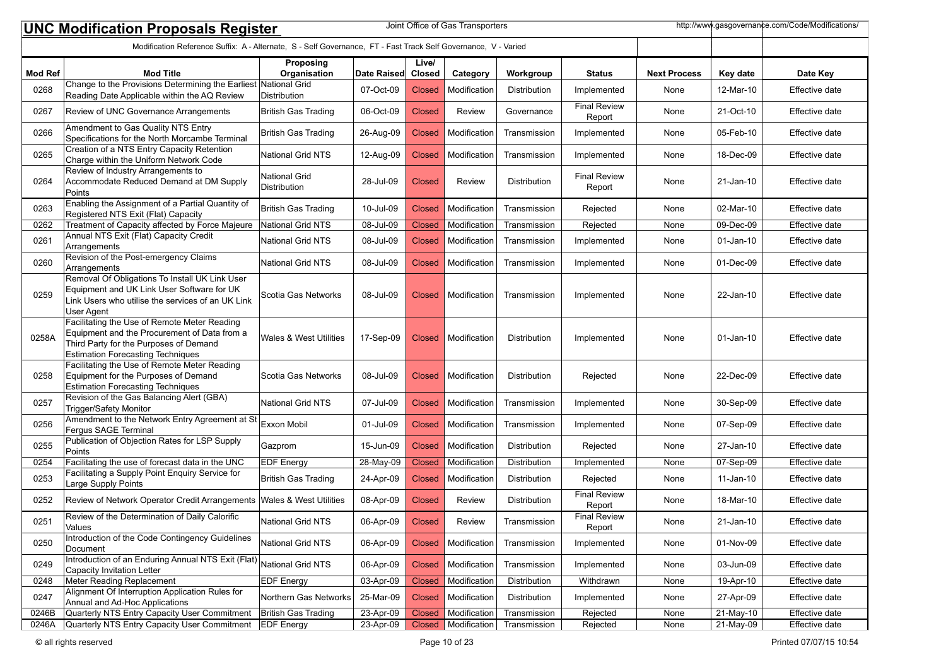| http://www.gasgovernance.com/Code/Modifications/<br>Joint Office of Gas Transporters<br><b>UNC Modification Proposals Register</b> |                                                                                                                                                                                    |                                             |             |                        |               |              |                               |                     |              |                       |  |
|------------------------------------------------------------------------------------------------------------------------------------|------------------------------------------------------------------------------------------------------------------------------------------------------------------------------------|---------------------------------------------|-------------|------------------------|---------------|--------------|-------------------------------|---------------------|--------------|-----------------------|--|
| Modification Reference Suffix: A - Alternate, S - Self Governance, FT - Fast Track Self Governance, V - Varied                     |                                                                                                                                                                                    |                                             |             |                        |               |              |                               |                     |              |                       |  |
| <b>Mod Ref</b>                                                                                                                     | <b>Mod Title</b>                                                                                                                                                                   | Proposing<br>Organisation                   | Date Raised | Live/<br><b>Closed</b> | Category      | Workgroup    | <b>Status</b>                 | <b>Next Process</b> | Key date     | Date Key              |  |
| 0268                                                                                                                               | Change to the Provisions Determining the Earliest National Grid<br>Reading Date Applicable within the AQ Review                                                                    | Distribution                                | 07-Oct-09   | <b>Closed</b>          | Modification  | Distribution | Implemented                   | None                | 12-Mar-10    | Effective date        |  |
| 0267                                                                                                                               | Review of UNC Governance Arrangements                                                                                                                                              | British Gas Trading                         | 06-Oct-09   | <b>Closed</b>          | <b>Review</b> | Governance   | <b>Final Review</b><br>Report | None                | 21-Oct-10    | Effective date        |  |
| 0266                                                                                                                               | Amendment to Gas Quality NTS Entry<br>Specifications for the North Morcambe Terminal                                                                                               | <b>British Gas Trading</b>                  | 26-Aug-09   | <b>Closed</b>          | Modification  | Transmission | Implemented                   | None                | 05-Feb-10    | Effective date        |  |
| 0265                                                                                                                               | Creation of a NTS Entry Capacity Retention<br>Charge within the Uniform Network Code                                                                                               | <b>National Grid NTS</b>                    | 12-Aug-09   | <b>Closed</b>          | Modification  | Transmission | Implemented                   | None                | 18-Dec-09    | Effective date        |  |
| 0264                                                                                                                               | Review of Industry Arrangements to<br>Accommodate Reduced Demand at DM Supply<br>Points                                                                                            | <b>National Grid</b><br><b>Distribution</b> | 28-Jul-09   | <b>Closed</b>          | Review        | Distribution | <b>Final Review</b><br>Report | None                | 21-Jan-10    | Effective date        |  |
| 0263                                                                                                                               | Enabling the Assignment of a Partial Quantity of<br>Registered NTS Exit (Flat) Capacity                                                                                            | British Gas Trading                         | 10-Jul-09   | <b>Closed</b>          | Modification  | Transmission | Rejected                      | None                | 02-Mar-10    | Effective date        |  |
| 0262                                                                                                                               | Treatment of Capacity affected by Force Majeure                                                                                                                                    | <b>National Grid NTS</b>                    | 08-Jul-09   | <b>Closed</b>          | Modification  | Transmission | Rejected                      | None                | 09-Dec-09    | Effective date        |  |
| 0261                                                                                                                               | Annual NTS Exit (Flat) Capacity Credit<br>Arrangements                                                                                                                             | <b>National Grid NTS</b>                    | 08-Jul-09   | <b>Closed</b>          | Modification  | Transmission | Implemented                   | None                | $01$ -Jan-10 | Effective date        |  |
| 0260                                                                                                                               | Revision of the Post-emergency Claims<br>Arrangements                                                                                                                              | <b>National Grid NTS</b>                    | 08-Jul-09   | <b>Closed</b>          | Modification  | Transmission | Implemented                   | None                | 01-Dec-09    | Effective date        |  |
| 0259                                                                                                                               | Removal Of Obligations To Install UK Link User<br>Equipment and UK Link User Software for UK<br>Link Users who utilise the services of an UK Link<br>User Agent                    | Scotia Gas Networks                         | 08-Jul-09   | <b>Closed</b>          | Modification  | Transmission | Implemented                   | None                | 22-Jan-10    | Effective date        |  |
| 0258A                                                                                                                              | Facilitating the Use of Remote Meter Reading<br>Equipment and the Procurement of Data from a<br>Third Party for the Purposes of Demand<br><b>Estimation Forecasting Techniques</b> | Wales & West Utilities                      | 17-Sep-09   | <b>Closed</b>          | Modification  | Distribution | Implemented                   | None                | $01$ -Jan-10 | Effective date        |  |
| 0258                                                                                                                               | Facilitating the Use of Remote Meter Reading<br>Equipment for the Purposes of Demand<br><b>Estimation Forecasting Techniques</b>                                                   | Scotia Gas Networks                         | 08-Jul-09   | <b>Closed</b>          | Modification  | Distribution | Rejected                      | None                | 22-Dec-09    | Effective date        |  |
| 0257                                                                                                                               | Revision of the Gas Balancing Alert (GBA)<br>Trigger/Safety Monitor                                                                                                                | <b>National Grid NTS</b>                    | 07-Jul-09   | <b>Closed</b>          | Modification  | Transmission | Implemented                   | None                | 30-Sep-09    | Effective date        |  |
| 0256                                                                                                                               | Amendment to the Network Entry Agreement at St<br>Fergus SAGE Terminal                                                                                                             | Exxon Mobil                                 | 01-Jul-09   | <b>Closed</b>          | Modification  | Transmission | Implemented                   | None                | 07-Sep-09    | Effective date        |  |
| 0255                                                                                                                               | Publication of Objection Rates for LSP Supply<br>Points                                                                                                                            | Gazprom                                     | 15-Jun-09   | <b>Closed</b>          | Modification  | Distribution | Rejected                      | None                | 27-Jan-10    | Effective date        |  |
| 0254                                                                                                                               | Facilitating the use of forecast data in the UNC                                                                                                                                   | <b>EDF</b> Energy                           | 28-May-09   | <b>Closed</b>          | Modification  | Distribution | Implemented                   | None                | 07-Sep-09    | Effective date        |  |
| 0253                                                                                                                               | Facilitating a Supply Point Enquiry Service for<br>Large Supply Points                                                                                                             | British Gas Trading                         | 24-Apr-09   | <b>Closed</b>          | Modification  | Distribution | Rejected                      | None                | 11-Jan-10    | Effective date        |  |
| 0252                                                                                                                               | Review of Network Operator Credit Arrangements                                                                                                                                     | <b>Wales &amp; West Utilities</b>           | 08-Apr-09   | <b>Closed</b>          | <b>Review</b> | Distribution | <b>Final Review</b><br>Report | None                | 18-Mar-10    | Effective date        |  |
| 0251                                                                                                                               | Review of the Determination of Daily Calorific<br>Values                                                                                                                           | National Grid NTS                           | 06-Apr-09   | Closed                 | Review        | Transmission | <b>Final Review</b><br>Report | None                | 21-Jan-10    | Effective date        |  |
| 0250                                                                                                                               | Introduction of the Code Contingency Guidelines<br>Document                                                                                                                        | National Grid NTS                           | 06-Apr-09   | <b>Closed</b>          | Modification  | Transmission | Implemented                   | None                | 01-Nov-09    | Effective date        |  |
| 0249                                                                                                                               | Introduction of an Enduring Annual NTS Exit (Flat) National Grid NTS<br>Capacity Invitation Letter                                                                                 |                                             | 06-Apr-09   | <b>Closed</b>          | Modification  | Transmission | Implemented                   | None                | 03-Jun-09    | Effective date        |  |
| 0248                                                                                                                               | Meter Reading Replacement                                                                                                                                                          | <b>EDF Energy</b>                           | 03-Apr-09   | <b>Closed</b>          | Modification  | Distribution | Withdrawn                     | None                | 19-Apr-10    | Effective date        |  |
| 0247                                                                                                                               | Alignment Of Interruption Application Rules for<br>Annual and Ad-Hoc Applications                                                                                                  | Northern Gas Networks                       | 25-Mar-09   | <b>Closed</b>          | Modification  | Distribution | Implemented                   | None                | 27-Apr-09    | Effective date        |  |
| 0246B                                                                                                                              | Quarterly NTS Entry Capacity User Commitment                                                                                                                                       | British Gas Trading                         | 23-Apr-09   | <b>Closed</b>          | Modification  | Transmission | Rejected                      | None                | 21-May-10    | Effective date        |  |
| 0246A                                                                                                                              | Quarterly NTS Entry Capacity User Commitment EDF Energy                                                                                                                            |                                             | 23-Apr-09   | Closed                 | Modification  | Transmission | Rejected                      | None                | 21-May-09    | <b>Effective date</b> |  |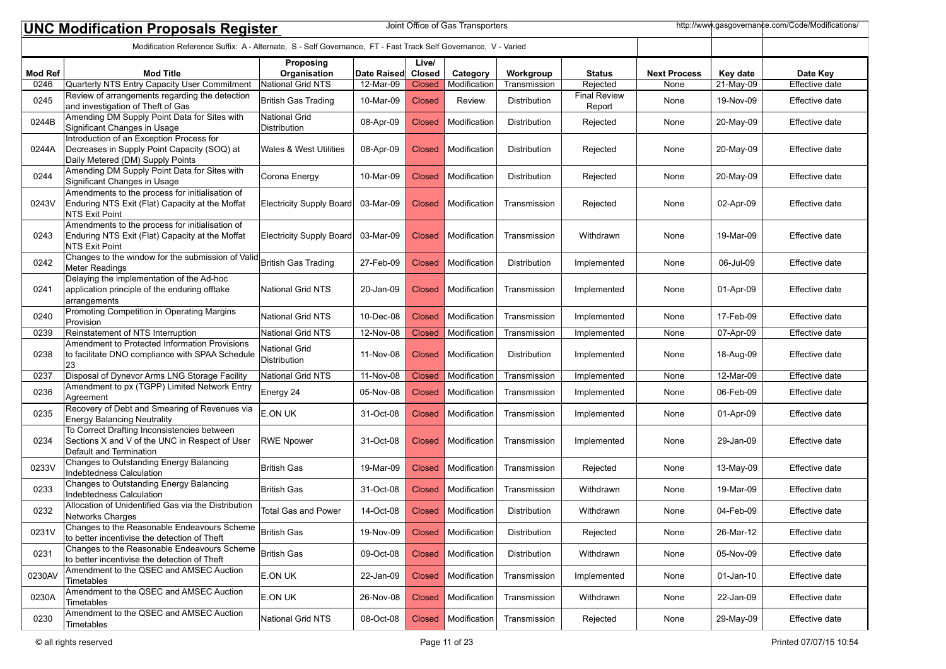|                | Joint Office of Gas Transporters<br>http://www.gasgovernance.com/Code/Modifications/<br><b>UNC Modification Proposals Register</b> |                                      |             |                        |               |                     |                               |                     |              |                       |  |
|----------------|------------------------------------------------------------------------------------------------------------------------------------|--------------------------------------|-------------|------------------------|---------------|---------------------|-------------------------------|---------------------|--------------|-----------------------|--|
|                | Modification Reference Suffix: A - Alternate, S - Self Governance, FT - Fast Track Self Governance, V - Varied                     |                                      |             |                        |               |                     |                               |                     |              |                       |  |
| <b>Mod Ref</b> | <b>Mod Title</b>                                                                                                                   | Proposing<br>Organisation            | Date Raised | Live/<br><b>Closed</b> | Category      | Workgroup           | <b>Status</b>                 | <b>Next Process</b> | Key date     | Date Key              |  |
| 0246           | Quarterly NTS Entry Capacity User Commitment                                                                                       | National Grid NTS                    | 12-Mar-09   | <b>Closed</b>          | Modification  | Transmission        | Rejected                      | None                | 21-May-09    | <b>Effective date</b> |  |
| 0245           | Review of arrangements regarding the detection<br>and investigation of Theft of Gas                                                | British Gas Trading                  | 10-Mar-09   | Closed                 | <b>Review</b> | Distribution        | <b>Final Review</b><br>Report | None                | 19-Nov-09    | Effective date        |  |
| 0244B          | Amending DM Supply Point Data for Sites with<br>Significant Changes in Usage                                                       | <b>National Grid</b><br>Distribution | 08-Apr-09   | <b>Closed</b>          | Modification  | Distribution        | Rejected                      | None                | 20-May-09    | Effective date        |  |
| 0244A          | Introduction of an Exception Process for<br>Decreases in Supply Point Capacity (SOQ) at<br>Daily Metered (DM) Supply Points        | <b>Wales &amp; West Utilities</b>    | 08-Apr-09   | <b>Closed</b>          | Modification  | Distribution        | Rejected                      | None                | 20-May-09    | Effective date        |  |
| 0244           | Amending DM Supply Point Data for Sites with<br>Significant Changes in Usage                                                       | Corona Energy                        | 10-Mar-09   | <b>Closed</b>          | Modification  | Distribution        | Rejected                      | None                | 20-May-09    | Effective date        |  |
| 0243V          | Amendments to the process for initialisation of<br>Enduring NTS Exit (Flat) Capacity at the Moffat<br>NTS Exit Point               | Electricity Supply Board             | 03-Mar-09   | Closed                 | Modification  | Transmission        | Rejected                      | None                | 02-Apr-09    | Effective date        |  |
| 0243           | Amendments to the process for initialisation of<br>Enduring NTS Exit (Flat) Capacity at the Moffat<br>NTS Exit Point               | Electricity Supply Board             | 03-Mar-09   | Closed                 | Modification  | Transmission        | Withdrawn                     | None                | 19-Mar-09    | Effective date        |  |
| 0242           | Changes to the window for the submission of Valid British Gas Trading<br>Meter Readings                                            |                                      | 27-Feb-09   | Closed                 | Modification  | Distribution        | Implemented                   | None                | 06-Jul-09    | Effective date        |  |
| 0241           | Delaying the implementation of the Ad-hoc<br>application principle of the enduring offtake<br>arrangements                         | <b>National Grid NTS</b>             | 20-Jan-09   | Closed                 | Modification  | Transmission        | Implemented                   | None                | 01-Apr-09    | Effective date        |  |
| 0240           | Promoting Competition in Operating Margins<br>Provision                                                                            | <b>National Grid NTS</b>             | 10-Dec-08   | Closed                 | Modification  | Transmission        | Implemented                   | None                | 17-Feb-09    | Effective date        |  |
| 0239           | Reinstatement of NTS Interruption                                                                                                  | National Grid NTS                    | 12-Nov-08   | <b>Closed</b>          | Modification  | Transmission        | Implemented                   | None                | 07-Apr-09    | Effective date        |  |
| 0238           | Amendment to Protected Information Provisions<br>to facilitate DNO compliance with SPAA Schedule<br>23                             | National Grid<br>Distribution        | 11-Nov-08   | Closed                 | Modification  | Distribution        | Implemented                   | None                | 18-Aug-09    | Effective date        |  |
| 0237           | Disposal of Dynevor Arms LNG Storage Facility                                                                                      | National Grid NTS                    | 11-Nov-08   | <b>Closed</b>          | Modification  | Transmission        | Implemented                   | None                | 12-Mar-09    | Effective date        |  |
| 0236           | Amendment to px (TGPP) Limited Network Entry<br>Agreement                                                                          | Energy 24                            | 05-Nov-08   | <b>Closed</b>          | Modification  | Transmission        | Implemented                   | None                | 06-Feb-09    | Effective date        |  |
| 0235           | Recovery of Debt and Smearing of Revenues via<br><b>Energy Balancing Neutrality</b>                                                | E.ON UK                              | 31-Oct-08   | Closed                 | Modification  | Transmission        | Implemented                   | None                | 01-Apr-09    | Effective date        |  |
| 0234           | To Correct Drafting Inconsistencies between<br>Sections X and V of the UNC in Respect of User<br>Default and Termination           | <b>RWE Npower</b>                    | 31-Oct-08   | Closed                 | Modification  | Transmission        | Implemented                   | None                | 29-Jan-09    | Effective date        |  |
| 0233V          | Changes to Outstanding Energy Balancing<br>Indebtedness Calculation                                                                | <b>British Gas</b>                   | 19-Mar-09   | Closed                 | Modification  | Transmission        | Rejected                      | None                | 13-May-09    | Effective date        |  |
| 0233           | Changes to Outstanding Energy Balancing<br>Indebtedness Calculation                                                                | <b>British Gas</b>                   | 31-Oct-08   | <b>Closed</b>          | Modification  | Transmission        | Withdrawn                     | None                | 19-Mar-09    | Effective date        |  |
| 0232           | Allocation of Unidentified Gas via the Distribution<br>Networks Charges                                                            | <b>Total Gas and Power</b>           | 14-Oct-08   | Closed                 | Modification  | <b>Distribution</b> | Withdrawn                     | None                | 04-Feb-09    | Effective date        |  |
| 0231V          | Changes to the Reasonable Endeavours Scheme<br>to better incentivise the detection of Theft                                        | British Gas                          | 19-Nov-09   | <b>Closed</b>          | Modification  | Distribution        | Rejected                      | None                | 26-Mar-12    | Effective date        |  |
| 0231           | Changes to the Reasonable Endeavours Scheme<br>to better incentivise the detection of Theft                                        | <b>British Gas</b>                   | 09-Oct-08   | <b>Closed</b>          | Modification  | Distribution        | Withdrawn                     | None                | 05-Nov-09    | Effective date        |  |
| 0230AV         | Amendment to the QSEC and AMSEC Auction<br>Timetables                                                                              | E.ON UK                              | 22-Jan-09   | <b>Closed</b>          | Modification  | Transmission        | Implemented                   | None                | $01$ -Jan-10 | Effective date        |  |
| 0230A          | Amendment to the QSEC and AMSEC Auction<br>Timetables                                                                              | E.ON UK                              | 26-Nov-08   | <b>Closed</b>          | Modification  | Transmission        | Withdrawn                     | None                | 22-Jan-09    | Effective date        |  |
| 0230           | Amendment to the QSEC and AMSEC Auction<br><b>Timetables</b>                                                                       | National Grid NTS                    | 08-Oct-08   | <b>Closed</b>          | Modification  | Transmission        | Rejected                      | None                | 29-May-09    | Effective date        |  |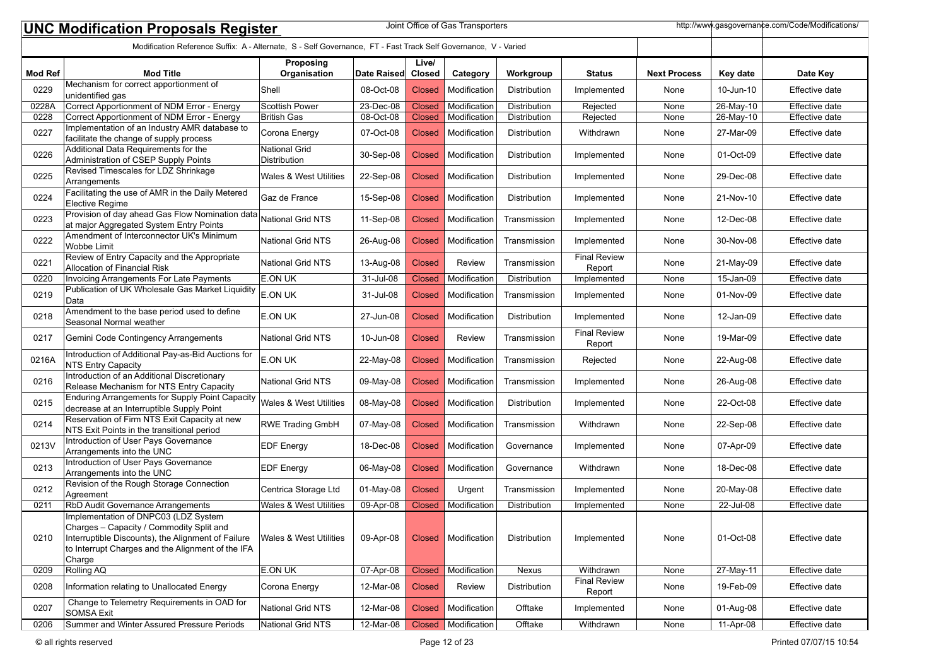| Joint Office of Gas Transporters<br>http://www.gasgovernance.com/Code/Modifications/<br><b>UNC Modification Proposals Register</b> |                                                                                                                                                                                                       |                                   |             |                 |                       |                     |                               |                     |           |                |
|------------------------------------------------------------------------------------------------------------------------------------|-------------------------------------------------------------------------------------------------------------------------------------------------------------------------------------------------------|-----------------------------------|-------------|-----------------|-----------------------|---------------------|-------------------------------|---------------------|-----------|----------------|
|                                                                                                                                    | Modification Reference Suffix: A - Alternate, S - Self Governance, FT - Fast Track Self Governance, V - Varied                                                                                        |                                   |             |                 |                       |                     |                               |                     |           |                |
| <b>Mod Ref</b>                                                                                                                     | <b>Mod Title</b>                                                                                                                                                                                      | Proposing<br>Organisation         | Date Raised | Live/<br>Closed | Category              | Workgroup           | <b>Status</b>                 | <b>Next Process</b> | Key date  | Date Key       |
| 0229                                                                                                                               | Mechanism for correct apportionment of<br>unidentified gas                                                                                                                                            | Shell                             | 08-Oct-08   | <b>Closed</b>   | Modification          | Distribution        | Implemented                   | None                | 10-Jun-10 | Effective date |
| 0228A                                                                                                                              | Correct Apportionment of NDM Error - Energy                                                                                                                                                           | Scottish Power                    | 23-Dec-08   | Closed          | Modification          | Distribution        | Rejected                      | None                | 26-May-10 | Effective date |
| 0228                                                                                                                               | Correct Apportionment of NDM Error - Energy                                                                                                                                                           | <b>British Gas</b>                | 08-Oct-08   | Closed          | Modification          | Distribution        | Rejected                      | None                | 26-May-10 | Effective date |
| 0227                                                                                                                               | Implementation of an Industry AMR database to<br>facilitate the change of supply process                                                                                                              | Corona Energy                     | 07-Oct-08   | <b>Closed</b>   | Modification          | Distribution        | Withdrawn                     | None                | 27-Mar-09 | Effective date |
| 0226                                                                                                                               | Additional Data Requirements for the<br>Administration of CSEP Supply Points                                                                                                                          | National Grid<br>Distribution     | 30-Sep-08   | <b>Closed</b>   | Modification          | Distribution        | Implemented                   | None                | 01-Oct-09 | Effective date |
| 0225                                                                                                                               | Revised Timescales for LDZ Shrinkage<br>Arrangements                                                                                                                                                  | Wales & West Utilities            | 22-Sep-08   | <b>Closed</b>   | Modification          | Distribution        | Implemented                   | None                | 29-Dec-08 | Effective date |
| 0224                                                                                                                               | Facilitating the use of AMR in the Daily Metered<br>Elective Regime                                                                                                                                   | Gaz de France                     | 15-Sep-08   | <b>Closed</b>   | Modification          | Distribution        | Implemented                   | None                | 21-Nov-10 | Effective date |
| 0223                                                                                                                               | <b>Elevent Council Constructs</b><br>Provision of day ahead Gas Flow Nomination data National Grid NTS<br>at major Aggregated System Entry Points                                                     |                                   | 11-Sep-08   | <b>Closed</b>   | Modification          | Transmission        | Implemented                   | None                | 12-Dec-08 | Effective date |
| 0222                                                                                                                               | Amendment of Interconnector UK's Minimum<br><b>Wobbe Limit</b>                                                                                                                                        | National Grid NTS                 | 26-Aug-08   | <b>Closed</b>   | Modification          | Transmission        | Implemented                   | None                | 30-Nov-08 | Effective date |
| 0221                                                                                                                               | Review of Entry Capacity and the Appropriate<br>Allocation of Financial Risk                                                                                                                          | National Grid NTS                 | 13-Aug-08   | <b>Closed</b>   | <b>Review</b>         | Transmission        | <b>Final Review</b><br>Report | None                | 21-May-09 | Effective date |
| 0220                                                                                                                               | <b>Invoicing Arrangements For Late Payments</b>                                                                                                                                                       | <b>E.ON UK</b>                    | 31-Jul-08   | <b>Closed</b>   | Modification          | Distribution        | Implemented                   | None                | 15-Jan-09 | Effective date |
| 0219                                                                                                                               | Publication of UK Wholesale Gas Market Liquidity<br>Data                                                                                                                                              | E.ON UK                           | 31-Jul-08   | <b>Closed</b>   | Modification          | Transmission        | Implemented                   | None                | 01-Nov-09 | Effective date |
| 0218                                                                                                                               | Amendment to the base period used to define<br>Seasonal Normal weather                                                                                                                                | E.ON UK                           | 27-Jun-08   | <b>Closed</b>   | Modification          | <b>Distribution</b> | Implemented                   | None                | 12-Jan-09 | Effective date |
| 0217                                                                                                                               | Gemini Code Contingency Arrangements                                                                                                                                                                  | National Grid NTS                 | 10-Jun-08   | <b>Closed</b>   | Review                | Transmission        | <b>Final Review</b><br>Report | None                | 19-Mar-09 | Effective date |
| 0216A                                                                                                                              | Introduction of Additional Pay-as-Bid Auctions for<br>NTS Entry Capacity                                                                                                                              | E.ON UK                           | 22-May-08   | <b>Closed</b>   | Modification          | Transmission        | Rejected                      | None                | 22-Aug-08 | Effective date |
| 0216                                                                                                                               | Introduction of an Additional Discretionary<br>Release Mechanism for NTS Entry Capacity                                                                                                               | National Grid NTS                 | 09-May-08   | <b>Closed</b>   | Modification          | Transmission        | Implemented                   | None                | 26-Aug-08 | Effective date |
| 0215                                                                                                                               | <b>Enduring Arrangements for Supply Point Capacity</b><br>decrease at an Interruptible Supply Point                                                                                                   | Wales & West Utilities            | 08-May-08   | <b>Closed</b>   | Modification          | Distribution        | Implemented                   | None                | 22-Oct-08 | Effective date |
| 0214                                                                                                                               | Reservation of Firm NTS Exit Capacity at new<br>NTS Exit Points in the transitional period                                                                                                            | <b>RWE Trading GmbH</b>           | 07-May-08   | <b>Closed</b>   | Modification          | Transmission        | Withdrawn                     | None                | 22-Sep-08 | Effective date |
| 0213V                                                                                                                              | Introduction of User Pays Governance<br>Arrangements into the UNC                                                                                                                                     | <b>EDF Energy</b>                 | 18-Dec-08   | <b>Closed</b>   | Modification          | Governance          | Implemented                   | None                | 07-Apr-09 | Effective date |
| 0213                                                                                                                               | Introduction of User Pays Governance<br>Arrangements into the UNC                                                                                                                                     | <b>EDF Energy</b>                 | 06-May-08   | <b>Closed</b>   | Modification          | Governance          | Withdrawn                     | None                | 18-Dec-08 | Effective date |
| 0212                                                                                                                               | Revision of the Rough Storage Connection<br>Agreement                                                                                                                                                 | Centrica Storage Ltd              | 01-May-08   | <b>Closed</b>   | Urgent                | Transmission        | Implemented                   | None                | 20-May-08 | Effective date |
| 0211                                                                                                                               | RbD Audit Governance Arrangements                                                                                                                                                                     | <b>Wales &amp; West Utilities</b> | 09-Apr-08   | <b>Closed</b>   | Modification          | Distribution        | Implemented                   | None                | 22-Jul-08 | Effective date |
| 0210                                                                                                                               | Implementation of DNPC03 (LDZ System<br>Charges - Capacity / Commodity Split and<br>Interruptible Discounts), the Alignment of Failure<br>to Interrupt Charges and the Alignment of the IFA<br>Charge | Wales & West Utilities            | 09-Apr-08   | <b>Closed</b>   | Modification          | Distribution        | Implemented                   | None                | 01-Oct-08 | Effective date |
| 0209                                                                                                                               | <b>Rolling AQ</b>                                                                                                                                                                                     | <b>E.ON UK</b>                    | 07-Apr-08   | <b>Closed</b>   | Modification          | Nexus               | Withdrawn                     | None                | 27-May-11 | Effective date |
| 0208                                                                                                                               | Information relating to Unallocated Energy                                                                                                                                                            | Corona Energy                     | 12-Mar-08   | <b>Closed</b>   | Review                | Distribution        | <b>Final Review</b><br>Report | None                | 19-Feb-09 | Effective date |
| 0207                                                                                                                               | Change to Telemetry Requirements in OAD for<br><b>SOMSA Exit</b>                                                                                                                                      | National Grid NTS                 | 12-Mar-08   | Closed          | Modification          | Offtake             | Implemented                   | None                | 01-Aug-08 | Effective date |
| 0206                                                                                                                               | Summer and Winter Assured Pressure Periods                                                                                                                                                            | National Grid NTS                 | 12-Mar-08   |                 | Closed   Modification | Offtake             | Withdrawn                     | None                | 11-Apr-08 | Effective date |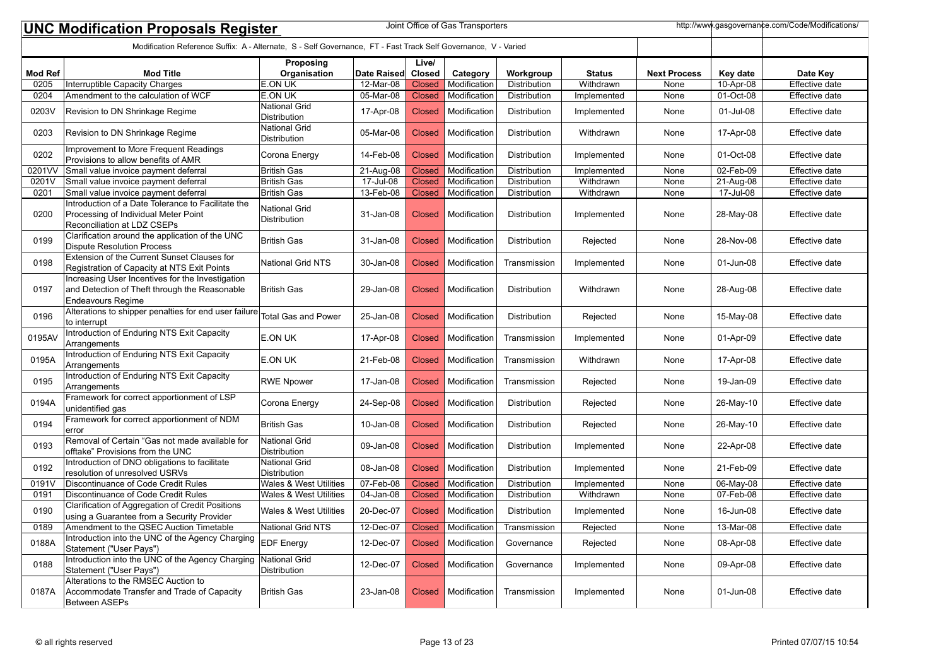|                | Joint Office of Gas Transporters<br>http://www.gasgovernance.com/Code/Modifications/<br><b>UNC Modification Proposals Register</b> |                                             |             |               |              |                     |               |                     |              |                       |  |
|----------------|------------------------------------------------------------------------------------------------------------------------------------|---------------------------------------------|-------------|---------------|--------------|---------------------|---------------|---------------------|--------------|-----------------------|--|
|                | Modification Reference Suffix: A - Alternate, S - Self Governance, FT - Fast Track Self Governance, V - Varied                     |                                             |             |               |              |                     |               |                     |              |                       |  |
|                |                                                                                                                                    | Proposing                                   |             | Live/         |              |                     |               |                     |              |                       |  |
| <b>Mod Ref</b> | <b>Mod Title</b>                                                                                                                   | Organisation                                | Date Raised | Closed        | Category     | Workgroup           | <b>Status</b> | <b>Next Process</b> | Key date     | Date Key              |  |
| 0205           | Interruptible Capacity Charges                                                                                                     | <b>E.ON UK</b>                              | $12-Mar-08$ | <b>Closed</b> | Modification | <b>Distribution</b> | Withdrawn     | None                | 10-Apr-08    | <b>Effective date</b> |  |
| 0204           | Amendment to the calculation of WCF                                                                                                | <b>E.ON UK</b><br><b>National Grid</b>      | 05-Mar-08   | <b>Closed</b> | Modification | Distribution        | Implemented   | None                | 01-Oct-08    | <b>Effective date</b> |  |
| 0203V          | Revision to DN Shrinkage Regime                                                                                                    | Distribution                                | 17-Apr-08   | <b>Closed</b> | Modification | Distribution        | Implemented   | None                | 01-Jul-08    | Effective date        |  |
| 0203           | Revision to DN Shrinkage Regime                                                                                                    | <b>National Grid</b><br><b>Distribution</b> | 05-Mar-08   | <b>Closed</b> | Modification | Distribution        | Withdrawn     | None                | 17-Apr-08    | Effective date        |  |
| 0202           | Improvement to More Frequent Readings<br>Provisions to allow benefits of AMR                                                       | Corona Energy                               | 14-Feb-08   | <b>Closed</b> | Modification | Distribution        | Implemented   | None                | 01-Oct-08    | Effective date        |  |
| 0201VV         | Small value invoice payment deferral                                                                                               | British Gas                                 | 21-Aug-08   | <b>Closed</b> | Modification | Distribution        | Implemented   | None                | $02$ -Feb-09 | Effective date        |  |
| 0201V          | Small value invoice payment deferral                                                                                               | British Gas                                 | 17-Jul-08   | <b>Closed</b> | Modification | Distribution        | Withdrawn     | None                | 21-Aug-08    | Effective date        |  |
| 0201           | Small value invoice payment deferral                                                                                               | British Gas                                 | 13-Feb-08   | <b>Closed</b> | Modification | Distribution        | Withdrawn     | None                | 17-Jul-08    | Effective date        |  |
| 0200           | Introduction of a Date Tolerance to Facilitate the<br>Processing of Individual Meter Point<br>Reconciliation at LDZ CSEPs          | <b>National Grid</b><br><b>Distribution</b> | 31-Jan-08   | Closed        | Modification | Distribution        | Implemented   | None                | 28-May-08    | Effective date        |  |
| 0199           | Clarification around the application of the UNC<br>Dispute Resolution Process                                                      | <b>British Gas</b>                          | 31-Jan-08   | <b>Closed</b> | Modification | Distribution        | Rejected      | None                | 28-Nov-08    | Effective date        |  |
| 0198           | Extension of the Current Sunset Clauses for<br>Registration of Capacity at NTS Exit Points                                         | <b>National Grid NTS</b>                    | 30-Jan-08   | Closed        | Modification | Transmission        | Implemented   | None                | 01-Jun-08    | Effective date        |  |
| 0197           | Increasing User Incentives for the Investigation<br>and Detection of Theft through the Reasonable<br>Endeavours Regime             | British Gas                                 | 29-Jan-08   | Closed        | Modification | Distribution        | Withdrawn     | None                | 28-Aug-08    | Effective date        |  |
| 0196           | Alterations to shipper penalties for end user failure<br>to interrupt                                                              | <b>Total Gas and Power</b>                  | 25-Jan-08   | <b>Closed</b> | Modification | Distribution        | Rejected      | None                | 15-May-08    | Effective date        |  |
| 0195AV         | Introduction of Enduring NTS Exit Capacity<br>Arrangements                                                                         | <b>E.ON UK</b>                              | 17-Apr-08   | Closed        | Modification | Transmission        | Implemented   | None                | 01-Apr-09    | Effective date        |  |
| 0195A          | Introduction of Enduring NTS Exit Capacity<br>Arrangements                                                                         | E.ON UK                                     | 21-Feb-08   | <b>Closed</b> | Modification | Transmission        | Withdrawn     | None                | 17-Apr-08    | Effective date        |  |
| 0195           | Introduction of Enduring NTS Exit Capacity<br>Arrangements                                                                         | <b>RWE Npower</b>                           | 17-Jan-08   | <b>Closed</b> | Modification | Transmission        | Rejected      | None                | 19-Jan-09    | Effective date        |  |
| 0194A          | Framework for correct apportionment of LSP<br>unidentified gas                                                                     | Corona Energy                               | 24-Sep-08   | <b>Closed</b> | Modification | Distribution        | Rejected      | None                | 26-May-10    | Effective date        |  |
| 0194           | Framework for correct apportionment of NDM<br>lerror                                                                               | <b>British Gas</b>                          | 10-Jan-08   | Closed        | Modification | Distribution        | Rejected      | None                | 26-May-10    | Effective date        |  |
| 0193           | Removal of Certain "Gas not made available for<br>offtake" Provisions from the UNC                                                 | <b>National Grid</b><br><b>Distribution</b> | 09-Jan-08   | <b>Closed</b> | Modification | Distribution        | Implemented   | None                | 22-Apr-08    | Effective date        |  |
| 0192           | Introduction of DNO obligations to facilitate<br>resolution of unresolved USRVs                                                    | <b>National Grid</b><br>Distribution        | 08-Jan-08   | <b>Closed</b> | Modification | Distribution        | Implemented   | None                | 21-Feb-09    | Effective date        |  |
| 0191V          | Discontinuance of Code Credit Rules                                                                                                | <b>Wales &amp; West Utilities</b>           | 07-Feb-08   | <b>Closed</b> | Modification | Distribution        | Implemented   | None                | 06-May-08    | Effective date        |  |
| 0191           | Discontinuance of Code Credit Rules                                                                                                | <b>Wales &amp; West Utilities</b>           | 04-Jan-08   | <b>Closed</b> | Modification | Distribution        | Withdrawn     | None                | 07-Feb-08    | Effective date        |  |
| 0190           | Clarification of Aggregation of Credit Positions<br>using a Guarantee from a Security Provider                                     | <b>Wales &amp; West Utilities</b>           | 20-Dec-07   | <b>Closed</b> | Modification | <b>Distribution</b> | Implemented   | None                | 16-Jun-08    | Effective date        |  |
| 0189           | Amendment to the QSEC Auction Timetable                                                                                            | <b>National Grid NTS</b>                    | 12-Dec-07   | Closed        | Modification | Transmission        | Rejected      | None                | 13-Mar-08    | Effective date        |  |
| 0188A          | Introduction into the UNC of the Agency Charging<br>Statement ("User Pays")                                                        | <b>EDF</b> Energy                           | 12-Dec-07   | Closed        | Modification | Governance          | Rejected      | None                | 08-Apr-08    | Effective date        |  |
| 0188           | Introduction into the UNC of the Agency Charging<br>Statement ("User Pays")                                                        | National Grid<br>Distribution               | 12-Dec-07   | <b>Closed</b> | Modification | Governance          | Implemented   | None                | 09-Apr-08    | Effective date        |  |
| 0187A          | Alterations to the RMSEC Auction to<br>Accommodate Transfer and Trade of Capacity<br>Between ASEPs                                 | British Gas                                 | 23-Jan-08   | <b>Closed</b> | Modification | Transmission        | Implemented   | None                | 01-Jun-08    | Effective date        |  |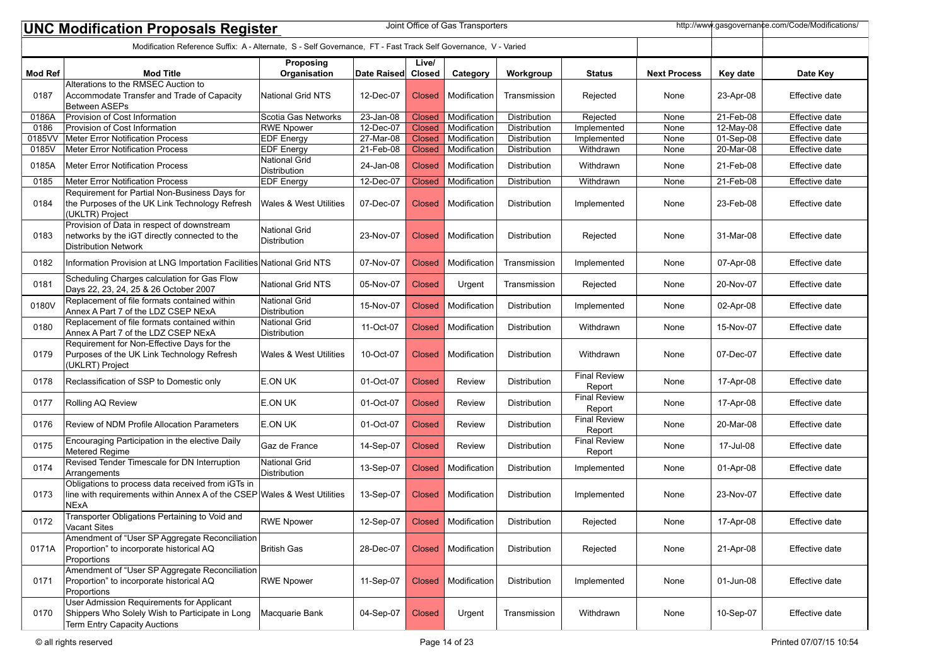|                | Joint Office of Gas Transporters<br>http://www.gasgovernance.com/Code/Modifications/<br><b>UNC Modification Proposals Register</b>           |                                             |              |                        |                       |                     |                               |                     |              |                       |  |
|----------------|----------------------------------------------------------------------------------------------------------------------------------------------|---------------------------------------------|--------------|------------------------|-----------------------|---------------------|-------------------------------|---------------------|--------------|-----------------------|--|
|                | Modification Reference Suffix: A - Alternate, S - Self Governance, FT - Fast Track Self Governance, V - Varied                               |                                             |              |                        |                       |                     |                               |                     |              |                       |  |
| <b>Mod Ref</b> | <b>Mod Title</b>                                                                                                                             | Proposing<br>Organisation                   | Date Raised  | Live/<br><b>Closed</b> | Category              | Workgroup           | <b>Status</b>                 | <b>Next Process</b> | Key date     | Date Key              |  |
|                | Alterations to the RMSEC Auction to                                                                                                          |                                             |              |                        |                       |                     |                               |                     |              |                       |  |
| 0187           | Accommodate Transfer and Trade of Capacity<br>Between ASEPs                                                                                  | <b>National Grid NTS</b>                    | 12-Dec-07    | Closed                 | Modification          | Transmission        | Rejected                      | None                | 23-Apr-08    | Effective date        |  |
| 0186A          | Provision of Cost Information                                                                                                                | Scotia Gas Networks                         | 23-Jan-08    | <b>Closed</b>          | Modification          | Distribution        | Rejected                      | None                | 21-Feb-08    | Effective date        |  |
| 0186           | Provision of Cost Information                                                                                                                | <b>RWE Npower</b>                           | 12-Dec-07    | Closed                 | Modification          | Distribution        | Implemented                   | None                | 12-May-08    | Effective date        |  |
| 0185VV         | Meter Error Notification Process                                                                                                             | <b>EDF Energy</b>                           | 27-Mar-08    | <b>Closed</b>          | Modification          | Distribution        | Implemented                   | None                | 01-Sep-08    | <b>Effective date</b> |  |
| 0185V          | Meter Error Notification Process                                                                                                             | <b>EDF Energy</b>                           | $21$ -Feb-08 | <b>Closed</b>          | Modification          | <b>Distribution</b> | Withdrawn                     | None                | $20$ -Mar-08 | Effective date        |  |
| 0185A          | Meter Error Notification Process                                                                                                             | <b>National Grid</b><br>Distribution        | 24-Jan-08    | <b>Closed</b>          | Modification          | Distribution        | Withdrawn                     | None                | 21-Feb-08    | Effective date        |  |
| 0185           | Meter Error Notification Process                                                                                                             | <b>EDF Energy</b>                           | 12-Dec-07    | Closed                 | Modification          | Distribution        | Withdrawn                     | None                | 21-Feb-08    | Effective date        |  |
| 0184           | Requirement for Partial Non-Business Days for<br>the Purposes of the UK Link Technology Refresh<br>(UKLTR) Project                           | <b>Wales &amp; West Utilities</b>           | 07-Dec-07    | Closed                 | Modification          | Distribution        | Implemented                   | None                | 23-Feb-08    | Effective date        |  |
| 0183           | Provision of Data in respect of downstream<br>networks by the iGT directly connected to the<br>Distribution Network                          | <b>National Grid</b><br><b>Distribution</b> | 23-Nov-07    | Closed                 | Modification          | Distribution        | Rejected                      | None                | 31-Mar-08    | Effective date        |  |
| 0182           | Information Provision at LNG Importation Facilities National Grid NTS                                                                        |                                             | 07-Nov-07    | Closed                 | Modification          | Transmission        | Implemented                   | None                | 07-Apr-08    | Effective date        |  |
| 0181           | Scheduling Charges calculation for Gas Flow<br>Days 22, 23, 24, 25 & 26 October 2007                                                         | <b>National Grid NTS</b>                    | 05-Nov-07    | <b>Closed</b>          | Urgent                | Transmission        | Rejected                      | None                | 20-Nov-07    | Effective date        |  |
| 0180V          | Replacement of file formats contained within<br>Annex A Part 7 of the LDZ CSEP NExA                                                          | <b>National Grid</b><br><b>Distribution</b> | 15-Nov-07    | <b>Closed</b>          | Modification          | Distribution        | Implemented                   | None                | 02-Apr-08    | Effective date        |  |
| 0180           | Replacement of file formats contained within<br>Annex A Part 7 of the LDZ CSEP NExA                                                          | <b>National Grid</b><br>Distribution        | 11-Oct-07    | <b>Closed</b>          | Modification          | Distribution        | Withdrawn                     | None                | 15-Nov-07    | Effective date        |  |
| 0179           | Requirement for Non-Effective Days for the<br>Purposes of the UK Link Technology Refresh<br>(UKLRT) Project                                  | <b>Wales &amp; West Utilities</b>           | 10-Oct-07    | Closed                 | Modification          | Distribution        | Withdrawn                     | None                | 07-Dec-07    | Effective date        |  |
| 0178           | Reclassification of SSP to Domestic only                                                                                                     | E.ON UK                                     | 01-Oct-07    | <b>Closed</b>          | <b>Review</b>         | Distribution        | <b>Final Review</b><br>Report | None                | 17-Apr-08    | Effective date        |  |
| 0177           | Rolling AQ Review                                                                                                                            | E.ON UK                                     | 01-Oct-07    | <b>Closed</b>          | <b>Review</b>         | Distribution        | <b>Final Review</b><br>Report | None                | 17-Apr-08    | Effective date        |  |
| 0176           | Review of NDM Profile Allocation Parameters                                                                                                  | E.ON UK                                     | 01-Oct-07    | <b>Closed</b>          | <b>Review</b>         | Distribution        | <b>Final Review</b><br>Report | None                | 20-Mar-08    | Effective date        |  |
| 0175           | Encouraging Participation in the elective Daily<br>Metered Regime                                                                            | Gaz de France                               | 14-Sep-07    | <b>Closed</b>          | Review                | Distribution        | <b>Final Review</b><br>Report | None                | 17-Jul-08    | Effective date        |  |
| 0174           | Revised Tender Timescale for DN Interruption<br>Arrangements                                                                                 | <b>National Grid</b><br>Distribution        | 13-Sep-07    | Closed                 | Modification          | Distribution        | Implemented                   | None                | 01-Apr-08    | Effective date        |  |
| 0173           | Obligations to process data received from iGTs in<br>line with requirements within Annex A of the CSEP Wales & West Utilities<br><b>NExA</b> |                                             | 13-Sep-07    | Closed                 | Modification          | Distribution        | Implemented                   | None                | 23-Nov-07    | Effective date        |  |
| 0172           | Transporter Obligations Pertaining to Void and<br>Vacant Sites                                                                               | <b>RWE Npower</b>                           | 12-Sep-07    |                        | Closed   Modification | Distribution        | Rejected                      | None                | 17-Apr-08    | Effective date        |  |
| 0171A          | Amendment of "User SP Aggregate Reconciliation<br>Proportion" to incorporate historical AQ<br>Proportions                                    | British Gas                                 | 28-Dec-07    | <b>Closed</b>          | Modification          | Distribution        | Rejected                      | None                | 21-Apr-08    | Effective date        |  |
| 0171           | Amendment of "User SP Aggregate Reconciliation<br>Proportion" to incorporate historical AQ<br>Proportions                                    | <b>RWE Npower</b>                           | 11-Sep-07    | <b>Closed</b>          | Modification          | Distribution        | Implemented                   | None                | 01-Jun-08    | Effective date        |  |
| 0170           | User Admission Requirements for Applicant<br>Shippers Who Solely Wish to Participate in Long<br>Term Entry Capacity Auctions                 | Macquarie Bank                              | 04-Sep-07    | <b>Closed</b>          | Urgent                | Transmission        | Withdrawn                     | None                | 10-Sep-07    | Effective date        |  |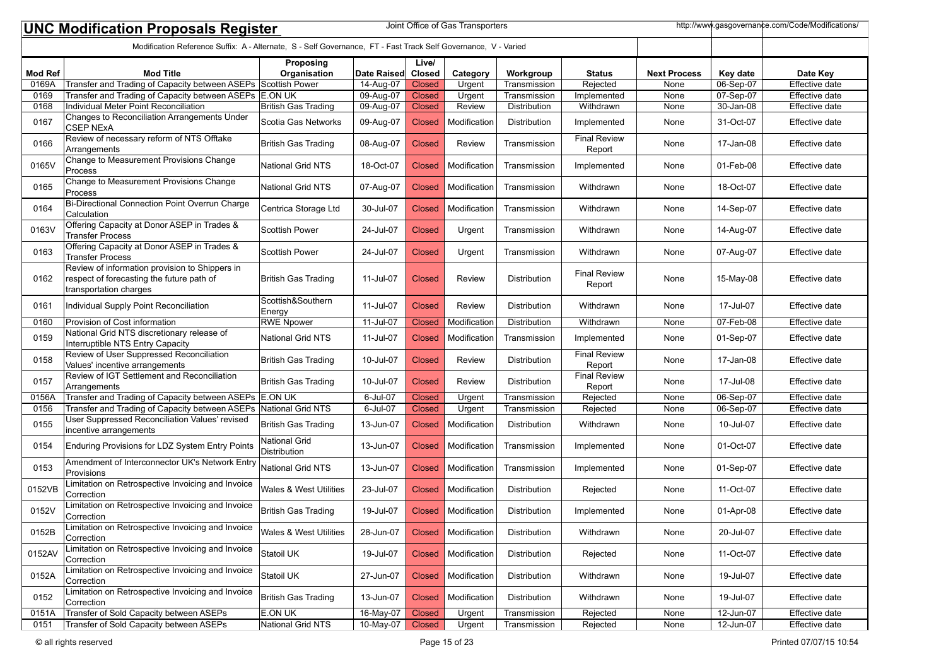|                | http://www.gasgovernance.com/Code/Modifications/<br>Joint Office of Gas Transporters<br><b>UNC Modification Proposals Register</b> |                                      |             |                        |               |                     |                               |                     |           |                       |
|----------------|------------------------------------------------------------------------------------------------------------------------------------|--------------------------------------|-------------|------------------------|---------------|---------------------|-------------------------------|---------------------|-----------|-----------------------|
|                | Modification Reference Suffix: A - Alternate, S - Self Governance, FT - Fast Track Self Governance, V - Varied                     |                                      |             |                        |               |                     |                               |                     |           |                       |
| <b>Mod Ref</b> | <b>Mod Title</b>                                                                                                                   | Proposing<br>Organisation            | Date Raised | Live/<br><b>Closed</b> | Category      | Workgroup           | <b>Status</b>                 | <b>Next Process</b> | Key date  | Date Key              |
| 0169A          | Transfer and Trading of Capacity between ASEPs Scottish Power                                                                      |                                      | 14-Aug-07   | <b>Closed</b>          | Urgent        | Transmission        | Rejected                      | None                | 06-Sep-07 | <b>Effective date</b> |
| 0169           | Transfer and Trading of Capacity between ASEPs E.ON UK                                                                             |                                      | 09-Aug-07   | <b>Closed</b>          | Urgent        | Transmission        | Implemented                   | None                | 07-Sep-07 | Effective date        |
| 0168           | Individual Meter Point Reconciliation                                                                                              | <b>British Gas Trading</b>           | 09-Aug-07   | <b>Closed</b>          | Review        | Distribution        | Withdrawn                     | None                | 30-Jan-08 | Effective date        |
| 0167           | Changes to Reconciliation Arrangements Under<br><b>CSEP NExA</b>                                                                   | Scotia Gas Networks                  | 09-Aug-07   | <b>Closed</b>          | Modification  | Distribution        | Implemented                   | None                | 31-Oct-07 | Effective date        |
| 0166           | Review of necessary reform of NTS Offtake<br>Arrangements                                                                          | <b>British Gas Trading</b>           | 08-Aug-07   | <b>Closed</b>          | <b>Review</b> | Transmission        | <b>Final Review</b><br>Report | None                | 17-Jan-08 | Effective date        |
| 0165V          | Change to Measurement Provisions Change<br>Process                                                                                 | <b>National Grid NTS</b>             | 18-Oct-07   | Closed                 | Modification  | Transmission        | Implemented                   | None                | 01-Feb-08 | Effective date        |
| 0165           | Change to Measurement Provisions Change<br>Process                                                                                 | <b>National Grid NTS</b>             | 07-Aug-07   | <b>Closed</b>          | Modification  | Transmission        | Withdrawn                     | None                | 18-Oct-07 | Effective date        |
| 0164           | Bi-Directional Connection Point Overrun Charge<br>Calculation                                                                      | Centrica Storage Ltd                 | 30-Jul-07   | Closed                 | Modification  | Transmission        | Withdrawn                     | None                | 14-Sep-07 | Effective date        |
| 0163V          | Offering Capacity at Donor ASEP in Trades &<br><b>Transfer Process</b>                                                             | <b>Scottish Power</b>                | 24-Jul-07   | Closed                 | Urgent        | Transmission        | Withdrawn                     | None                | 14-Aug-07 | Effective date        |
| 0163           | Offering Capacity at Donor ASEP in Trades &<br><b>Transfer Process</b>                                                             | Scottish Power                       | 24-Jul-07   | Closed                 | Urgent        | Transmission        | Withdrawn                     | None                | 07-Aug-07 | Effective date        |
| 0162           | Review of information provision to Shippers in<br>respect of forecasting the future path of<br>transportation charges              | <b>British Gas Trading</b>           | 11-Jul-07   | Closed                 | <b>Review</b> | Distribution        | <b>Final Review</b><br>Report | None                | 15-May-08 | Effective date        |
| 0161           | Individual Supply Point Reconciliation                                                                                             | Scottish&Southern<br>Energy          | 11-Jul-07   | <b>Closed</b>          | Review        | <b>Distribution</b> | Withdrawn                     | None                | 17-Jul-07 | Effective date        |
| 0160           | Provision of Cost information                                                                                                      | <b>RWE Npower</b>                    | 11-Jul-07   | Closed                 | Modification  | Distribution        | Withdrawn                     | None                | 07-Feb-08 | Effective date        |
| 0159           | National Grid NTS discretionary release of<br>Interruptible NTS Entry Capacity                                                     | <b>National Grid NTS</b>             | 11-Jul-07   | Closed                 | Modification  | Transmission        | Implemented                   | None                | 01-Sep-07 | Effective date        |
| 0158           | Review of User Suppressed Reconciliation<br>Values' incentive arrangements                                                         | <b>British Gas Trading</b>           | 10-Jul-07   | <b>Closed</b>          | Review        | Distribution        | <b>Final Review</b><br>Report | None                | 17-Jan-08 | Effective date        |
| 0157           | Review of IGT Settlement and Reconciliation<br>Arrangements                                                                        | British Gas Trading                  | 10-Jul-07   | <b>Closed</b>          | <b>Review</b> | Distribution        | <b>Final Review</b><br>Report | None                | 17-Jul-08 | Effective date        |
| 0156A          | Transfer and Trading of Capacity between ASEPs E.ON UK                                                                             |                                      | 6-Jul-07    | <b>Closed</b>          | Urgent        | Transmission        | Rejected                      | None                | 06-Sep-07 | Effective date        |
| 0156           | Transfer and Trading of Capacity between ASEPs National Grid NTS                                                                   |                                      | $6$ -Jul-07 | <b>Closed</b>          | Urgent        | Transmission        | Rejected                      | None                | 06-Sep-07 | Effective date        |
| 0155           | User Suppressed Reconciliation Values' revised<br>incentive arrangements                                                           | <b>British Gas Trading</b>           | 13-Jun-07   | Closed                 | Modification  | Distribution        | Withdrawn                     | None                | 10-Jul-07 | Effective date        |
| 0154           | Enduring Provisions for LDZ System Entry Points                                                                                    | <b>National Grid</b><br>Distribution | 13-Jun-07   | Closed                 | Modification  | Transmission        | Implemented                   | None                | 01-Oct-07 | Effective date        |
| 0153           | Amendment of Interconnector UK's Network Entry<br>Provisions                                                                       | National Grid NTS                    | 13-Jun-07   | <b>Closed</b>          | Modification  | Transmission        | Implemented                   | None                | 01-Sep-07 | Effective date        |
| 0152VB         | Limitation on Retrospective Invoicing and Invoice<br>Correction                                                                    | <b>Wales &amp; West Utilities</b>    | 23-Jul-07   | Closed                 | Modification  | <b>Distribution</b> | Rejected                      | None                | 11-Oct-07 | Effective date        |
| 0152V          | Limitation on Retrospective Invoicing and Invoice<br>Correction                                                                    | British Gas Trading                  | 19-Jul-07   | Closed                 | Modification  | Distribution        | Implemented                   | None                | 01-Apr-08 | Effective date        |
| 0152B          | Limitation on Retrospective Invoicing and Invoice<br>Correction                                                                    | <b>Wales &amp; West Utilities</b>    | 28-Jun-07   | <b>Closed</b>          | Modification  | Distribution        | Withdrawn                     | None                | 20-Jul-07 | Effective date        |
| 0152AV         | Limitation on Retrospective Invoicing and Invoice<br>Correction                                                                    | Statoil UK                           | 19-Jul-07   | <b>Closed</b>          | Modification  | Distribution        | Rejected                      | None                | 11-Oct-07 | Effective date        |
| 0152A          | Limitation on Retrospective Invoicing and Invoice<br>Correction                                                                    | Statoil UK                           | 27-Jun-07   | <b>Closed</b>          | Modification  | Distribution        | Withdrawn                     | None                | 19-Jul-07 | Effective date        |
| 0152           | Limitation on Retrospective Invoicing and Invoice<br>Correction                                                                    | <b>British Gas Trading</b>           | 13-Jun-07   | <b>Closed</b>          | Modification  | Distribution        | Withdrawn                     | None                | 19-Jul-07 | Effective date        |
| 0151A          | Transfer of Sold Capacity between ASEPs                                                                                            | E.ON UK                              | 16-May-07   | <b>Closed</b>          | Urgent        | Transmission        | Rejected                      | None                | 12-Jun-07 | Effective date        |
| 0151           | Transfer of Sold Capacity between ASEPs                                                                                            | National Grid NTS                    | 10-May-07   | Closed                 | Urgent        | Transmission        | Rejected                      | None                | 12-Jun-07 | Effective date        |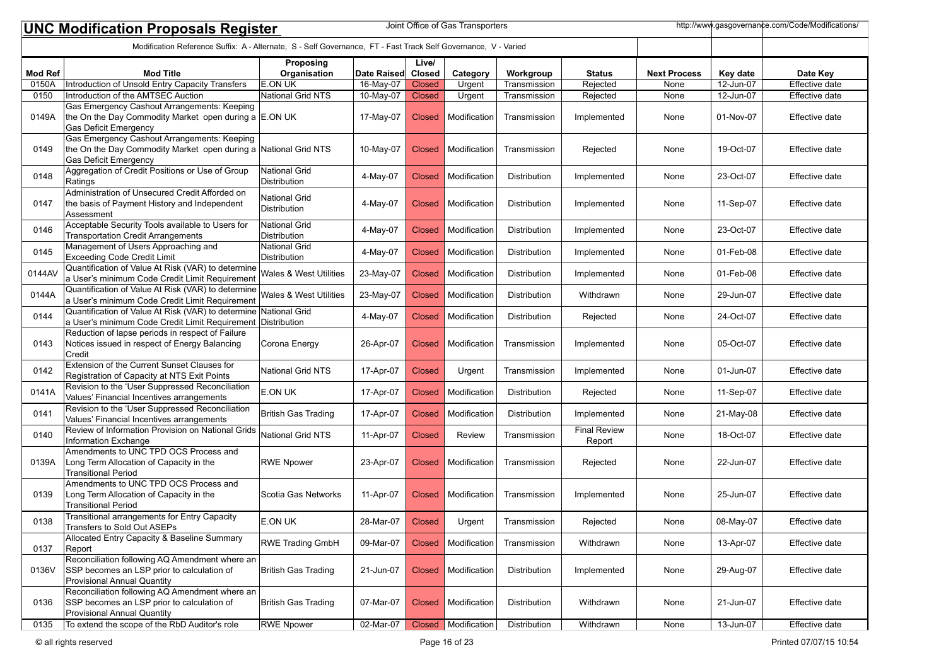|                | http://www.gasgovernance.com/Code/Modifications/<br>Joint Office of Gas Transporters<br><b>UNC Modification Proposals Register</b>             |                                      |             |                        |              |              |                               |                     |           |                |  |
|----------------|------------------------------------------------------------------------------------------------------------------------------------------------|--------------------------------------|-------------|------------------------|--------------|--------------|-------------------------------|---------------------|-----------|----------------|--|
|                | Modification Reference Suffix: A - Alternate, S - Self Governance, FT - Fast Track Self Governance, V - Varied                                 |                                      |             |                        |              |              |                               |                     |           |                |  |
| <b>Mod Ref</b> | <b>Mod Title</b>                                                                                                                               | Proposing<br>Organisation            | Date Raised | Live/<br><b>Closed</b> | Category     | Workgroup    | <b>Status</b>                 | <b>Next Process</b> | Key date  | Date Key       |  |
| 0150A          | Introduction of Unsold Entry Capacity Transfers                                                                                                | <b>E.ON UK</b>                       | 16-May-07   | <b>Closed</b>          | Urgent       | Transmission | Rejected                      | None                | 12-Jun-07 | Effective date |  |
| 0150           | Introduction of the AMTSEC Auction                                                                                                             | National Grid NTS                    | 10-May-07   | <b>Closed</b>          | Urgent       | Transmission | Rejected                      | None                | 12-Jun-07 | Effective date |  |
| 0149A          | Gas Emergency Cashout Arrangements: Keeping<br>the On the Day Commodity Market open during a E.ON UK<br><b>Gas Deficit Emergency</b>           |                                      | 17-May-07   | <b>Closed</b>          | Modification | Transmission | Implemented                   | None                | 01-Nov-07 | Effective date |  |
| 0149           | Gas Emergency Cashout Arrangements: Keeping<br>the On the Day Commodity Market open during a National Grid NTS<br><b>Gas Deficit Emergency</b> |                                      | 10-May-07   | <b>Closed</b>          | Modification | Transmission | Rejected                      | None                | 19-Oct-07 | Effective date |  |
| 0148           | Aggregation of Credit Positions or Use of Group<br>Ratings                                                                                     | <b>National Grid</b><br>Distribution | 4-May-07    | <b>Closed</b>          | Modification | Distribution | Implemented                   | None                | 23-Oct-07 | Effective date |  |
| 0147           | Administration of Unsecured Credit Afforded on<br>the basis of Payment History and Independent<br>Assessment                                   | <b>National Grid</b><br>Distribution | 4-May-07    | <b>Closed</b>          | Modification | Distribution | Implemented                   | None                | 11-Sep-07 | Effective date |  |
| 0146           | Acceptable Security Tools available to Users for<br><b>Transportation Credit Arrangements</b>                                                  | National Grid<br>Distribution        | 4-May-07    | <b>Closed</b>          | Modification | Distribution | Implemented                   | None                | 23-Oct-07 | Effective date |  |
| 0145           | Management of Users Approaching and<br>Exceeding Code Credit Limit                                                                             | <b>National Grid</b><br>Distribution | 4-May-07    | <b>Closed</b>          | Modification | Distribution | Implemented                   | None                | 01-Feb-08 | Effective date |  |
| 0144AV         | Quantification of Value At Risk (VAR) to determine<br>a User's minimum Code Credit Limit Requirement                                           | Wales & West Utilities               | 23-May-07   | <b>Closed</b>          | Modification | Distribution | Implemented                   | None                | 01-Feb-08 | Effective date |  |
| 0144A          | Quantification of Value At Risk (VAR) to determine<br>a User's minimum Code Credit Limit Requirement                                           | Wales & West Utilities               | 23-May-07   | <b>Closed</b>          | Modification | Distribution | Withdrawn                     | None                | 29-Jun-07 | Effective date |  |
| 0144           | Quantification of Value At Risk (VAR) to determine National Grid<br>a User's minimum Code Credit Limit Requirement Distribution                |                                      | 4-May-07    | <b>Closed</b>          | Modification | Distribution | Rejected                      | None                | 24-Oct-07 | Effective date |  |
| 0143           | Reduction of lapse periods in respect of Failure<br>Notices issued in respect of Energy Balancing<br>Credit                                    | Corona Energy                        | 26-Apr-07   | <b>Closed</b>          | Modification | Transmission | Implemented                   | None                | 05-Oct-07 | Effective date |  |
| 0142           | Extension of the Current Sunset Clauses for<br>Registration of Capacity at NTS Exit Points                                                     | <b>National Grid NTS</b>             | 17-Apr-07   | <b>Closed</b>          | Urgent       | Transmission | Implemented                   | None                | 01-Jun-07 | Effective date |  |
| 0141A          | Revision to the 'User Suppressed Reconciliation<br>Values' Financial Incentives arrangements                                                   | E.ON UK                              | 17-Apr-07   | <b>Closed</b>          | Modification | Distribution | Rejected                      | None                | 11-Sep-07 | Effective date |  |
| 0141           | Revision to the 'User Suppressed Reconciliation<br>Values' Financial Incentives arrangements                                                   | <b>British Gas Trading</b>           | 17-Apr-07   | <b>Closed</b>          | Modification | Distribution | Implemented                   | None                | 21-May-08 | Effective date |  |
| 0140           | Review of Information Provision on National Grids<br>Information Exchange                                                                      | National Grid NTS                    | 11-Apr-07   | <b>Closed</b>          | Review       | Transmission | <b>Final Review</b><br>Report | None                | 18-Oct-07 | Effective date |  |
| 0139A          | Amendments to UNC TPD OCS Process and<br>Long Term Allocation of Capacity in the<br><b>Transitional Period</b>                                 | <b>RWE Npower</b>                    | 23-Apr-07   | <b>Closed</b>          | Modification | Transmission | Rejected                      | None                | 22-Jun-07 | Effective date |  |
| 0139           | Amendments to UNC TPD OCS Process and<br>Long Term Allocation of Capacity in the<br><b>Transitional Period</b>                                 | Scotia Gas Networks                  | 11-Apr-07   | <b>Closed</b>          | Modification | Transmission | Implemented                   | None                | 25-Jun-07 | Effective date |  |
| 0138           | Transitional arrangements for Entry Capacity<br>Transfers to Sold Out ASEPs                                                                    | E.ON UK                              | 28-Mar-07   | <b>Closed</b>          | Urgent       | Transmission | Rejected                      | None                | 08-May-07 | Effective date |  |
| 0137           | Allocated Entry Capacity & Baseline Summary<br>Report                                                                                          | <b>RWE Trading GmbH</b>              | 09-Mar-07   | <b>Closed</b>          | Modification | Transmission | Withdrawn                     | None                | 13-Apr-07 | Effective date |  |
| 0136V          | Reconciliation following AQ Amendment where an<br>SSP becomes an LSP prior to calculation of<br><b>Provisional Annual Quantity</b>             | British Gas Trading                  | 21-Jun-07   | <b>Closed</b>          | Modification | Distribution | Implemented                   | None                | 29-Aug-07 | Effective date |  |
| 0136           | Reconciliation following AQ Amendment where an<br>SSP becomes an LSP prior to calculation of<br><b>Provisional Annual Quantity</b>             | British Gas Trading                  | 07-Mar-07   | <b>Closed</b>          | Modification | Distribution | Withdrawn                     | None                | 21-Jun-07 | Effective date |  |
| 0135           | To extend the scope of the RbD Auditor's role                                                                                                  | <b>RWE Npower</b>                    | 02-Mar-07   | Closed                 | Modification | Distribution | Withdrawn                     | None                | 13-Jun-07 | Effective date |  |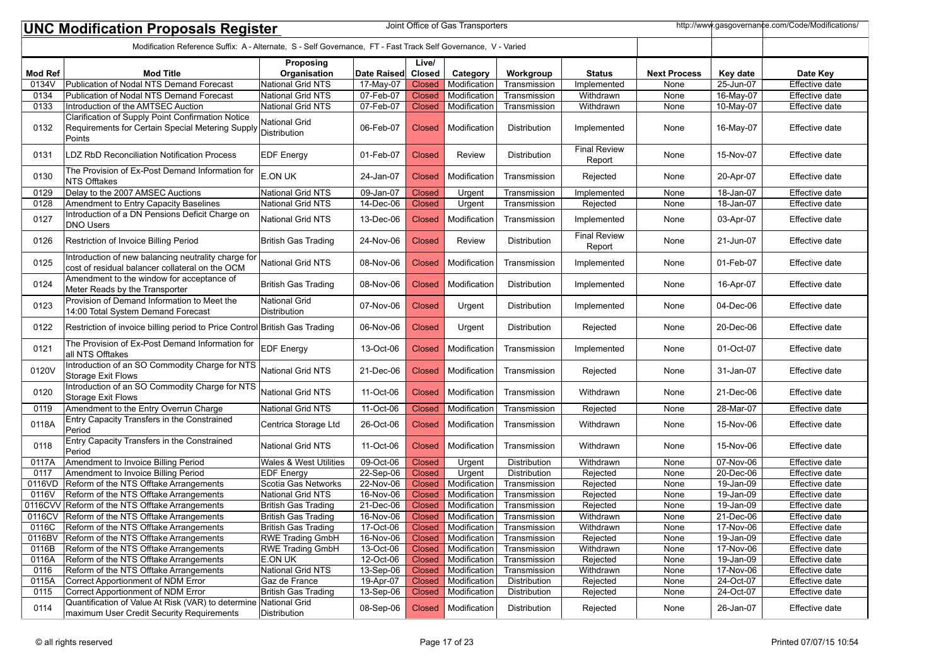| Joint Office of Gas Transporters<br>http://www.gasgovernance.com/Code/Modifications/<br><b>UNC Modification Proposals Register</b> |                                                                                                                        |                                           |                        |                         |                              |                              |                               |                     |                        |                                  |
|------------------------------------------------------------------------------------------------------------------------------------|------------------------------------------------------------------------------------------------------------------------|-------------------------------------------|------------------------|-------------------------|------------------------------|------------------------------|-------------------------------|---------------------|------------------------|----------------------------------|
|                                                                                                                                    | Modification Reference Suffix: A - Alternate, S - Self Governance, FT - Fast Track Self Governance, V - Varied         |                                           |                        |                         |                              |                              |                               |                     |                        |                                  |
| <b>Mod Ref</b>                                                                                                                     | <b>Mod Title</b>                                                                                                       | Proposing<br>Organisation                 | Date Raised            | Live/<br>Closed         | Category                     | Workgroup                    | <b>Status</b>                 | <b>Next Process</b> | Key date               | Date Key                         |
| 0134V                                                                                                                              | Publication of Nodal NTS Demand Forecast                                                                               | National Grid NTS                         | 17-May-07              | <b>Closed</b>           | Modification                 | Transmission                 | Implemented                   | None                | 25-Jun-07              | <b>Effective date</b>            |
| 0134                                                                                                                               | Publication of Nodal NTS Demand Forecast                                                                               | National Grid NTS                         | 07-Feb-07              | <b>Closed</b>           | Modification                 | Transmission                 | Withdrawn                     | None                | 16-May-07              | Effective date                   |
| 0133                                                                                                                               | Introduction of the AMTSEC Auction                                                                                     | National Grid NTS                         | 07-Feb-07              | <b>Closed</b>           | Modification                 | Transmission                 | Withdrawn                     | None                | 10-May-07              | Effective date                   |
| 0132                                                                                                                               | Clarification of Supply Point Confirmation Notice<br>Requirements for Certain Special Metering Supply<br><b>Points</b> | National Grid<br>Distribution             | 06-Feb-07              | Closed                  | Modification                 | Distribution                 | Implemented                   | None                | 16-May-07              | Effective date                   |
| 0131                                                                                                                               | <b>LDZ RbD Reconciliation Notification Process</b>                                                                     | <b>EDF</b> Energy                         | 01-Feb-07              | <b>Closed</b>           | <b>Review</b>                | Distribution                 | <b>Final Review</b><br>Report | None                | 15-Nov-07              | Effective date                   |
| 0130                                                                                                                               | The Provision of Ex-Post Demand Information for<br>NTS Offtakes                                                        | <b>E.ON UK</b>                            | 24-Jan-07              | Closed                  | Modification                 | Transmission                 | Rejected                      | None                | 20-Apr-07              | Effective date                   |
| 0129                                                                                                                               | Delay to the 2007 AMSEC Auctions                                                                                       | National Grid NTS                         | 09-Jan-07              | <b>Closed</b>           | Urgent                       | Transmission                 | Implemented                   | None                | 18-Jan-07              | <b>Effective date</b>            |
| 0128                                                                                                                               | Amendment to Entry Capacity Baselines                                                                                  | National Grid NTS                         | 14-Dec-06              | <b>Closed</b>           | Urgent                       | Transmission                 | Rejected                      | None                | 18-Jan-07              | Effective date                   |
| 0127                                                                                                                               | Introduction of a DN Pensions Deficit Charge on<br><b>DNO Users</b>                                                    | National Grid NTS                         | 13-Dec-06              | <b>Closed</b>           | Modification                 | Transmission                 | Implemented                   | None                | 03-Apr-07              | Effective date                   |
| 0126                                                                                                                               | Restriction of Invoice Billing Period                                                                                  | <b>British Gas Trading</b>                | 24-Nov-06              | <b>Closed</b>           | <b>Review</b>                | Distribution                 | <b>Final Review</b><br>Report | None                | 21-Jun-07              | Effective date                   |
| 0125                                                                                                                               | Introduction of new balancing neutrality charge for<br>cost of residual balancer collateral on the OCM                 | National Grid NTS                         | 08-Nov-06              | <b>Closed</b>           | Modification                 | Transmission                 | Implemented                   | None                | 01-Feb-07              | Effective date                   |
| 0124                                                                                                                               | Amendment to the window for acceptance of<br>Meter Reads by the Transporter                                            | <b>British Gas Trading</b>                | 08-Nov-06              | <b>Closed</b>           | Modification                 | Distribution                 | Implemented                   | None                | 16-Apr-07              | Effective date                   |
| 0123                                                                                                                               | Provision of Demand Information to Meet the<br>14:00 Total System Demand Forecast                                      | <b>National Grid</b><br>Distribution      | 07-Nov-06              | <b>Closed</b>           | Urgent                       | Distribution                 | Implemented                   | None                | 04-Dec-06              | Effective date                   |
| 0122                                                                                                                               | Restriction of invoice billing period to Price Control                                                                 | British Gas Trading                       | 06-Nov-06              | <b>Closed</b>           | Urgent                       | Distribution                 | Rejected                      | None                | 20-Dec-06              | Effective date                   |
| 0121                                                                                                                               | The Provision of Ex-Post Demand Information for<br>all NTS Offtakes                                                    | <b>EDF Energy</b>                         | 13-Oct-06              | <b>Closed</b>           | Modification                 | Transmission                 | Implemented                   | None                | 01-Oct-07              | Effective date                   |
| 0120V                                                                                                                              | Introduction of an SO Commodity Charge for NTS<br>Storage Exit Flows                                                   | National Grid NTS                         | 21-Dec-06              | Closed                  | Modification                 | Transmission                 | Rejected                      | None                | 31-Jan-07              | Effective date                   |
| 0120                                                                                                                               | Introduction of an SO Commodity Charge for NTS<br>Storage Exit Flows                                                   | <b>National Grid NTS</b>                  | 11-Oct-06              | <b>Closed</b>           | Modification                 | Transmission                 | Withdrawn                     | None                | 21-Dec-06              | Effective date                   |
| 0119                                                                                                                               | Amendment to the Entry Overrun Charge                                                                                  | <b>National Grid NTS</b>                  | 11-Oct-06              | <b>Closed</b>           | Modification                 | Transmission                 | Rejected                      | None                | 28-Mar-07              | Effective date                   |
| 0118A                                                                                                                              | Entry Capacity Transfers in the Constrained<br>Period                                                                  | Centrica Storage Ltd                      | 26-Oct-06              | Closed                  | Modification                 | Transmission                 | Withdrawn                     | None                | 15-Nov-06              | Effective date                   |
| 0118                                                                                                                               | Entry Capacity Transfers in the Constrained<br>Period                                                                  | <b>National Grid NTS</b>                  | 11-Oct-06              | <b>Closed</b>           | Modification                 | Transmission                 | Withdrawn                     | None                | 15-Nov-06              | Effective date                   |
| 0117A                                                                                                                              | Amendment to Invoice Billing Period                                                                                    | <b>Wales &amp; West Utilities</b>         | 09-Oct-06              | <b>Closed</b>           | Urgent                       | <b>Distribution</b>          | Withdrawn                     | None                | 07-Nov-06              | Effective date                   |
| 0117                                                                                                                               | Amendment to Invoice Billing Period                                                                                    | <b>EDF Energy</b>                         | $22-Sep-06$            | <b>Closed</b>           | Urgent                       | Distribution                 | Rejected                      | None                | 20-Dec-06              | Effective date                   |
| 0116VD                                                                                                                             | Reform of the NTS Offtake Arrangements                                                                                 | Scotia Gas Networks                       | $22-Nov-06$            | <b>Closed</b>           | Modification                 | Transmission                 | Rejected                      | None                | 19-Jan-09              | <b>Effective date</b>            |
| 0116V                                                                                                                              | Reform of the NTS Offtake Arrangements                                                                                 | National Grid NTS                         | 16-Nov-06              | <b>Closed</b>           | Modification                 | Transmission                 | Rejected                      | None                | 19-Jan-09              | Effective date                   |
| 0116CVV                                                                                                                            | Reform of the NTS Offtake Arrangements                                                                                 | <b>British Gas Trading</b>                | 21-Dec-06              | <b>Closed</b>           | Modification                 | Transmission                 | Rejected                      | None                | 19-Jan-09              | Effective date                   |
| 0116CV                                                                                                                             | Reform of the NTS Offtake Arrangements                                                                                 | British Gas Trading                       | 16-Nov-06              | <b>Closed</b>           | Modification                 | Transmission                 | Withdrawn                     | None                | 21-Dec-06              | Effective date                   |
| 0116C                                                                                                                              | Reform of the NTS Offtake Arrangements                                                                                 | British Gas Trading                       | 17-Oct-06              |                         | Closed   Modification        | Transmission                 | Withdrawn                     | None                | 17-Nov-06              | Effective date                   |
| 0116BV                                                                                                                             | Reform of the NTS Offtake Arrangements                                                                                 | <b>RWE Trading GmbH</b>                   | 16-Nov-06              | Closed                  | Modification                 | Transmission                 | Rejected                      | None                | 19-Jan-09              | Effective date                   |
| 0116B<br>0116A                                                                                                                     | Reform of the NTS Offtake Arrangements                                                                                 | <b>RWE Trading GmbH</b><br><b>E.ON UK</b> | 13-Oct-06              | <b>Closed</b>           | Modification                 | Transmission                 | Withdrawn                     | None                | 17-Nov-06              | Effective date                   |
| 0116                                                                                                                               | Reform of the NTS Offtake Arrangements<br>Reform of the NTS Offtake Arrangements                                       | National Grid NTS                         | 12-Oct-06<br>13-Sep-06 | <b>Closed</b>           | Modification<br>Modification | Transmission                 | Rejected<br>Withdrawn         | None                | 19-Jan-09<br>17-Nov-06 | Effective date<br>Effective date |
| 0115A                                                                                                                              | Correct Apportionment of NDM Error                                                                                     | Gaz de France                             |                        | <b>Closed</b>           |                              | Transmission<br>Distribution |                               | None                | 24-Oct-07              | Effective date                   |
| 0115                                                                                                                               | Correct Apportionment of NDM Error                                                                                     | British Gas Trading                       | 19-Apr-07<br>13-Sep-06 | <b>Closed</b><br>Closed | Modification<br>Modification | Distribution                 | Rejected<br>Rejected          | None<br>None        | 24-Oct-07              | Effective date                   |
| 0114                                                                                                                               | Quantification of Value At Risk (VAR) to determine National Grid<br>maximum User Credit Security Requirements          | Distribution                              | 08-Sep-06              | <b>Closed</b>           | Modification                 | Distribution                 | Rejected                      | None                | 26-Jan-07              | Effective date                   |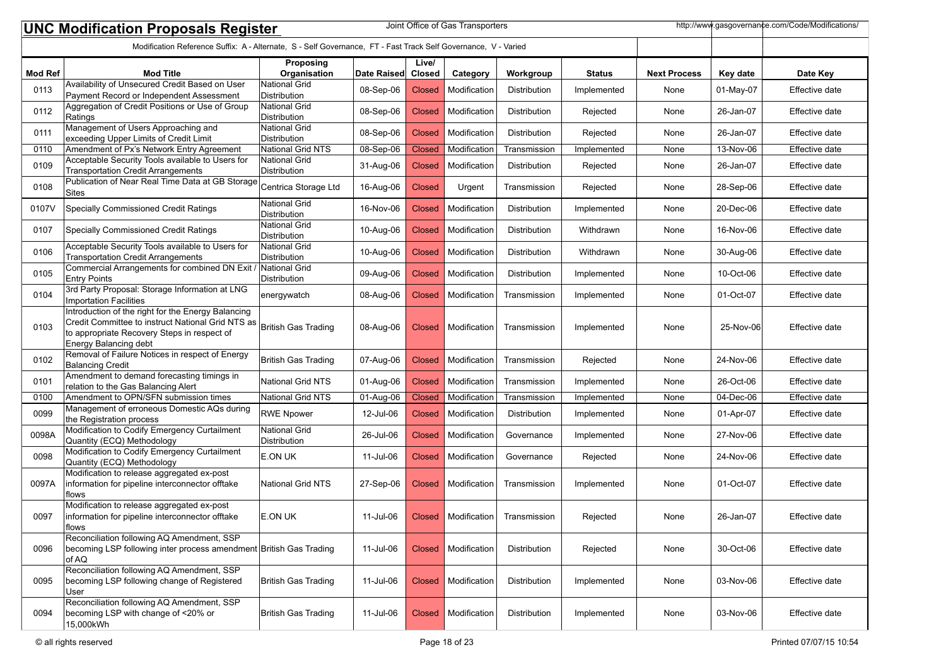|                | Joint Office of Gas Transporters<br>http://www.gasgovernance.com/Code/Modifications/<br><b>UNC Modification Proposals Register</b>                                              |                                             |             |                        |              |                     |               |                     |           |                |  |
|----------------|---------------------------------------------------------------------------------------------------------------------------------------------------------------------------------|---------------------------------------------|-------------|------------------------|--------------|---------------------|---------------|---------------------|-----------|----------------|--|
|                | Modification Reference Suffix: A - Alternate, S - Self Governance, FT - Fast Track Self Governance, V - Varied                                                                  |                                             |             |                        |              |                     |               |                     |           |                |  |
| <b>Mod Ref</b> | <b>Mod Title</b>                                                                                                                                                                | Proposing<br>Organisation                   | Date Raised | Live/<br><b>Closed</b> | Category     | Workgroup           | <b>Status</b> | <b>Next Process</b> | Key date  | Date Key       |  |
| 0113           | Availability of Unsecured Credit Based on User<br>Payment Record or Independent Assessment                                                                                      | <b>National Grid</b><br>Distribution        | 08-Sep-06   | Closed                 | Modification | Distribution        | Implemented   | None                | 01-May-07 | Effective date |  |
| 0112           | Aggregation of Credit Positions or Use of Group<br>Ratings                                                                                                                      | National Grid<br><b>Distribution</b>        | 08-Sep-06   | <b>Closed</b>          | Modification | Distribution        | Rejected      | None                | 26-Jan-07 | Effective date |  |
| 0111           | Management of Users Approaching and<br>exceeding Upper Limits of Credit Limit                                                                                                   | National Grid<br>Distribution               | 08-Sep-06   | <b>Closed</b>          | Modification | Distribution        | Rejected      | None                | 26-Jan-07 | Effective date |  |
| 0110           | Amendment of Px's Network Entry Agreement                                                                                                                                       | National Grid NTS                           | 08-Sep-06   | <b>Closed</b>          | Modification | Transmission        | Implemented   | None                | 13-Nov-06 | Effective date |  |
| 0109           | Acceptable Security Tools available to Users for<br>Transportation Credit Arrangements                                                                                          | <b>National Grid</b><br><b>Distribution</b> | 31-Aug-06   | <b>Closed</b>          | Modification | Distribution        | Rejected      | None                | 26-Jan-07 | Effective date |  |
| 0108           | Publication of Near Real Time Data at GB Storage<br>Sites                                                                                                                       | Centrica Storage Ltd                        | 16-Aug-06   | <b>Closed</b>          | Urgent       | Transmission        | Rejected      | None                | 28-Sep-06 | Effective date |  |
| 0107V          | Specially Commissioned Credit Ratings                                                                                                                                           | <b>National Grid</b><br>Distribution        | 16-Nov-06   | Closed                 | Modification | Distribution        | Implemented   | None                | 20-Dec-06 | Effective date |  |
| 0107           | Specially Commissioned Credit Ratings                                                                                                                                           | <b>National Grid</b><br>Distribution        | 10-Aug-06   | Closed                 | Modification | Distribution        | Withdrawn     | None                | 16-Nov-06 | Effective date |  |
| 0106           | Acceptable Security Tools available to Users for<br>Transportation Credit Arrangements                                                                                          | <b>National Grid</b><br>Distribution        | 10-Aug-06   | Closed                 | Modification | Distribution        | Withdrawn     | None                | 30-Aug-06 | Effective date |  |
| 0105           | Commercial Arrangements for combined DN Exit / National Grid<br><b>Entry Points</b>                                                                                             | <b>Distribution</b>                         | 09-Aug-06   | <b>Closed</b>          | Modification | Distribution        | Implemented   | None                | 10-Oct-06 | Effective date |  |
| 0104           | 3rd Party Proposal: Storage Information at LNG<br>Importation Facilities                                                                                                        | energywatch                                 | 08-Aug-06   | <b>Closed</b>          | Modification | Transmission        | Implemented   | None                | 01-Oct-07 | Effective date |  |
| 0103           | Introduction of the right for the Energy Balancing<br>Credit Committee to instruct National Grid NTS as<br>to appropriate Recovery Steps in respect of<br>Energy Balancing debt | British Gas Trading                         | 08-Aug-06   | Closed                 | Modification | Transmission        | Implemented   | None                | 25-Nov-06 | Effective date |  |
| 0102           | Removal of Failure Notices in respect of Energy<br><b>Balancing Credit</b>                                                                                                      | British Gas Trading                         | 07-Aug-06   | Closed                 | Modification | Transmission        | Rejected      | None                | 24-Nov-06 | Effective date |  |
| 0101           | Amendment to demand forecasting timings in<br>relation to the Gas Balancing Alert                                                                                               | <b>National Grid NTS</b>                    | 01-Aug-06   | <b>Closed</b>          | Modification | Transmission        | Implemented   | None                | 26-Oct-06 | Effective date |  |
| 0100           | Amendment to OPN/SFN submission times                                                                                                                                           | National Grid NTS                           | 01-Aug-06   | Closed                 | Modification | Transmission        | Implemented   | None                | 04-Dec-06 | Effective date |  |
| 0099           | Management of erroneous Domestic AQs during<br>the Registration process                                                                                                         | <b>RWE Npower</b>                           | 12-Jul-06   | Closed                 | Modification | Distribution        | Implemented   | None                | 01-Apr-07 | Effective date |  |
| 0098A          | Modification to Codify Emergency Curtailment<br>Quantity (ECQ) Methodology                                                                                                      | National Grid<br><b>Distribution</b>        | 26-Jul-06   | <b>Closed</b>          | Modification | Governance          | Implemented   | None                | 27-Nov-06 | Effective date |  |
| 0098           | Modification to Codify Emergency Curtailment<br>Quantity (ECQ) Methodology                                                                                                      | E.ON UK                                     | 11-Jul-06   | Closed                 | Modification | Governance          | Rejected      | None                | 24-Nov-06 | Effective date |  |
| 0097A          | Modification to release aggregated ex-post<br>information for pipeline interconnector offtake<br>lflows                                                                         | <b>National Grid NTS</b>                    | 27-Sep-06   | Closed                 | Modification | Transmission        | Implemented   | None                | 01-Oct-07 | Effective date |  |
| 0097           | Modification to release aggregated ex-post<br>information for pipeline interconnector offtake<br> flows                                                                         | E.ON UK                                     | 11-Jul-06   | <b>Closed</b>          | Modification | Transmission        | Rejected      | None                | 26-Jan-07 | Effective date |  |
| 0096           | Reconciliation following AQ Amendment, SSP<br>becoming LSP following inter process amendment British Gas Trading<br>of AQ                                                       |                                             | 11-Jul-06   | Closed                 | Modification | Distribution        | Rejected      | None                | 30-Oct-06 | Effective date |  |
| 0095           | Reconciliation following AQ Amendment, SSP<br>becoming LSP following change of Registered<br>User                                                                               | British Gas Trading                         | 11-Jul-06   | Closed                 | Modification | <b>Distribution</b> | Implemented   | None                | 03-Nov-06 | Effective date |  |
| 0094           | Reconciliation following AQ Amendment, SSP<br>becoming LSP with change of <20% or<br>15,000kWh                                                                                  | British Gas Trading                         | 11-Jul-06   | <b>Closed</b>          | Modification | Distribution        | Implemented   | None                | 03-Nov-06 | Effective date |  |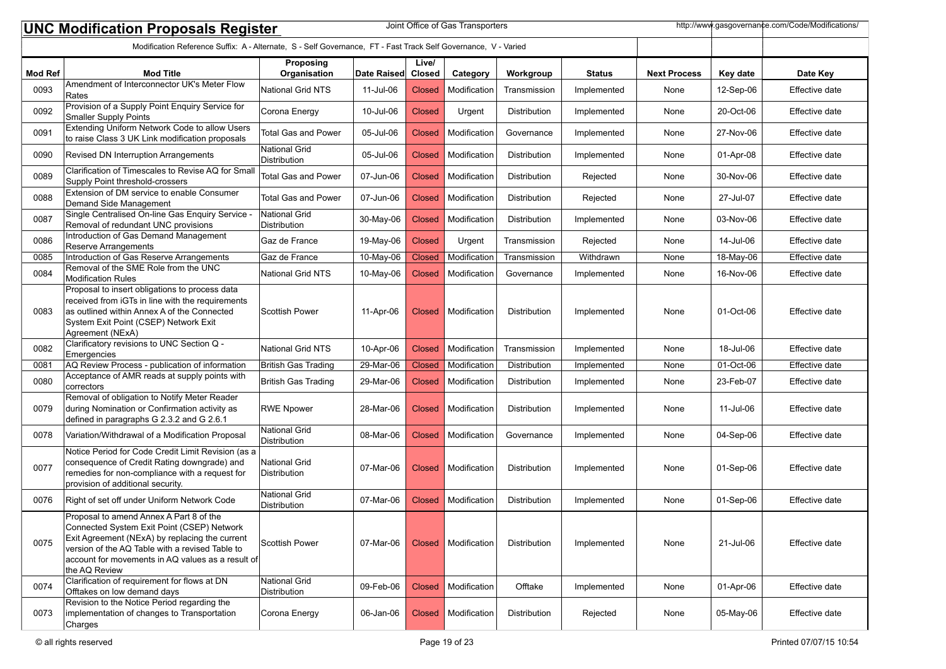|                | http://www.gasgovernance.com/Code/Modifications/<br>Joint Office of Gas Transporters<br><b>UNC Modification Proposals Register</b>                                                                                                                               |                                      |             |                        |              |                     |               |                     |           |                |  |
|----------------|------------------------------------------------------------------------------------------------------------------------------------------------------------------------------------------------------------------------------------------------------------------|--------------------------------------|-------------|------------------------|--------------|---------------------|---------------|---------------------|-----------|----------------|--|
|                | Modification Reference Suffix: A - Alternate, S - Self Governance, FT - Fast Track Self Governance, V - Varied                                                                                                                                                   |                                      |             |                        |              |                     |               |                     |           |                |  |
| <b>Mod Ref</b> | <b>Mod Title</b>                                                                                                                                                                                                                                                 | Proposing<br>Organisation            | Date Raised | Live/<br><b>Closed</b> | Category     | Workgroup           | <b>Status</b> | <b>Next Process</b> | Key date  | Date Key       |  |
| 0093           | Amendment of Interconnector UK's Meter Flow<br>Rates                                                                                                                                                                                                             | <b>National Grid NTS</b>             | 11-Jul-06   | Closed                 | Modification | Transmission        | Implemented   | None                | 12-Sep-06 | Effective date |  |
| 0092           | Provision of a Supply Point Enquiry Service for<br>Smaller Supply Points                                                                                                                                                                                         | Corona Energy                        | 10-Jul-06   | <b>Closed</b>          | Urgent       | Distribution        | Implemented   | None                | 20-Oct-06 | Effective date |  |
| 0091           | Extending Uniform Network Code to allow Users<br>to raise Class 3 UK Link modification proposals                                                                                                                                                                 | <b>Total Gas and Power</b>           | 05-Jul-06   | <b>Closed</b>          | Modification | Governance          | Implemented   | None                | 27-Nov-06 | Effective date |  |
| 0090           | Revised DN Interruption Arrangements                                                                                                                                                                                                                             | <b>National Grid</b><br>Distribution | 05-Jul-06   | Closed                 | Modification | Distribution        | Implemented   | None                | 01-Apr-08 | Effective date |  |
| 0089           | Clarification of Timescales to Revise AQ for Small<br>Supply Point threshold-crossers                                                                                                                                                                            | <b>Total Gas and Power</b>           | 07-Jun-06   | <b>Closed</b>          | Modification | Distribution        | Rejected      | None                | 30-Nov-06 | Effective date |  |
| 0088           | Extension of DM service to enable Consumer<br>Demand Side Management                                                                                                                                                                                             | <b>Total Gas and Power</b>           | 07-Jun-06   | Closed                 | Modification | Distribution        | Rejected      | None                | 27-Jul-07 | Effective date |  |
| 0087           | Single Centralised On-line Gas Enquiry Service<br>Removal of redundant UNC provisions                                                                                                                                                                            | National Grid<br>Distribution        | 30-May-06   | <b>Closed</b>          | Modification | Distribution        | Implemented   | None                | 03-Nov-06 | Effective date |  |
| 0086           | Introduction of Gas Demand Management<br>Reserve Arrangements                                                                                                                                                                                                    | Gaz de France                        | 19-May-06   | <b>Closed</b>          | Urgent       | Transmission        | Rejected      | None                | 14-Jul-06 | Effective date |  |
| 0085           | Introduction of Gas Reserve Arrangements                                                                                                                                                                                                                         | Gaz de France                        | 10-May-06   | <b>Closed</b>          | Modification | Transmission        | Withdrawn     | None                | 18-May-06 | Effective date |  |
| 0084           | Removal of the SME Role from the UNC<br>Modification Rules                                                                                                                                                                                                       | <b>National Grid NTS</b>             | 10-May-06   | <b>Closed</b>          | Modification | Governance          | Implemented   | None                | 16-Nov-06 | Effective date |  |
| 0083           | Proposal to insert obligations to process data<br>received from iGTs in line with the requirements<br>as outlined within Annex A of the Connected<br>System Exit Point (CSEP) Network Exit<br>Agreement (NExA)                                                   | <b>IScottish Power</b>               | 11-Apr-06   | Closed                 | Modification | Distribution        | Implemented   | None                | 01-Oct-06 | Effective date |  |
| 0082           | Clarificatory revisions to UNC Section Q -<br>Emergencies                                                                                                                                                                                                        | <b>National Grid NTS</b>             | 10-Apr-06   | <b>Closed</b>          | Modification | Transmission        | Implemented   | None                | 18-Jul-06 | Effective date |  |
| 0081           | AQ Review Process - publication of information                                                                                                                                                                                                                   | British Gas Trading                  | 29-Mar-06   | <b>Closed</b>          | Modification | Distribution        | Implemented   | None                | 01-Oct-06 | Effective date |  |
| 0080           | Acceptance of AMR reads at supply points with<br>correctors                                                                                                                                                                                                      | <b>British Gas Trading</b>           | 29-Mar-06   | <b>Closed</b>          | Modification | Distribution        | Implemented   | None                | 23-Feb-07 | Effective date |  |
| 0079           | Removal of obligation to Notify Meter Reader<br>during Nomination or Confirmation activity as<br>defined in paragraphs G 2.3.2 and G 2.6.1                                                                                                                       | <b>RWE Npower</b>                    | 28-Mar-06   | Closed                 | Modification | Distribution        | Implemented   | None                | 11-Jul-06 | Effective date |  |
| 0078           | Variation/Withdrawal of a Modification Proposal                                                                                                                                                                                                                  | <b>National Grid</b><br>Distribution | 08-Mar-06   | <b>Closed</b>          | Modification | Governance          | Implemented   | None                | 04-Sep-06 | Effective date |  |
| 0077           | Notice Period for Code Credit Limit Revision (as a<br>consequence of Credit Rating downgrade) and<br>remedies for non-compliance with a request for<br>provision of additional security.                                                                         | National Grid<br>Distribution        | 07-Mar-06   | Closed                 | Modification | Distribution        | Implemented   | None                | 01-Sep-06 | Effective date |  |
| 0076           | Right of set off under Uniform Network Code                                                                                                                                                                                                                      | <b>National Grid</b><br>Distribution | 07-Mar-06   | Closed                 | Modification | <b>Distribution</b> | Implemented   | None                | 01-Sep-06 | Effective date |  |
| 0075           | Proposal to amend Annex A Part 8 of the<br>Connected System Exit Point (CSEP) Network<br>Exit Agreement (NExA) by replacing the current<br>version of the AQ Table with a revised Table to<br>account for movements in AQ values as a result of<br>the AQ Review | Scottish Power                       | 07-Mar-06   | <b>Closed</b>          | Modification | Distribution        | Implemented   | None                | 21-Jul-06 | Effective date |  |
| 0074           | Clarification of requirement for flows at DN<br>Offtakes on low demand days                                                                                                                                                                                      | National Grid<br>Distribution        | 09-Feb-06   | <b>Closed</b>          | Modification | Offtake             | Implemented   | None                | 01-Apr-06 | Effective date |  |
| 0073           | Revision to the Notice Period regarding the<br>implementation of changes to Transportation<br>Charges                                                                                                                                                            | Corona Energy                        | 06-Jan-06   | <b>Closed</b>          | Modification | Distribution        | Rejected      | None                | 05-May-06 | Effective date |  |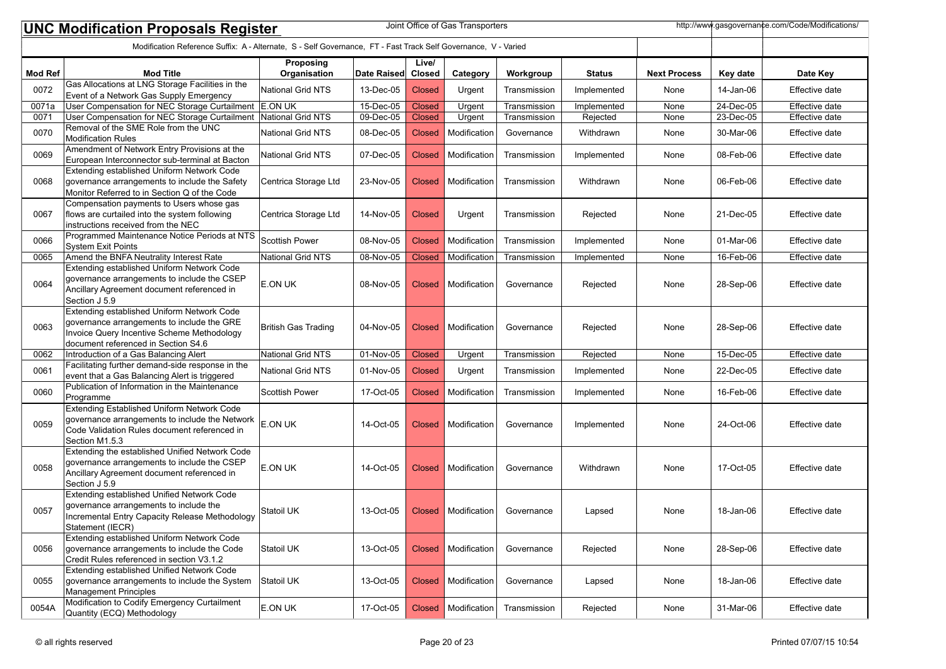|                | Joint Office of Gas Transporters<br>http://www.gasgovernance.com/Code/Modifications/<br><b>UNC Modification Proposals Register</b>                                            |                            |             |                        |              |              |               |                     |           |                       |
|----------------|-------------------------------------------------------------------------------------------------------------------------------------------------------------------------------|----------------------------|-------------|------------------------|--------------|--------------|---------------|---------------------|-----------|-----------------------|
|                | Modification Reference Suffix: A - Alternate, S - Self Governance, FT - Fast Track Self Governance, V - Varied                                                                |                            |             |                        |              |              |               |                     |           |                       |
| <b>Mod Ref</b> | <b>Mod Title</b>                                                                                                                                                              | Proposing<br>Organisation  | Date Raised | Live/<br><b>Closed</b> | Category     | Workgroup    | <b>Status</b> | <b>Next Process</b> | Key date  | Date Key              |
| 0072           | Gas Allocations at LNG Storage Facilities in the<br>Event of a Network Gas Supply Emergency                                                                                   | National Grid NTS          | 13-Dec-05   | <b>Closed</b>          | Urgent       | Transmission | Implemented   | None                | 14-Jan-06 | Effective date        |
| 0071a          | User Compensation for NEC Storage Curtailment E.ON UK                                                                                                                         |                            | 15-Dec-05   | <b>Closed</b>          | Urgent       | Transmission | Implemented   | None                | 24-Dec-05 | Effective date        |
| 0071           | User Compensation for NEC Storage Curtailment                                                                                                                                 | National Grid NTS          | 09-Dec-05   | <b>Closed</b>          | Urgent       | Transmission | Rejected      | None                | 23-Dec-05 | Effective date        |
| 0070           | Removal of the SME Role from the UNC<br><b>Modification Rules</b>                                                                                                             | <b>National Grid NTS</b>   | 08-Dec-05   | <b>Closed</b>          | Modification | Governance   | Withdrawn     | None                | 30-Mar-06 | Effective date        |
| 0069           | Amendment of Network Entry Provisions at the<br>European Interconnector sub-terminal at Bacton                                                                                | National Grid NTS          | 07-Dec-05   | <b>Closed</b>          | Modification | Transmission | Implemented   | None                | 08-Feb-06 | Effective date        |
| 0068           | Extending established Uniform Network Code<br>governance arrangements to include the Safety<br>Monitor Referred to in Section Q of the Code                                   | Centrica Storage Ltd       | 23-Nov-05   | <b>Closed</b>          | Modification | Transmission | Withdrawn     | None                | 06-Feb-06 | Effective date        |
| 0067           | Compensation payments to Users whose gas<br>flows are curtailed into the system following<br>instructions received from the NEC                                               | Centrica Storage Ltd       | 14-Nov-05   | <b>Closed</b>          | Urgent       | Transmission | Rejected      | None                | 21-Dec-05 | Effective date        |
| 0066           | Programmed Maintenance Notice Periods at NTS<br>System Exit Points                                                                                                            | <b>Scottish Power</b>      | 08-Nov-05   | <b>Closed</b>          | Modification | Transmission | Implemented   | None                | 01-Mar-06 | Effective date        |
| 0065           | Amend the BNFA Neutrality Interest Rate                                                                                                                                       | National Grid NTS          | 08-Nov-05   | <b>Closed</b>          | Modification | Transmission | Implemented   | None                | 16-Feb-06 | Effective date        |
| 0064           | Extending established Uniform Network Code<br>governance arrangements to include the CSEP<br>Ancillary Agreement document referenced in<br>Section J 5.9                      | E.ON UK                    | 08-Nov-05   | <b>Closed</b>          | Modification | Governance   | Rejected      | None                | 28-Sep-06 | Effective date        |
| 0063           | Extending established Uniform Network Code<br>governance arrangements to include the GRE<br>Invoice Query Incentive Scheme Methodology<br>document referenced in Section S4.6 | <b>British Gas Trading</b> | 04-Nov-05   | <b>Closed</b>          | Modification | Governance   | Rejected      | None                | 28-Sep-06 | Effective date        |
| 0062           | Introduction of a Gas Balancing Alert                                                                                                                                         | National Grid NTS          | 01-Nov-05   | <b>Closed</b>          | Urgent       | Transmission | Rejected      | None                | 15-Dec-05 | <b>Effective date</b> |
| 0061           | Facilitating further demand-side response in the<br>event that a Gas Balancing Alert is triggered                                                                             | <b>National Grid NTS</b>   | 01-Nov-05   | <b>Closed</b>          | Urgent       | Transmission | Implemented   | None                | 22-Dec-05 | Effective date        |
| 0060           | Publication of Information in the Maintenance<br>Programme                                                                                                                    | <b>Scottish Power</b>      | 17-Oct-05   | <b>Closed</b>          | Modification | Transmission | Implemented   | None                | 16-Feb-06 | Effective date        |
| 0059           | <b>Extending Established Uniform Network Code</b><br>governance arrangements to include the Network<br>Code Validation Rules document referenced in<br>Section M1.5.3         | E.ON UK                    | 14-Oct-05   | <b>Closed</b>          | Modification | Governance   | Implemented   | None                | 24-Oct-06 | Effective date        |
| 0058           | Extending the established Unified Network Code<br>governance arrangements to include the CSEP<br>Ancillary Agreement document referenced in<br>Section J 5.9                  | E.ON UK                    | 14-Oct-05   | <b>Closed</b>          | Modification | Governance   | Withdrawn     | None                | 17-Oct-05 | Effective date        |
| 0057           | Extending established Unified Network Code<br>governance arrangements to include the<br>Incremental Entry Capacity Release Methodology<br> Statement (IECR)                   | Statoil UK                 | 13-Oct-05   | <b>Closed</b>          | Modification | Governance   | Lapsed        | None                | 18-Jan-06 | Effective date        |
| 0056           | Extending established Uniform Network Code<br>governance arrangements to include the Code<br>Credit Rules referenced in section V3.1.2                                        | Statoil UK                 | 13-Oct-05   | <b>Closed</b>          | Modification | Governance   | Rejected      | None                | 28-Sep-06 | Effective date        |
| 0055           | Extending established Unified Network Code<br>governance arrangements to include the System<br>Management Principles                                                          | Statoil UK                 | 13-Oct-05   | <b>Closed</b>          | Modification | Governance   | Lapsed        | None                | 18-Jan-06 | Effective date        |
| 0054A          | Modification to Codify Emergency Curtailment<br>Quantity (ECQ) Methodology                                                                                                    | E.ON UK                    | 17-Oct-05   | <b>Closed</b>          | Modification | Transmission | Rejected      | None                | 31-Mar-06 | Effective date        |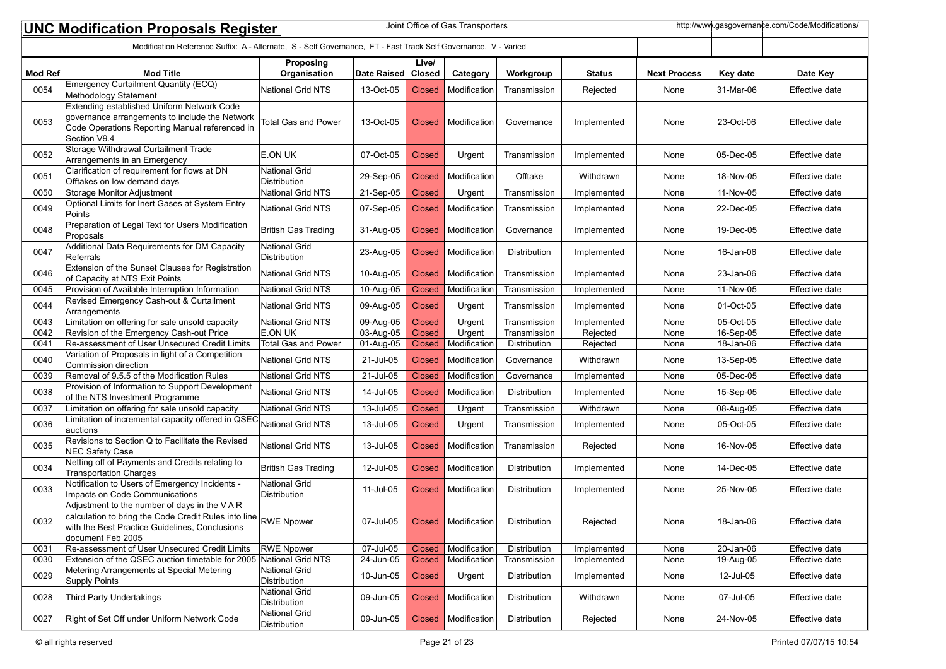|                | http://www.gasgovernance.com/Code/Modifications/<br>Joint Office of Gas Transporters<br><b>UNC Modification Proposals Register</b>                                                                                      |                                             |              |                 |                       |              |               |                     |               |                |
|----------------|-------------------------------------------------------------------------------------------------------------------------------------------------------------------------------------------------------------------------|---------------------------------------------|--------------|-----------------|-----------------------|--------------|---------------|---------------------|---------------|----------------|
|                | Modification Reference Suffix: A - Alternate, S - Self Governance, FT - Fast Track Self Governance, V - Varied                                                                                                          |                                             |              |                 |                       |              |               |                     |               |                |
| <b>Mod Ref</b> | <b>Mod Title</b>                                                                                                                                                                                                        | Proposing<br>Organisation                   | Date Raised  | Live/<br>Closed | Category              | Workgroup    | <b>Status</b> | <b>Next Process</b> | Key date      | Date Key       |
| 0054           | <b>Emergency Curtailment Quantity (ECQ)</b><br>Methodology Statement                                                                                                                                                    | <b>National Grid NTS</b>                    | 13-Oct-05    | <b>Closed</b>   | Modification          | Transmission | Rejected      | None                | 31-Mar-06     | Effective date |
| 0053           | Extending established Uniform Network Code<br>governance arrangements to include the Network<br>Code Operations Reporting Manual referenced in<br>Section V9.4                                                          | <b>Total Gas and Power</b>                  | 13-Oct-05    | <b>Closed</b>   | Modification          | Governance   | Implemented   | None                | 23-Oct-06     | Effective date |
| 0052           | Storage Withdrawal Curtailment Trade<br>Arrangements in an Emergency                                                                                                                                                    | E.ON UK                                     | 07-Oct-05    | <b>Closed</b>   | Urgent                | Transmission | Implemented   | None                | 05-Dec-05     | Effective date |
| 0051           | Clarification of requirement for flows at DN<br>Offtakes on low demand days                                                                                                                                             | National Grid<br>Distribution               | 29-Sep-05    | <b>Closed</b>   | Modification          | Offtake      | Withdrawn     | None                | 18-Nov-05     | Effective date |
| 0050           | Storage Monitor Adjustment                                                                                                                                                                                              | National Grid NTS                           | 21-Sep-05    | <b>Closed</b>   | Urgent                | Transmission | Implemented   | None                | 11-Nov-05     | Effective date |
| 0049           | Optional Limits for Inert Gases at System Entry<br>Points                                                                                                                                                               | <b>National Grid NTS</b>                    | 07-Sep-05    | <b>Closed</b>   | Modification          | Transmission | Implemented   | None                | 22-Dec-05     | Effective date |
| 0048           | Preparation of Legal Text for Users Modification<br>Proposals                                                                                                                                                           | British Gas Trading                         | 31-Aug-05    | <b>Closed</b>   | Modification          | Governance   | Implemented   | None                | 19-Dec-05     | Effective date |
| 0047           | Additional Data Requirements for DM Capacity<br>Referrals                                                                                                                                                               | <b>National Grid</b><br><b>Distribution</b> | 23-Aug-05    | <b>Closed</b>   | Modification          | Distribution | Implemented   | None                | 16-Jan-06     | Effective date |
| 0046           | Extension of the Sunset Clauses for Registration<br>of Capacity at NTS Exit Points                                                                                                                                      | National Grid NTS                           | 10-Aug-05    | <b>Closed</b>   | Modification          | Transmission | Implemented   | None                | 23-Jan-06     | Effective date |
| 0045           | Provision of Available Interruption Information                                                                                                                                                                         | National Grid NTS                           | 10-Aug-05    | <b>Closed</b>   | Modification          | Transmission | Implemented   | None                | 11-Nov-05     | Effective date |
| 0044           | Revised Emergency Cash-out & Curtailment<br>Arrangements                                                                                                                                                                | <b>National Grid NTS</b>                    | 09-Aug-05    | <b>Closed</b>   | Urgent                | Transmission | Implemented   | None                | 01-Oct-05     | Effective date |
| 0043           | Limitation on offering for sale unsold capacity                                                                                                                                                                         | National Grid NTS                           | 09-Aug-05    | <b>Closed</b>   | Urgent                | Transmission | Implemented   | None                | 05-Oct-05     | Effective date |
| 0042           | Revision of the Emergency Cash-out Price                                                                                                                                                                                | E.ON UK                                     | 03-Aug-05    | <b>Closed</b>   | Urgent                | Transmission | Rejected      | None                | 16-Sep-05     | Effective date |
| 0041           | Re-assessment of User Unsecured Credit Limits                                                                                                                                                                           | <b>Total Gas and Power</b>                  | 01-Aug-05    | <b>Closed</b>   | Modification          | Distribution | Rejected      | None                | 18-Jan-06     | Effective date |
| 0040           | Variation of Proposals in light of a Competition<br>Commission direction                                                                                                                                                | <b>National Grid NTS</b>                    | 21-Jul-05    | <b>Closed</b>   | Modification          | Governance   | Withdrawn     | None                | 13-Sep-05     | Effective date |
| 0039           | Removal of 9.5.5 of the Modification Rules                                                                                                                                                                              | National Grid NTS                           | $21$ -Jul-05 | <b>Closed</b>   | Modification          | Governance   | Implemented   | None                | 05-Dec-05     | Effective date |
| 0038           | Provision of Information to Support Development<br>of the NTS Investment Programme                                                                                                                                      | <b>National Grid NTS</b>                    | 14-Jul-05    | <b>Closed</b>   | Modification          | Distribution | Implemented   | None                | 15-Sep-05     | Effective date |
| 0037           | Limitation on offering for sale unsold capacity                                                                                                                                                                         | National Grid NTS                           | 13-Jul-05    | <b>Closed</b>   | Urgent                | Transmission | Withdrawn     | None                | 08-Aug-05     | Effective date |
| 0036           | Limitation of incremental capacity offered in QSEC<br>auctions                                                                                                                                                          | National Grid NTS                           | 13-Jul-05    | <b>Closed</b>   | Urgent                | Transmission | Implemented   | None                | 05-Oct-05     | Effective date |
| 0035           | Revisions to Section Q to Facilitate the Revised                                                                                                                                                                        | <b>National Grid NTS</b>                    | 13-Jul-05    | <b>Closed</b>   | Modification          | Transmission | Rejected      | None                | 16-Nov-05     | Effective date |
| 0034           | <b>NEC Safety Case</b><br>Netting off of Payments and Credits relating to                                                                                                                                               | <b>British Gas Trading</b>                  | 12-Jul-05    | <b>Closed</b>   | Modification          | Distribution | Implemented   | None                | 14-Dec-05     | Effective date |
| 0033           | <b>Transportation Charges</b><br>Notification to Users of Emergency Incidents -                                                                                                                                         | <b>National Grid</b>                        | 11-Jul-05    | <b>Closed</b>   | Modification          | Distribution | Implemented   | None                | 25-Nov-05     | Effective date |
| 0032           | Impacts on Code Communications<br>Adjustment to the number of days in the VAR<br>calculation to bring the Code Credit Rules into line RWE Npower<br>with the Best Practice Guidelines, Conclusions<br>document Feb 2005 | Distribution                                | 07-Jul-05    |                 | Closed   Modification | Distribution | Rejected      | None                | 18-Jan-06     | Effective date |
| 0031           | Re-assessment of User Unsecured Credit Limits                                                                                                                                                                           | <b>RWE Npower</b>                           | 07-Jul-05    | <b>Closed</b>   | Modification          | Distribution | Implemented   | <b>None</b>         | $20 - Jan-06$ | Effective date |
| 0030           | Extension of the QSEC auction timetable for 2005 National Grid NTS                                                                                                                                                      |                                             | 24-Jun-05    | <b>Closed</b>   | Modification          | Transmission | Implemented   | None                | 19-Aug-05     | Effective date |
| 0029           | Metering Arrangements at Special Metering<br>Supply Points                                                                                                                                                              | <b>National Grid</b><br><b>Distribution</b> | 10-Jun-05    | <b>Closed</b>   | Urgent                | Distribution | Implemented   | None                | 12-Jul-05     | Effective date |
| 0028           | Third Party Undertakings                                                                                                                                                                                                | <b>National Grid</b><br>Distribution        | 09-Jun-05    | <b>Closed</b>   | Modification          | Distribution | Withdrawn     | None                | 07-Jul-05     | Effective date |
| 0027           | Right of Set Off under Uniform Network Code                                                                                                                                                                             | National Grid<br>Distribution               | 09-Jun-05    | <b>Closed</b>   | Modification          | Distribution | Rejected      | None                | 24-Nov-05     | Effective date |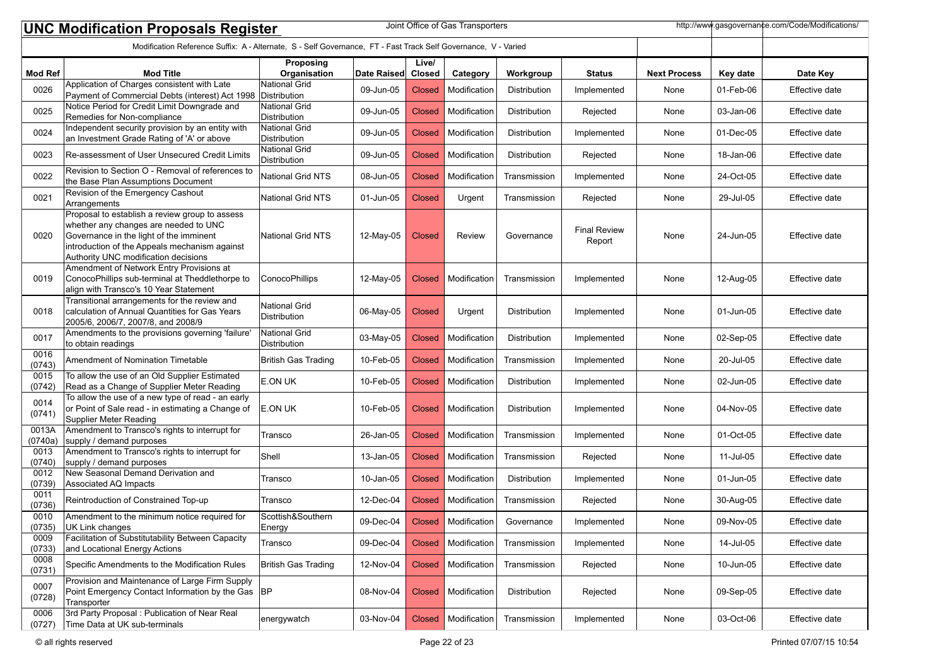|                  | Joint Office of Gas Transporters<br>http://www.qasqovernance.com/Code/Modifications/<br><b>UNC Modification Proposals Register</b>                                                                                          |                                      |             |                 |                       |              |                               |                     |           |                |  |
|------------------|-----------------------------------------------------------------------------------------------------------------------------------------------------------------------------------------------------------------------------|--------------------------------------|-------------|-----------------|-----------------------|--------------|-------------------------------|---------------------|-----------|----------------|--|
|                  | Modification Reference Suffix: A - Alternate, S - Self Governance, FT - Fast Track Self Governance, V - Varied                                                                                                              |                                      |             |                 |                       |              |                               |                     |           |                |  |
| <b>Mod Ref</b>   | <b>Mod Title</b>                                                                                                                                                                                                            | Proposing<br>Organisation            | Date Raised | Live/<br>Closed | Category              | Workgroup    | <b>Status</b>                 | <b>Next Process</b> | Key date  | Date Key       |  |
| 0026             | Application of Charges consistent with Late<br>Payment of Commercial Debts (interest) Act 1998 Distribution                                                                                                                 | <b>National Grid</b>                 | 09-Jun-05   | <b>Closed</b>   | Modification          | Distribution | Implemented                   | None                | 01-Feb-06 | Effective date |  |
| 0025             | Notice Period for Credit Limit Downgrade and<br>Remedies for Non-compliance                                                                                                                                                 | National Grid<br>Distribution        | 09-Jun-05   | <b>Closed</b>   | Modification          | Distribution | Rejected                      | None                | 03-Jan-06 | Effective date |  |
| 0024             | Independent security provision by an entity with<br>an Investment Grade Rating of 'A' or above                                                                                                                              | National Grid<br>Distribution        | 09-Jun-05   | <b>Closed</b>   | Modification          | Distribution | Implemented                   | None                | 01-Dec-05 | Effective date |  |
| 0023             | Re-assessment of User Unsecured Credit Limits                                                                                                                                                                               | National Grid<br>Distribution        | 09-Jun-05   | <b>Closed</b>   | Modification          | Distribution | Rejected                      | None                | 18-Jan-06 | Effective date |  |
| 0022             | Revision to Section O - Removal of references to<br>the Base Plan Assumptions Document                                                                                                                                      | National Grid NTS                    | 08-Jun-05   | <b>Closed</b>   | Modification          | Transmission | Implemented                   | None                | 24-Oct-05 | Effective date |  |
| 0021             | Revision of the Emergency Cashout<br>Arrangements                                                                                                                                                                           | National Grid NTS                    | 01-Jun-05   | <b>Closed</b>   | Urgent                | Transmission | Rejected                      | None                | 29-Jul-05 | Effective date |  |
| 0020             | Proposal to establish a review group to assess<br>whether any changes are needed to UNC<br>Governance in the light of the imminent<br>introduction of the Appeals mechanism against<br>Authority UNC modification decisions | <b>National Grid NTS</b>             | 12-May-05   | Closed          | Review                | Governance   | <b>Final Review</b><br>Report | None                | 24-Jun-05 | Effective date |  |
| 0019             | Amendment of Network Entry Provisions at<br>ConocoPhillips sub-terminal at Theddlethorpe to<br>align with Transco's 10 Year Statement                                                                                       | <b>ConocoPhillips</b>                | 12-May-05   | <b>Closed</b>   | Modification          | Transmission | Implemented                   | None                | 12-Aug-05 | Effective date |  |
| 0018             | Transitional arrangements for the review and<br>calculation of Annual Quantities for Gas Years<br>2005/6, 2006/7, 2007/8, and 2008/9                                                                                        | <b>National Grid</b><br>Distribution | 06-May-05   | Closed          | Urgent                | Distribution | Implemented                   | None                | 01-Jun-05 | Effective date |  |
| 0017             | Amendments to the provisions governing 'failure'<br>to obtain readings                                                                                                                                                      | National Grid<br>Distribution        | 03-May-05   | Closed          | Modification          | Distribution | Implemented                   | None                | 02-Sep-05 | Effective date |  |
| 0016<br>(0743)   | Amendment of Nomination Timetable                                                                                                                                                                                           | <b>British Gas Trading</b>           | 10-Feb-05   | <b>Closed</b>   | Modification          | Transmission | Implemented                   | None                | 20-Jul-05 | Effective date |  |
| 0015<br>(0742)   | To allow the use of an Old Supplier Estimated<br>Read as a Change of Supplier Meter Reading                                                                                                                                 | E.ON UK                              | 10-Feb-05   | <b>Closed</b>   | Modification          | Distribution | Implemented                   | None                | 02-Jun-05 | Effective date |  |
| 0014<br>(0741)   | To allow the use of a new type of read - an early<br>or Point of Sale read - in estimating a Change of<br>Supplier Meter Reading                                                                                            | E.ON UK                              | 10-Feb-05   | <b>Closed</b>   | Modification          | Distribution | Implemented                   | None                | 04-Nov-05 | Effective date |  |
| 0013A<br>(0740a) | Amendment to Transco's rights to interrupt for<br>supply / demand purposes                                                                                                                                                  | Transco                              | 26-Jan-05   | <b>Closed</b>   | Modification          | Transmission | Implemented                   | None                | 01-Oct-05 | Effective date |  |
| 0013<br>(0740)   | Amendment to Transco's rights to interrupt for<br>supply / demand purposes                                                                                                                                                  | Shell                                | 13-Jan-05   | <b>Closed</b>   | Modification          | Transmission | Rejected                      | None                | 11-Jul-05 | Effective date |  |
| 0012<br>(0739)   | New Seasonal Demand Derivation and<br>Associated AQ Impacts                                                                                                                                                                 | Transco                              | 10-Jan-05   | <b>Closed</b>   | Modification          | Distribution | Implemented                   | None                | 01-Jun-05 | Effective date |  |
| 0011<br>(0736)   | Reintroduction of Constrained Top-up                                                                                                                                                                                        | Transco                              | 12-Dec-04   | <b>Closed</b>   | Modification          | Transmission | Rejected                      | None                | 30-Aug-05 | Effective date |  |
| 0010<br>(0735)   | Amendment to the minimum notice required for<br>UK Link changes                                                                                                                                                             | Scottish&Southern<br>Energy          | 09-Dec-04   |                 | Closed   Modification | Governance   | Implemented                   | None                | 09-Nov-05 | Effective date |  |
| 0009<br>(0733)   | Facilitation of Substitutability Between Capacity<br>and Locational Energy Actions                                                                                                                                          | Transco                              | 09-Dec-04   | <b>Closed</b>   | Modification          | Transmission | Implemented                   | None                | 14-Jul-05 | Effective date |  |
| 0008<br>(0731)   | Specific Amendments to the Modification Rules                                                                                                                                                                               | British Gas Trading                  | 12-Nov-04   | <b>Closed</b>   | Modification          | Transmission | Rejected                      | None                | 10-Jun-05 | Effective date |  |
| 0007<br>(0728)   | Provision and Maintenance of Large Firm Supply<br>Point Emergency Contact Information by the Gas  BP<br>Transporter                                                                                                         |                                      | 08-Nov-04   | <b>Closed</b>   | Modification          | Distribution | Rejected                      | None                | 09-Sep-05 | Effective date |  |
| 0006<br>(0727)   | 3rd Party Proposal : Publication of Near Real<br>Time Data at UK sub-terminals                                                                                                                                              | energywatch                          | 03-Nov-04   | <b>Closed</b>   | Modification          | Transmission | Implemented                   | None                | 03-Oct-06 | Effective date |  |